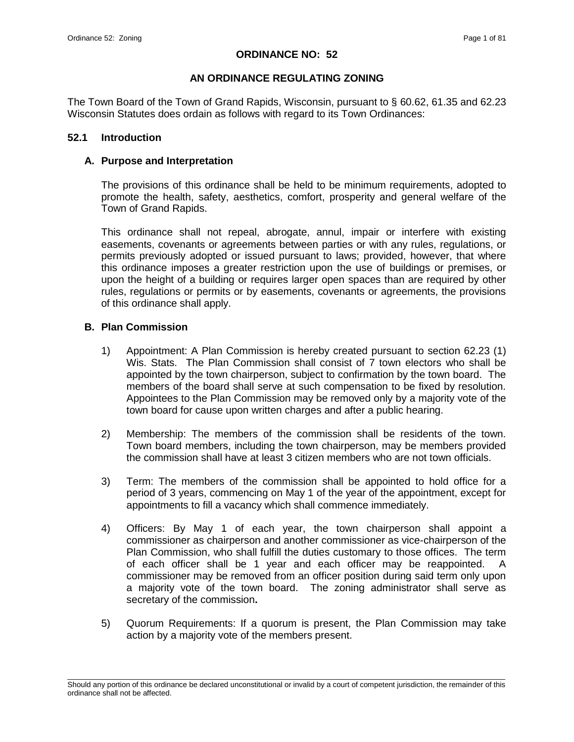### **ORDINANCE NO: 52**

## **AN ORDINANCE REGULATING ZONING**

The Town Board of the Town of Grand Rapids, Wisconsin, pursuant to § 60.62, 61.35 and 62.23 Wisconsin Statutes does ordain as follows with regard to its Town Ordinances:

### **52.1 Introduction**

## **A. Purpose and Interpretation**

The provisions of this ordinance shall be held to be minimum requirements, adopted to promote the health, safety, aesthetics, comfort, prosperity and general welfare of the Town of Grand Rapids.

This ordinance shall not repeal, abrogate, annul, impair or interfere with existing easements, covenants or agreements between parties or with any rules, regulations, or permits previously adopted or issued pursuant to laws; provided, however, that where this ordinance imposes a greater restriction upon the use of buildings or premises, or upon the height of a building or requires larger open spaces than are required by other rules, regulations or permits or by easements, covenants or agreements, the provisions of this ordinance shall apply.

## **B. Plan Commission**

- 1) Appointment: A Plan Commission is hereby created pursuant to section 62.23 (1) Wis. Stats. The Plan Commission shall consist of 7 town electors who shall be appointed by the town chairperson, subject to confirmation by the town board. The members of the board shall serve at such compensation to be fixed by resolution. Appointees to the Plan Commission may be removed only by a majority vote of the town board for cause upon written charges and after a public hearing.
- 2) Membership: The members of the commission shall be residents of the town. Town board members, including the town chairperson, may be members provided the commission shall have at least 3 citizen members who are not town officials.
- 3) Term: The members of the commission shall be appointed to hold office for a period of 3 years, commencing on May 1 of the year of the appointment, except for appointments to fill a vacancy which shall commence immediately.
- 4) Officers: By May 1 of each year, the town chairperson shall appoint a commissioner as chairperson and another commissioner as vice-chairperson of the Plan Commission, who shall fulfill the duties customary to those offices. The term of each officer shall be 1 year and each officer may be reappointed. A commissioner may be removed from an officer position during said term only upon a majority vote of the town board. The zoning administrator shall serve as secretary of the commission**.**
- 5) Quorum Requirements: If a quorum is present, the Plan Commission may take action by a majority vote of the members present.

\_\_\_\_\_\_\_\_\_\_\_\_\_\_\_\_\_\_\_\_\_\_\_\_\_\_\_\_\_\_\_\_\_\_\_\_\_\_\_\_\_\_\_\_\_\_\_\_\_\_\_\_\_\_\_\_\_\_\_\_\_\_\_\_\_\_\_\_\_\_\_\_\_\_\_\_\_\_\_\_\_\_\_\_\_\_\_\_\_\_\_\_\_\_\_\_\_\_\_\_\_\_\_\_\_ Should any portion of this ordinance be declared unconstitutional or invalid by a court of competent jurisdiction, the remainder of this ordinance shall not be affected.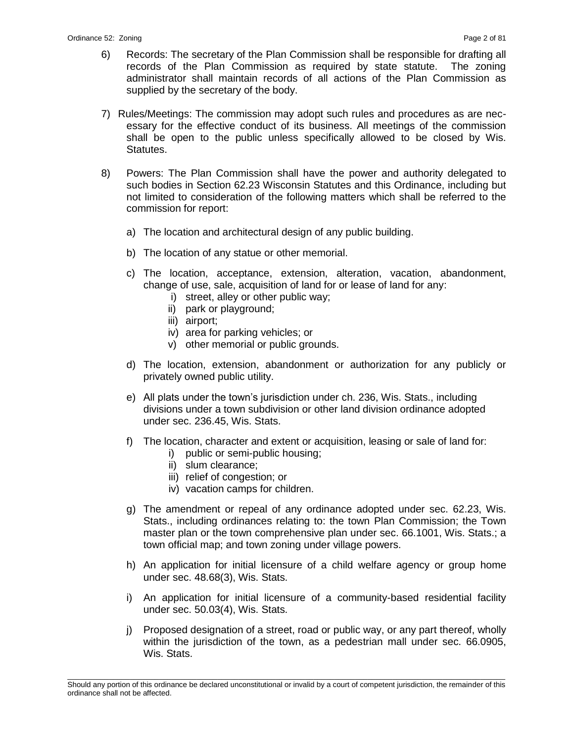- 6) Records: The secretary of the Plan Commission shall be responsible for drafting all records of the Plan Commission as required by state statute. The zoning administrator shall maintain records of all actions of the Plan Commission as supplied by the secretary of the body.
- 7) Rules/Meetings: The commission may adopt such rules and procedures as are necessary for the effective conduct of its business. All meetings of the commission shall be open to the public unless specifically allowed to be closed by Wis. Statutes.
- 8) Powers: The Plan Commission shall have the power and authority delegated to such bodies in Section 62.23 Wisconsin Statutes and this Ordinance, including but not limited to consideration of the following matters which shall be referred to the commission for report:
	- a) The location and architectural design of any public building.
	- b) The location of any statue or other memorial.
	- c) The location, acceptance, extension, alteration, vacation, abandonment, change of use, sale, acquisition of land for or lease of land for any:
		- i) street, alley or other public way;
		- ii) park or playground;
		- iii) airport;
		- iv) area for parking vehicles; or
		- v) other memorial or public grounds.
	- d) The location, extension, abandonment or authorization for any publicly or privately owned public utility.
	- e) All plats under the town's jurisdiction under ch. 236, Wis. Stats., including divisions under a town subdivision or other land division ordinance adopted under sec. 236.45, Wis. Stats.
	- f) The location, character and extent or acquisition, leasing or sale of land for:
		- i) public or semi-public housing;
		- ii) slum clearance;
		- iii) relief of congestion; or
		- iv) vacation camps for children.
	- g) The amendment or repeal of any ordinance adopted under sec. 62.23, Wis. Stats., including ordinances relating to: the town Plan Commission; the Town master plan or the town comprehensive plan under sec. 66.1001, Wis. Stats.; a town official map; and town zoning under village powers.
	- h) An application for initial licensure of a child welfare agency or group home under sec. 48.68(3), Wis. Stats.
	- i) An application for initial licensure of a community-based residential facility under sec. 50.03(4), Wis. Stats.
	- j) Proposed designation of a street, road or public way, or any part thereof, wholly within the jurisdiction of the town, as a pedestrian mall under sec. 66.0905, Wis. Stats.

\_\_\_\_\_\_\_\_\_\_\_\_\_\_\_\_\_\_\_\_\_\_\_\_\_\_\_\_\_\_\_\_\_\_\_\_\_\_\_\_\_\_\_\_\_\_\_\_\_\_\_\_\_\_\_\_\_\_\_\_\_\_\_\_\_\_\_\_\_\_\_\_\_\_\_\_\_\_\_\_\_\_\_\_\_\_\_\_\_\_\_\_\_\_\_\_\_\_\_\_\_\_\_\_\_ Should any portion of this ordinance be declared unconstitutional or invalid by a court of competent jurisdiction, the remainder of this ordinance shall not be affected.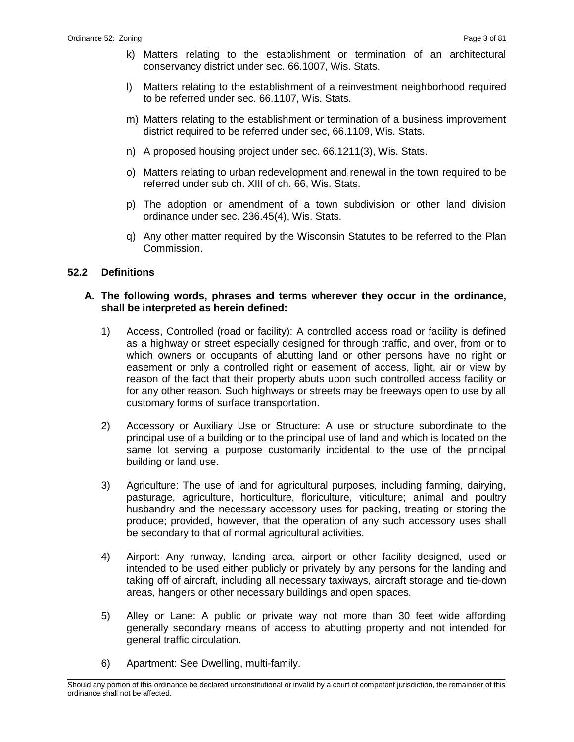- k) Matters relating to the establishment or termination of an architectural conservancy district under sec. 66.1007, Wis. Stats.
- l) Matters relating to the establishment of a reinvestment neighborhood required to be referred under sec. 66.1107, Wis. Stats.
- m) Matters relating to the establishment or termination of a business improvement district required to be referred under sec, 66.1109, Wis. Stats.
- n) A proposed housing project under sec. 66.1211(3), Wis. Stats.
- o) Matters relating to urban redevelopment and renewal in the town required to be referred under sub ch. XIII of ch. 66, Wis. Stats.
- p) The adoption or amendment of a town subdivision or other land division ordinance under sec. 236.45(4), Wis. Stats.
- q) Any other matter required by the Wisconsin Statutes to be referred to the Plan Commission.

#### **52.2 Definitions**

#### **A. The following words, phrases and terms wherever they occur in the ordinance, shall be interpreted as herein defined:**

- 1) Access, Controlled (road or facility): A controlled access road or facility is defined as a highway or street especially designed for through traffic, and over, from or to which owners or occupants of abutting land or other persons have no right or easement or only a controlled right or easement of access, light, air or view by reason of the fact that their property abuts upon such controlled access facility or for any other reason. Such highways or streets may be freeways open to use by all customary forms of surface transportation.
- 2) Accessory or Auxiliary Use or Structure: A use or structure subordinate to the principal use of a building or to the principal use of land and which is located on the same lot serving a purpose customarily incidental to the use of the principal building or land use.
- 3) Agriculture: The use of land for agricultural purposes, including farming, dairying, pasturage, agriculture, horticulture, floriculture, viticulture; animal and poultry husbandry and the necessary accessory uses for packing, treating or storing the produce; provided, however, that the operation of any such accessory uses shall be secondary to that of normal agricultural activities.
- 4) Airport: Any runway, landing area, airport or other facility designed, used or intended to be used either publicly or privately by any persons for the landing and taking off of aircraft, including all necessary taxiways, aircraft storage and tie-down areas, hangers or other necessary buildings and open spaces.
- 5) Alley or Lane: A public or private way not more than 30 feet wide affording generally secondary means of access to abutting property and not intended for general traffic circulation.
- 6) Apartment: See Dwelling, multi-family.

\_\_\_\_\_\_\_\_\_\_\_\_\_\_\_\_\_\_\_\_\_\_\_\_\_\_\_\_\_\_\_\_\_\_\_\_\_\_\_\_\_\_\_\_\_\_\_\_\_\_\_\_\_\_\_\_\_\_\_\_\_\_\_\_\_\_\_\_\_\_\_\_\_\_\_\_\_\_\_\_\_\_\_\_\_\_\_\_\_\_\_\_\_\_\_\_\_\_\_\_\_\_\_\_\_ Should any portion of this ordinance be declared unconstitutional or invalid by a court of competent jurisdiction, the remainder of this ordinance shall not be affected.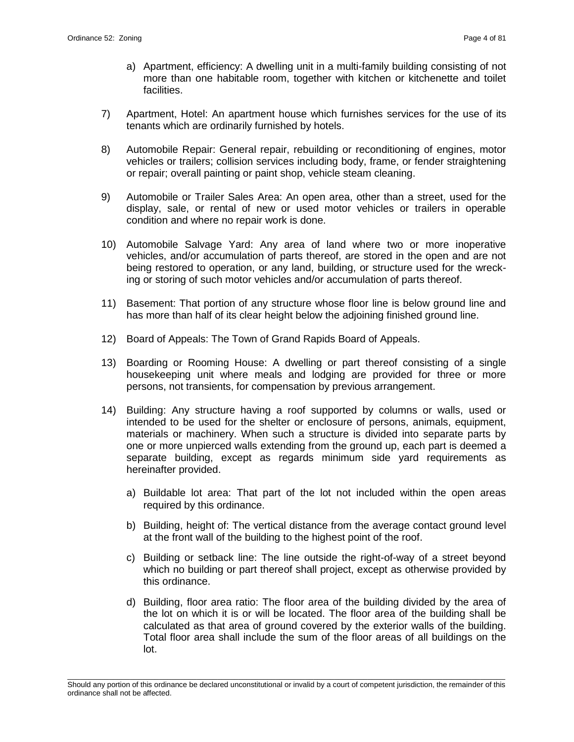- a) Apartment, efficiency: A dwelling unit in a multi-family building consisting of not more than one habitable room, together with kitchen or kitchenette and toilet facilities.
- 7) Apartment, Hotel: An apartment house which furnishes services for the use of its tenants which are ordinarily furnished by hotels.
- 8) Automobile Repair: General repair, rebuilding or reconditioning of engines, motor vehicles or trailers; collision services including body, frame, or fender straightening or repair; overall painting or paint shop, vehicle steam cleaning.
- 9) Automobile or Trailer Sales Area: An open area, other than a street, used for the display, sale, or rental of new or used motor vehicles or trailers in operable condition and where no repair work is done.
- 10) Automobile Salvage Yard: Any area of land where two or more inoperative vehicles, and/or accumulation of parts thereof, are stored in the open and are not being restored to operation, or any land, building, or structure used for the wrecking or storing of such motor vehicles and/or accumulation of parts thereof.
- 11) Basement: That portion of any structure whose floor line is below ground line and has more than half of its clear height below the adjoining finished ground line.
- 12) Board of Appeals: The Town of Grand Rapids Board of Appeals.
- 13) Boarding or Rooming House: A dwelling or part thereof consisting of a single housekeeping unit where meals and lodging are provided for three or more persons, not transients, for compensation by previous arrangement.
- 14) Building: Any structure having a roof supported by columns or walls, used or intended to be used for the shelter or enclosure of persons, animals, equipment, materials or machinery. When such a structure is divided into separate parts by one or more unpierced walls extending from the ground up, each part is deemed a separate building, except as regards minimum side yard requirements as hereinafter provided.
	- a) Buildable lot area: That part of the lot not included within the open areas required by this ordinance.
	- b) Building, height of: The vertical distance from the average contact ground level at the front wall of the building to the highest point of the roof.
	- c) Building or setback line: The line outside the right-of-way of a street beyond which no building or part thereof shall project, except as otherwise provided by this ordinance.
	- d) Building, floor area ratio: The floor area of the building divided by the area of the lot on which it is or will be located. The floor area of the building shall be calculated as that area of ground covered by the exterior walls of the building. Total floor area shall include the sum of the floor areas of all buildings on the lot.

\_\_\_\_\_\_\_\_\_\_\_\_\_\_\_\_\_\_\_\_\_\_\_\_\_\_\_\_\_\_\_\_\_\_\_\_\_\_\_\_\_\_\_\_\_\_\_\_\_\_\_\_\_\_\_\_\_\_\_\_\_\_\_\_\_\_\_\_\_\_\_\_\_\_\_\_\_\_\_\_\_\_\_\_\_\_\_\_\_\_\_\_\_\_\_\_\_\_\_\_\_\_\_\_\_ Should any portion of this ordinance be declared unconstitutional or invalid by a court of competent jurisdiction, the remainder of this ordinance shall not be affected.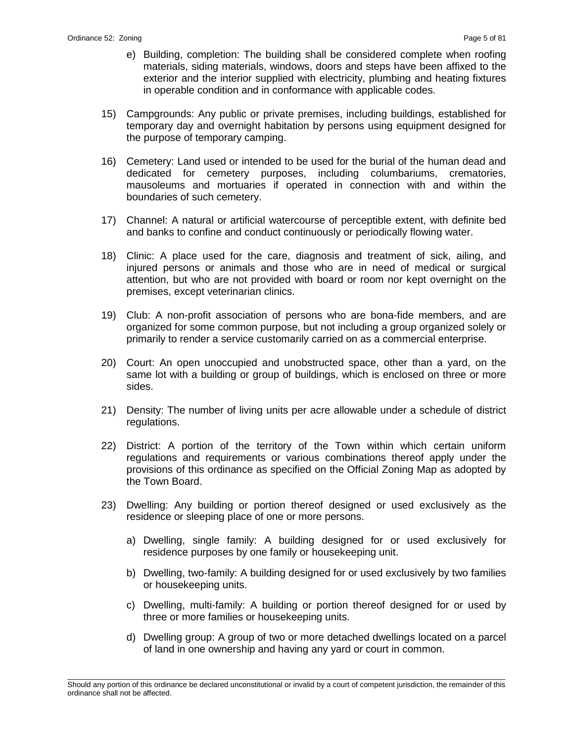- e) Building, completion: The building shall be considered complete when roofing materials, siding materials, windows, doors and steps have been affixed to the exterior and the interior supplied with electricity, plumbing and heating fixtures in operable condition and in conformance with applicable codes.
- 15) Campgrounds: Any public or private premises, including buildings, established for temporary day and overnight habitation by persons using equipment designed for the purpose of temporary camping.
- 16) Cemetery: Land used or intended to be used for the burial of the human dead and dedicated for cemetery purposes, including columbariums, crematories, mausoleums and mortuaries if operated in connection with and within the boundaries of such cemetery.
- 17) Channel: A natural or artificial watercourse of perceptible extent, with definite bed and banks to confine and conduct continuously or periodically flowing water.
- 18) Clinic: A place used for the care, diagnosis and treatment of sick, ailing, and injured persons or animals and those who are in need of medical or surgical attention, but who are not provided with board or room nor kept overnight on the premises, except veterinarian clinics.
- 19) Club: A non-profit association of persons who are bona-fide members, and are organized for some common purpose, but not including a group organized solely or primarily to render a service customarily carried on as a commercial enterprise.
- 20) Court: An open unoccupied and unobstructed space, other than a yard, on the same lot with a building or group of buildings, which is enclosed on three or more sides.
- 21) Density: The number of living units per acre allowable under a schedule of district regulations.
- 22) District: A portion of the territory of the Town within which certain uniform regulations and requirements or various combinations thereof apply under the provisions of this ordinance as specified on the Official Zoning Map as adopted by the Town Board.
- 23) Dwelling: Any building or portion thereof designed or used exclusively as the residence or sleeping place of one or more persons.
	- a) Dwelling, single family: A building designed for or used exclusively for residence purposes by one family or housekeeping unit.
	- b) Dwelling, two-family: A building designed for or used exclusively by two families or housekeeping units.
	- c) Dwelling, multi-family: A building or portion thereof designed for or used by three or more families or housekeeping units.
	- d) Dwelling group: A group of two or more detached dwellings located on a parcel of land in one ownership and having any yard or court in common.

\_\_\_\_\_\_\_\_\_\_\_\_\_\_\_\_\_\_\_\_\_\_\_\_\_\_\_\_\_\_\_\_\_\_\_\_\_\_\_\_\_\_\_\_\_\_\_\_\_\_\_\_\_\_\_\_\_\_\_\_\_\_\_\_\_\_\_\_\_\_\_\_\_\_\_\_\_\_\_\_\_\_\_\_\_\_\_\_\_\_\_\_\_\_\_\_\_\_\_\_\_\_\_\_\_ Should any portion of this ordinance be declared unconstitutional or invalid by a court of competent jurisdiction, the remainder of this ordinance shall not be affected.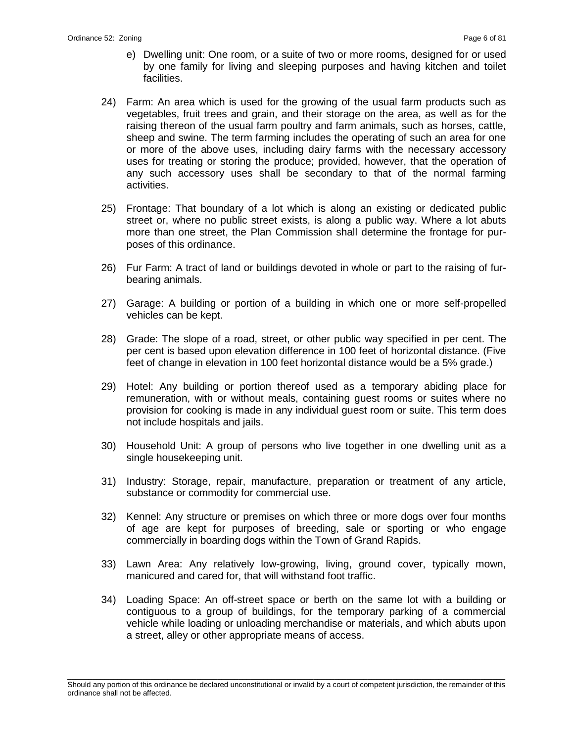- e) Dwelling unit: One room, or a suite of two or more rooms, designed for or used by one family for living and sleeping purposes and having kitchen and toilet facilities.
- 24) Farm: An area which is used for the growing of the usual farm products such as vegetables, fruit trees and grain, and their storage on the area, as well as for the raising thereon of the usual farm poultry and farm animals, such as horses, cattle, sheep and swine. The term farming includes the operating of such an area for one or more of the above uses, including dairy farms with the necessary accessory uses for treating or storing the produce; provided, however, that the operation of any such accessory uses shall be secondary to that of the normal farming activities.
- 25) Frontage: That boundary of a lot which is along an existing or dedicated public street or, where no public street exists, is along a public way. Where a lot abuts more than one street, the Plan Commission shall determine the frontage for purposes of this ordinance.
- 26) Fur Farm: A tract of land or buildings devoted in whole or part to the raising of furbearing animals.
- 27) Garage: A building or portion of a building in which one or more self-propelled vehicles can be kept.
- 28) Grade: The slope of a road, street, or other public way specified in per cent. The per cent is based upon elevation difference in 100 feet of horizontal distance. (Five feet of change in elevation in 100 feet horizontal distance would be a 5% grade.)
- 29) Hotel: Any building or portion thereof used as a temporary abiding place for remuneration, with or without meals, containing guest rooms or suites where no provision for cooking is made in any individual guest room or suite. This term does not include hospitals and jails.
- 30) Household Unit: A group of persons who live together in one dwelling unit as a single housekeeping unit.
- 31) Industry: Storage, repair, manufacture, preparation or treatment of any article, substance or commodity for commercial use.
- 32) Kennel: Any structure or premises on which three or more dogs over four months of age are kept for purposes of breeding, sale or sporting or who engage commercially in boarding dogs within the Town of Grand Rapids.
- 33) Lawn Area: Any relatively low-growing, living, ground cover, typically mown, manicured and cared for, that will withstand foot traffic.
- 34) Loading Space: An off-street space or berth on the same lot with a building or contiguous to a group of buildings, for the temporary parking of a commercial vehicle while loading or unloading merchandise or materials, and which abuts upon a street, alley or other appropriate means of access.

\_\_\_\_\_\_\_\_\_\_\_\_\_\_\_\_\_\_\_\_\_\_\_\_\_\_\_\_\_\_\_\_\_\_\_\_\_\_\_\_\_\_\_\_\_\_\_\_\_\_\_\_\_\_\_\_\_\_\_\_\_\_\_\_\_\_\_\_\_\_\_\_\_\_\_\_\_\_\_\_\_\_\_\_\_\_\_\_\_\_\_\_\_\_\_\_\_\_\_\_\_\_\_\_\_ Should any portion of this ordinance be declared unconstitutional or invalid by a court of competent jurisdiction, the remainder of this ordinance shall not be affected.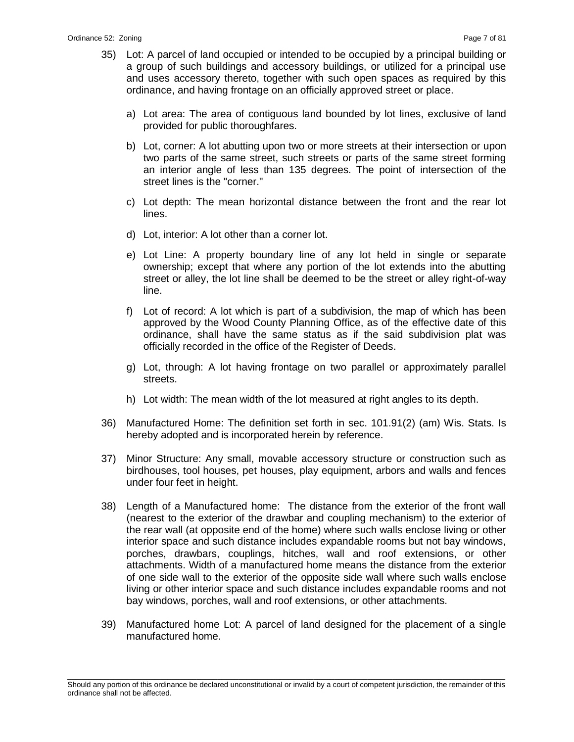- 35) Lot: A parcel of land occupied or intended to be occupied by a principal building or a group of such buildings and accessory buildings, or utilized for a principal use and uses accessory thereto, together with such open spaces as required by this ordinance, and having frontage on an officially approved street or place.
	- a) Lot area: The area of contiguous land bounded by lot lines, exclusive of land provided for public thoroughfares.
	- b) Lot, corner: A lot abutting upon two or more streets at their intersection or upon two parts of the same street, such streets or parts of the same street forming an interior angle of less than 135 degrees. The point of intersection of the street lines is the "corner."
	- c) Lot depth: The mean horizontal distance between the front and the rear lot lines.
	- d) Lot, interior: A lot other than a corner lot.
	- e) Lot Line: A property boundary line of any lot held in single or separate ownership; except that where any portion of the lot extends into the abutting street or alley, the lot line shall be deemed to be the street or alley right-of-way line.
	- f) Lot of record: A lot which is part of a subdivision, the map of which has been approved by the Wood County Planning Office, as of the effective date of this ordinance, shall have the same status as if the said subdivision plat was officially recorded in the office of the Register of Deeds.
	- g) Lot, through: A lot having frontage on two parallel or approximately parallel streets.
	- h) Lot width: The mean width of the lot measured at right angles to its depth.
- 36) Manufactured Home: The definition set forth in sec. 101.91(2) (am) Wis. Stats. Is hereby adopted and is incorporated herein by reference.
- 37) Minor Structure: Any small, movable accessory structure or construction such as birdhouses, tool houses, pet houses, play equipment, arbors and walls and fences under four feet in height.
- 38) Length of a Manufactured home: The distance from the exterior of the front wall (nearest to the exterior of the drawbar and coupling mechanism) to the exterior of the rear wall (at opposite end of the home) where such walls enclose living or other interior space and such distance includes expandable rooms but not bay windows, porches, drawbars, couplings, hitches, wall and roof extensions, or other attachments. Width of a manufactured home means the distance from the exterior of one side wall to the exterior of the opposite side wall where such walls enclose living or other interior space and such distance includes expandable rooms and not bay windows, porches, wall and roof extensions, or other attachments.
- 39) Manufactured home Lot: A parcel of land designed for the placement of a single manufactured home.

\_\_\_\_\_\_\_\_\_\_\_\_\_\_\_\_\_\_\_\_\_\_\_\_\_\_\_\_\_\_\_\_\_\_\_\_\_\_\_\_\_\_\_\_\_\_\_\_\_\_\_\_\_\_\_\_\_\_\_\_\_\_\_\_\_\_\_\_\_\_\_\_\_\_\_\_\_\_\_\_\_\_\_\_\_\_\_\_\_\_\_\_\_\_\_\_\_\_\_\_\_\_\_\_\_ Should any portion of this ordinance be declared unconstitutional or invalid by a court of competent jurisdiction, the remainder of this ordinance shall not be affected.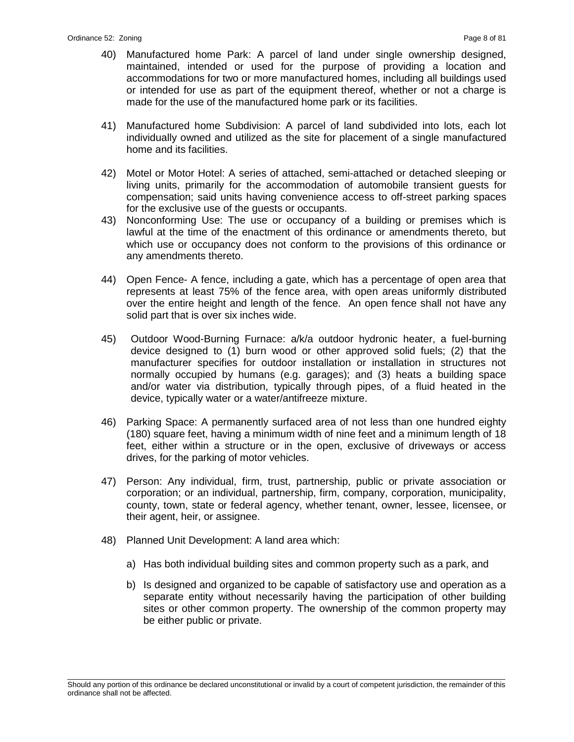- 40) Manufactured home Park: A parcel of land under single ownership designed, maintained, intended or used for the purpose of providing a location and accommodations for two or more manufactured homes, including all buildings used or intended for use as part of the equipment thereof, whether or not a charge is made for the use of the manufactured home park or its facilities.
- 41) Manufactured home Subdivision: A parcel of land subdivided into lots, each lot individually owned and utilized as the site for placement of a single manufactured home and its facilities.
- 42) Motel or Motor Hotel: A series of attached, semi-attached or detached sleeping or living units, primarily for the accommodation of automobile transient guests for compensation; said units having convenience access to off-street parking spaces for the exclusive use of the guests or occupants.
- 43) Nonconforming Use: The use or occupancy of a building or premises which is lawful at the time of the enactment of this ordinance or amendments thereto, but which use or occupancy does not conform to the provisions of this ordinance or any amendments thereto.
- 44) Open Fence- A fence, including a gate, which has a percentage of open area that represents at least 75% of the fence area, with open areas uniformly distributed over the entire height and length of the fence. An open fence shall not have any solid part that is over six inches wide.
- 45) Outdoor Wood-Burning Furnace: a/k/a outdoor hydronic heater, a fuel-burning device designed to (1) burn wood or other approved solid fuels; (2) that the manufacturer specifies for outdoor installation or installation in structures not normally occupied by humans (e.g. garages); and (3) heats a building space and/or water via distribution, typically through pipes, of a fluid heated in the device, typically water or a water/antifreeze mixture.
- 46) Parking Space: A permanently surfaced area of not less than one hundred eighty (180) square feet, having a minimum width of nine feet and a minimum length of 18 feet, either within a structure or in the open, exclusive of driveways or access drives, for the parking of motor vehicles.
- 47) Person: Any individual, firm, trust, partnership, public or private association or corporation; or an individual, partnership, firm, company, corporation, municipality, county, town, state or federal agency, whether tenant, owner, lessee, licensee, or their agent, heir, or assignee.
- 48) Planned Unit Development: A land area which:
	- a) Has both individual building sites and common property such as a park, and
	- b) Is designed and organized to be capable of satisfactory use and operation as a separate entity without necessarily having the participation of other building sites or other common property. The ownership of the common property may be either public or private.

\_\_\_\_\_\_\_\_\_\_\_\_\_\_\_\_\_\_\_\_\_\_\_\_\_\_\_\_\_\_\_\_\_\_\_\_\_\_\_\_\_\_\_\_\_\_\_\_\_\_\_\_\_\_\_\_\_\_\_\_\_\_\_\_\_\_\_\_\_\_\_\_\_\_\_\_\_\_\_\_\_\_\_\_\_\_\_\_\_\_\_\_\_\_\_\_\_\_\_\_\_\_\_\_\_ Should any portion of this ordinance be declared unconstitutional or invalid by a court of competent jurisdiction, the remainder of this ordinance shall not be affected.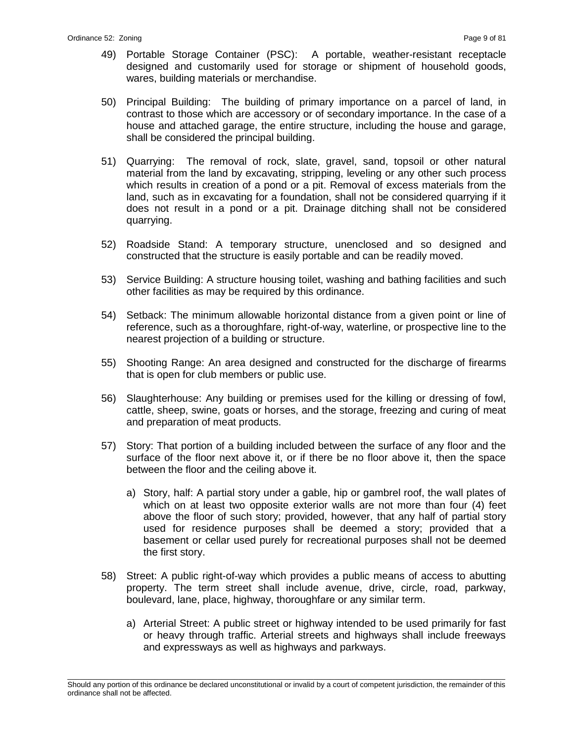- 49) Portable Storage Container (PSC): A portable, weather-resistant receptacle designed and customarily used for storage or shipment of household goods, wares, building materials or merchandise.
- 50) Principal Building: The building of primary importance on a parcel of land, in contrast to those which are accessory or of secondary importance. In the case of a house and attached garage, the entire structure, including the house and garage, shall be considered the principal building.
- 51) Quarrying: The removal of rock, slate, gravel, sand, topsoil or other natural material from the land by excavating, stripping, leveling or any other such process which results in creation of a pond or a pit. Removal of excess materials from the land, such as in excavating for a foundation, shall not be considered quarrying if it does not result in a pond or a pit. Drainage ditching shall not be considered quarrying.
- 52) Roadside Stand: A temporary structure, unenclosed and so designed and constructed that the structure is easily portable and can be readily moved.
- 53) Service Building: A structure housing toilet, washing and bathing facilities and such other facilities as may be required by this ordinance.
- 54) Setback: The minimum allowable horizontal distance from a given point or line of reference, such as a thoroughfare, right-of-way, waterline, or prospective line to the nearest projection of a building or structure.
- 55) Shooting Range: An area designed and constructed for the discharge of firearms that is open for club members or public use.
- 56) Slaughterhouse: Any building or premises used for the killing or dressing of fowl, cattle, sheep, swine, goats or horses, and the storage, freezing and curing of meat and preparation of meat products.
- 57) Story: That portion of a building included between the surface of any floor and the surface of the floor next above it, or if there be no floor above it, then the space between the floor and the ceiling above it.
	- a) Story, half: A partial story under a gable, hip or gambrel roof, the wall plates of which on at least two opposite exterior walls are not more than four (4) feet above the floor of such story; provided, however, that any half of partial story used for residence purposes shall be deemed a story; provided that a basement or cellar used purely for recreational purposes shall not be deemed the first story.
- 58) Street: A public right-of-way which provides a public means of access to abutting property. The term street shall include avenue, drive, circle, road, parkway, boulevard, lane, place, highway, thoroughfare or any similar term.
	- a) Arterial Street: A public street or highway intended to be used primarily for fast or heavy through traffic. Arterial streets and highways shall include freeways and expressways as well as highways and parkways.

\_\_\_\_\_\_\_\_\_\_\_\_\_\_\_\_\_\_\_\_\_\_\_\_\_\_\_\_\_\_\_\_\_\_\_\_\_\_\_\_\_\_\_\_\_\_\_\_\_\_\_\_\_\_\_\_\_\_\_\_\_\_\_\_\_\_\_\_\_\_\_\_\_\_\_\_\_\_\_\_\_\_\_\_\_\_\_\_\_\_\_\_\_\_\_\_\_\_\_\_\_\_\_\_\_ Should any portion of this ordinance be declared unconstitutional or invalid by a court of competent jurisdiction, the remainder of this ordinance shall not be affected.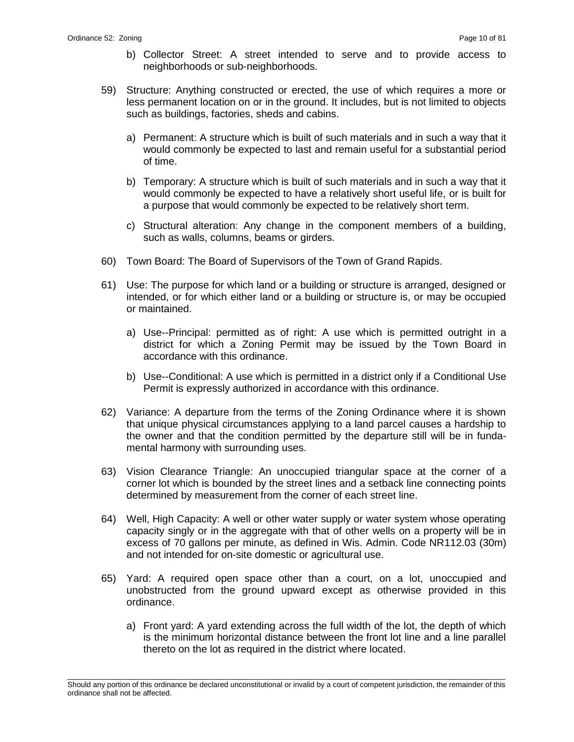- b) Collector Street: A street intended to serve and to provide access to neighborhoods or sub-neighborhoods.
- 59) Structure: Anything constructed or erected, the use of which requires a more or less permanent location on or in the ground. It includes, but is not limited to objects such as buildings, factories, sheds and cabins.
	- a) Permanent: A structure which is built of such materials and in such a way that it would commonly be expected to last and remain useful for a substantial period of time.
	- b) Temporary: A structure which is built of such materials and in such a way that it would commonly be expected to have a relatively short useful life, or is built for a purpose that would commonly be expected to be relatively short term.
	- c) Structural alteration: Any change in the component members of a building, such as walls, columns, beams or girders.
- 60) Town Board: The Board of Supervisors of the Town of Grand Rapids.
- 61) Use: The purpose for which land or a building or structure is arranged, designed or intended, or for which either land or a building or structure is, or may be occupied or maintained.
	- a) Use--Principal: permitted as of right: A use which is permitted outright in a district for which a Zoning Permit may be issued by the Town Board in accordance with this ordinance.
	- b) Use--Conditional: A use which is permitted in a district only if a Conditional Use Permit is expressly authorized in accordance with this ordinance.
- 62) Variance: A departure from the terms of the Zoning Ordinance where it is shown that unique physical circumstances applying to a land parcel causes a hardship to the owner and that the condition permitted by the departure still will be in fundamental harmony with surrounding uses.
- 63) Vision Clearance Triangle: An unoccupied triangular space at the corner of a corner lot which is bounded by the street lines and a setback line connecting points determined by measurement from the corner of each street line.
- 64) Well, High Capacity: A well or other water supply or water system whose operating capacity singly or in the aggregate with that of other wells on a property will be in excess of 70 gallons per minute, as defined in Wis. Admin. Code NR112.03 (30m) and not intended for on-site domestic or agricultural use.
- 65) Yard: A required open space other than a court, on a lot, unoccupied and unobstructed from the ground upward except as otherwise provided in this ordinance.
	- a) Front yard: A yard extending across the full width of the lot, the depth of which is the minimum horizontal distance between the front lot line and a line parallel thereto on the lot as required in the district where located.

\_\_\_\_\_\_\_\_\_\_\_\_\_\_\_\_\_\_\_\_\_\_\_\_\_\_\_\_\_\_\_\_\_\_\_\_\_\_\_\_\_\_\_\_\_\_\_\_\_\_\_\_\_\_\_\_\_\_\_\_\_\_\_\_\_\_\_\_\_\_\_\_\_\_\_\_\_\_\_\_\_\_\_\_\_\_\_\_\_\_\_\_\_\_\_\_\_\_\_\_\_\_\_\_\_ Should any portion of this ordinance be declared unconstitutional or invalid by a court of competent jurisdiction, the remainder of this ordinance shall not be affected.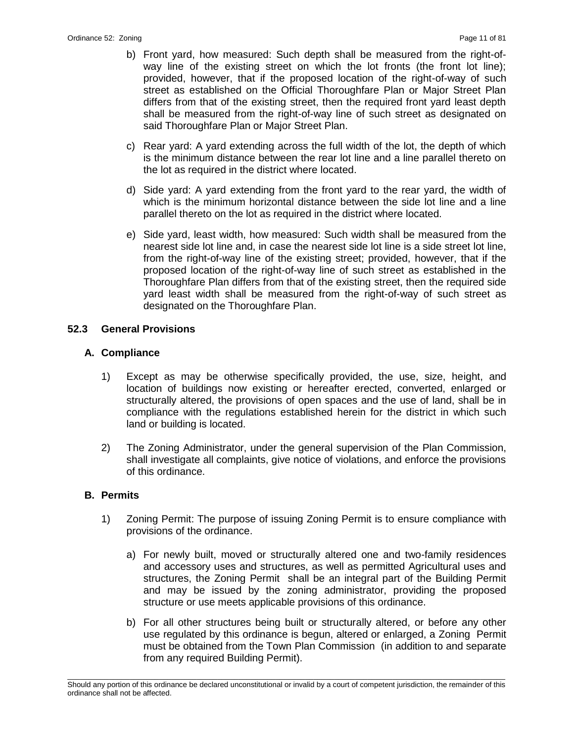- b) Front yard, how measured: Such depth shall be measured from the right-ofway line of the existing street on which the lot fronts (the front lot line); provided, however, that if the proposed location of the right-of-way of such street as established on the Official Thoroughfare Plan or Major Street Plan differs from that of the existing street, then the required front yard least depth shall be measured from the right-of-way line of such street as designated on said Thoroughfare Plan or Major Street Plan.
- c) Rear yard: A yard extending across the full width of the lot, the depth of which is the minimum distance between the rear lot line and a line parallel thereto on the lot as required in the district where located.
- d) Side yard: A yard extending from the front yard to the rear yard, the width of which is the minimum horizontal distance between the side lot line and a line parallel thereto on the lot as required in the district where located.
- e) Side yard, least width, how measured: Such width shall be measured from the nearest side lot line and, in case the nearest side lot line is a side street lot line, from the right-of-way line of the existing street; provided, however, that if the proposed location of the right-of-way line of such street as established in the Thoroughfare Plan differs from that of the existing street, then the required side yard least width shall be measured from the right-of-way of such street as designated on the Thoroughfare Plan.

## **52.3 General Provisions**

## **A. Compliance**

- 1) Except as may be otherwise specifically provided, the use, size, height, and location of buildings now existing or hereafter erected, converted, enlarged or structurally altered, the provisions of open spaces and the use of land, shall be in compliance with the regulations established herein for the district in which such land or building is located.
- 2) The Zoning Administrator, under the general supervision of the Plan Commission, shall investigate all complaints, give notice of violations, and enforce the provisions of this ordinance.

#### **B. Permits**

- 1) Zoning Permit: The purpose of issuing Zoning Permit is to ensure compliance with provisions of the ordinance.
	- a) For newly built, moved or structurally altered one and two-family residences and accessory uses and structures, as well as permitted Agricultural uses and structures, the Zoning Permit shall be an integral part of the Building Permit and may be issued by the zoning administrator, providing the proposed structure or use meets applicable provisions of this ordinance.
	- b) For all other structures being built or structurally altered, or before any other use regulated by this ordinance is begun, altered or enlarged, a Zoning Permit must be obtained from the Town Plan Commission (in addition to and separate from any required Building Permit).

\_\_\_\_\_\_\_\_\_\_\_\_\_\_\_\_\_\_\_\_\_\_\_\_\_\_\_\_\_\_\_\_\_\_\_\_\_\_\_\_\_\_\_\_\_\_\_\_\_\_\_\_\_\_\_\_\_\_\_\_\_\_\_\_\_\_\_\_\_\_\_\_\_\_\_\_\_\_\_\_\_\_\_\_\_\_\_\_\_\_\_\_\_\_\_\_\_\_\_\_\_\_\_\_\_ Should any portion of this ordinance be declared unconstitutional or invalid by a court of competent jurisdiction, the remainder of this ordinance shall not be affected.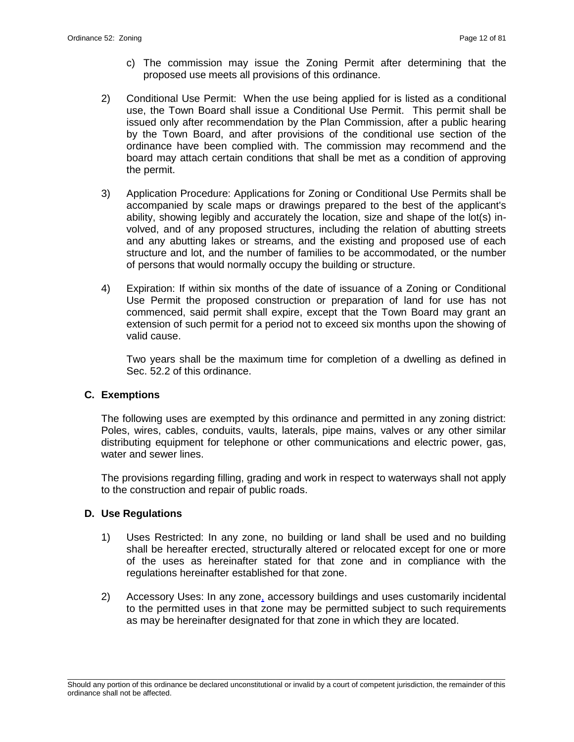- c) The commission may issue the Zoning Permit after determining that the proposed use meets all provisions of this ordinance.
- 2) Conditional Use Permit: When the use being applied for is listed as a conditional use, the Town Board shall issue a Conditional Use Permit. This permit shall be issued only after recommendation by the Plan Commission, after a public hearing by the Town Board, and after provisions of the conditional use section of the ordinance have been complied with. The commission may recommend and the board may attach certain conditions that shall be met as a condition of approving the permit.
- 3) Application Procedure: Applications for Zoning or Conditional Use Permits shall be accompanied by scale maps or drawings prepared to the best of the applicant's ability, showing legibly and accurately the location, size and shape of the lot(s) involved, and of any proposed structures, including the relation of abutting streets and any abutting lakes or streams, and the existing and proposed use of each structure and lot, and the number of families to be accommodated, or the number of persons that would normally occupy the building or structure.
- 4) Expiration: If within six months of the date of issuance of a Zoning or Conditional Use Permit the proposed construction or preparation of land for use has not commenced, said permit shall expire, except that the Town Board may grant an extension of such permit for a period not to exceed six months upon the showing of valid cause.

Two years shall be the maximum time for completion of a dwelling as defined in Sec. 52.2 of this ordinance.

#### **C. Exemptions**

The following uses are exempted by this ordinance and permitted in any zoning district: Poles, wires, cables, conduits, vaults, laterals, pipe mains, valves or any other similar distributing equipment for telephone or other communications and electric power, gas, water and sewer lines.

The provisions regarding filling, grading and work in respect to waterways shall not apply to the construction and repair of public roads.

#### **D. Use Regulations**

- 1) Uses Restricted: In any zone, no building or land shall be used and no building shall be hereafter erected, structurally altered or relocated except for one or more of the uses as hereinafter stated for that zone and in compliance with the regulations hereinafter established for that zone.
- 2) Accessory Uses: In any zone, accessory buildings and uses customarily incidental to the permitted uses in that zone may be permitted subject to such requirements as may be hereinafter designated for that zone in which they are located.

\_\_\_\_\_\_\_\_\_\_\_\_\_\_\_\_\_\_\_\_\_\_\_\_\_\_\_\_\_\_\_\_\_\_\_\_\_\_\_\_\_\_\_\_\_\_\_\_\_\_\_\_\_\_\_\_\_\_\_\_\_\_\_\_\_\_\_\_\_\_\_\_\_\_\_\_\_\_\_\_\_\_\_\_\_\_\_\_\_\_\_\_\_\_\_\_\_\_\_\_\_\_\_\_\_ Should any portion of this ordinance be declared unconstitutional or invalid by a court of competent jurisdiction, the remainder of this ordinance shall not be affected.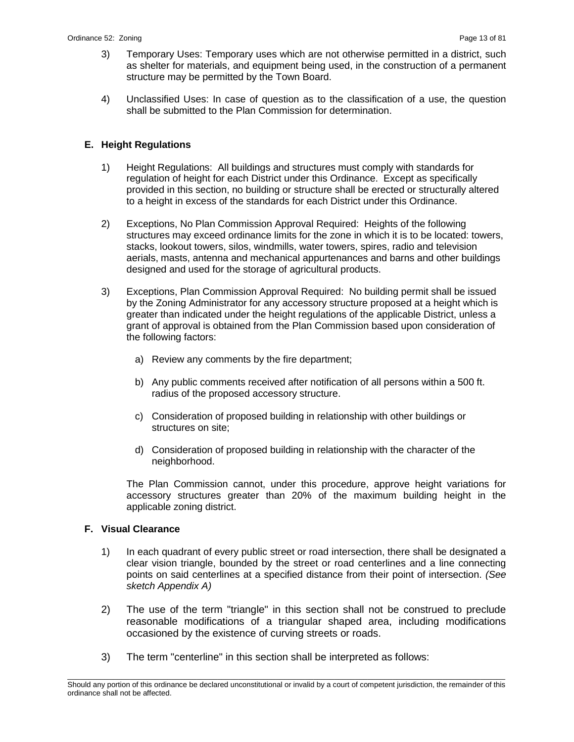- 3) Temporary Uses: Temporary uses which are not otherwise permitted in a district, such as shelter for materials, and equipment being used, in the construction of a permanent structure may be permitted by the Town Board.
- 4) Unclassified Uses: In case of question as to the classification of a use, the question shall be submitted to the Plan Commission for determination.

## **E. Height Regulations**

- 1) Height Regulations: All buildings and structures must comply with standards for regulation of height for each District under this Ordinance. Except as specifically provided in this section, no building or structure shall be erected or structurally altered to a height in excess of the standards for each District under this Ordinance.
- 2) Exceptions, No Plan Commission Approval Required: Heights of the following structures may exceed ordinance limits for the zone in which it is to be located: towers, stacks, lookout towers, silos, windmills, water towers, spires, radio and television aerials, masts, antenna and mechanical appurtenances and barns and other buildings designed and used for the storage of agricultural products.
- 3) Exceptions, Plan Commission Approval Required: No building permit shall be issued by the Zoning Administrator for any accessory structure proposed at a height which is greater than indicated under the height regulations of the applicable District, unless a grant of approval is obtained from the Plan Commission based upon consideration of the following factors:
	- a) Review any comments by the fire department;
	- b) Any public comments received after notification of all persons within a 500 ft. radius of the proposed accessory structure.
	- c) Consideration of proposed building in relationship with other buildings or structures on site;
	- d) Consideration of proposed building in relationship with the character of the neighborhood.

The Plan Commission cannot, under this procedure, approve height variations for accessory structures greater than 20% of the maximum building height in the applicable zoning district.

#### **F. Visual Clearance**

- 1) In each quadrant of every public street or road intersection, there shall be designated a clear vision triangle, bounded by the street or road centerlines and a line connecting points on said centerlines at a specified distance from their point of intersection. *(See sketch Appendix A)*
- 2) The use of the term "triangle" in this section shall not be construed to preclude reasonable modifications of a triangular shaped area, including modifications occasioned by the existence of curving streets or roads.
- 3) The term "centerline" in this section shall be interpreted as follows:

\_\_\_\_\_\_\_\_\_\_\_\_\_\_\_\_\_\_\_\_\_\_\_\_\_\_\_\_\_\_\_\_\_\_\_\_\_\_\_\_\_\_\_\_\_\_\_\_\_\_\_\_\_\_\_\_\_\_\_\_\_\_\_\_\_\_\_\_\_\_\_\_\_\_\_\_\_\_\_\_\_\_\_\_\_\_\_\_\_\_\_\_\_\_\_\_\_\_\_\_\_\_\_\_\_ Should any portion of this ordinance be declared unconstitutional or invalid by a court of competent jurisdiction, the remainder of this ordinance shall not be affected.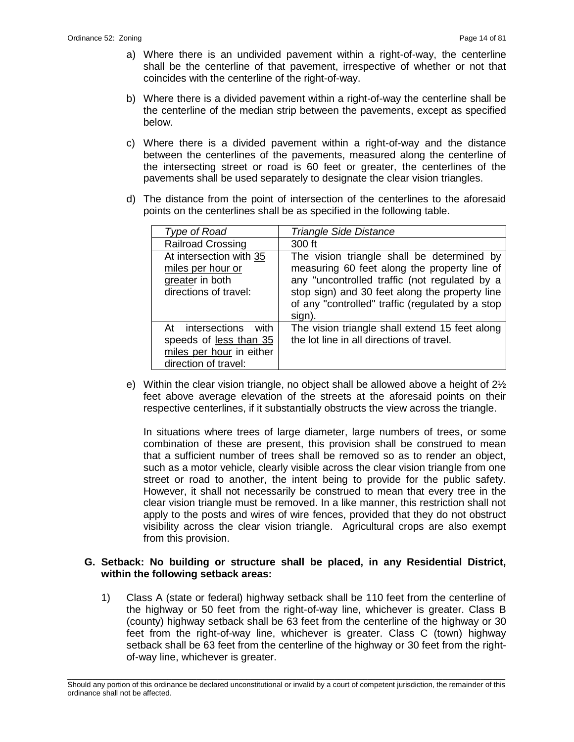- a) Where there is an undivided pavement within a right-of-way, the centerline shall be the centerline of that pavement, irrespective of whether or not that coincides with the centerline of the right-of-way.
- b) Where there is a divided pavement within a right-of-way the centerline shall be the centerline of the median strip between the pavements, except as specified below.
- c) Where there is a divided pavement within a right-of-way and the distance between the centerlines of the pavements, measured along the centerline of the intersecting street or road is 60 feet or greater, the centerlines of the pavements shall be used separately to designate the clear vision triangles.
- d) The distance from the point of intersection of the centerlines to the aforesaid points on the centerlines shall be as specified in the following table.

| Type of Road                                                                                           | <b>Triangle Side Distance</b>                                                                                                                                                                                                                               |
|--------------------------------------------------------------------------------------------------------|-------------------------------------------------------------------------------------------------------------------------------------------------------------------------------------------------------------------------------------------------------------|
| <b>Railroad Crossing</b>                                                                               | 300 ft                                                                                                                                                                                                                                                      |
| At intersection with 35<br>miles per hour or<br>greater in both<br>directions of travel:               | The vision triangle shall be determined by<br>measuring 60 feet along the property line of<br>any "uncontrolled traffic (not regulated by a<br>stop sign) and 30 feet along the property line<br>of any "controlled" traffic (regulated by a stop<br>sign). |
| At intersections<br>with<br>speeds of less than 35<br>miles per hour in either<br>direction of travel: | The vision triangle shall extend 15 feet along<br>the lot line in all directions of travel.                                                                                                                                                                 |

e) Within the clear vision triangle, no object shall be allowed above a height of 2½ feet above average elevation of the streets at the aforesaid points on their respective centerlines, if it substantially obstructs the view across the triangle.

In situations where trees of large diameter, large numbers of trees, or some combination of these are present, this provision shall be construed to mean that a sufficient number of trees shall be removed so as to render an object, such as a motor vehicle, clearly visible across the clear vision triangle from one street or road to another, the intent being to provide for the public safety. However, it shall not necessarily be construed to mean that every tree in the clear vision triangle must be removed. In a like manner, this restriction shall not apply to the posts and wires of wire fences, provided that they do not obstruct visibility across the clear vision triangle. Agricultural crops are also exempt from this provision.

## **G. Setback: No building or structure shall be placed, in any Residential District, within the following setback areas:**

1) Class A (state or federal) highway setback shall be 110 feet from the centerline of the highway or 50 feet from the right-of-way line, whichever is greater. Class B (county) highway setback shall be 63 feet from the centerline of the highway or 30 feet from the right-of-way line, whichever is greater. Class C (town) highway setback shall be 63 feet from the centerline of the highway or 30 feet from the rightof-way line, whichever is greater.

\_\_\_\_\_\_\_\_\_\_\_\_\_\_\_\_\_\_\_\_\_\_\_\_\_\_\_\_\_\_\_\_\_\_\_\_\_\_\_\_\_\_\_\_\_\_\_\_\_\_\_\_\_\_\_\_\_\_\_\_\_\_\_\_\_\_\_\_\_\_\_\_\_\_\_\_\_\_\_\_\_\_\_\_\_\_\_\_\_\_\_\_\_\_\_\_\_\_\_\_\_\_\_\_\_ Should any portion of this ordinance be declared unconstitutional or invalid by a court of competent jurisdiction, the remainder of this ordinance shall not be affected.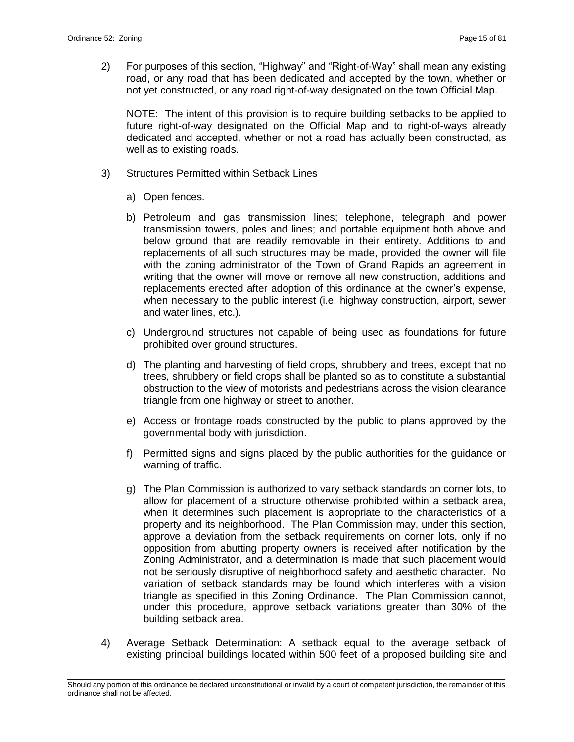2) For purposes of this section, "Highway" and "Right-of-Way" shall mean any existing road, or any road that has been dedicated and accepted by the town, whether or not yet constructed, or any road right-of-way designated on the town Official Map.

NOTE: The intent of this provision is to require building setbacks to be applied to future right-of-way designated on the Official Map and to right-of-ways already dedicated and accepted, whether or not a road has actually been constructed, as well as to existing roads.

- 3) Structures Permitted within Setback Lines
	- a) Open fences.
	- b) Petroleum and gas transmission lines; telephone, telegraph and power transmission towers, poles and lines; and portable equipment both above and below ground that are readily removable in their entirety. Additions to and replacements of all such structures may be made, provided the owner will file with the zoning administrator of the Town of Grand Rapids an agreement in writing that the owner will move or remove all new construction, additions and replacements erected after adoption of this ordinance at the owner's expense, when necessary to the public interest (i.e. highway construction, airport, sewer and water lines, etc.).
	- c) Underground structures not capable of being used as foundations for future prohibited over ground structures.
	- d) The planting and harvesting of field crops, shrubbery and trees, except that no trees, shrubbery or field crops shall be planted so as to constitute a substantial obstruction to the view of motorists and pedestrians across the vision clearance triangle from one highway or street to another.
	- e) Access or frontage roads constructed by the public to plans approved by the governmental body with jurisdiction.
	- f) Permitted signs and signs placed by the public authorities for the guidance or warning of traffic.
	- g) The Plan Commission is authorized to vary setback standards on corner lots, to allow for placement of a structure otherwise prohibited within a setback area, when it determines such placement is appropriate to the characteristics of a property and its neighborhood. The Plan Commission may, under this section, approve a deviation from the setback requirements on corner lots, only if no opposition from abutting property owners is received after notification by the Zoning Administrator, and a determination is made that such placement would not be seriously disruptive of neighborhood safety and aesthetic character. No variation of setback standards may be found which interferes with a vision triangle as specified in this Zoning Ordinance. The Plan Commission cannot, under this procedure, approve setback variations greater than 30% of the building setback area.
- 4) Average Setback Determination: A setback equal to the average setback of existing principal buildings located within 500 feet of a proposed building site and

\_\_\_\_\_\_\_\_\_\_\_\_\_\_\_\_\_\_\_\_\_\_\_\_\_\_\_\_\_\_\_\_\_\_\_\_\_\_\_\_\_\_\_\_\_\_\_\_\_\_\_\_\_\_\_\_\_\_\_\_\_\_\_\_\_\_\_\_\_\_\_\_\_\_\_\_\_\_\_\_\_\_\_\_\_\_\_\_\_\_\_\_\_\_\_\_\_\_\_\_\_\_\_\_\_ Should any portion of this ordinance be declared unconstitutional or invalid by a court of competent jurisdiction, the remainder of this ordinance shall not be affected.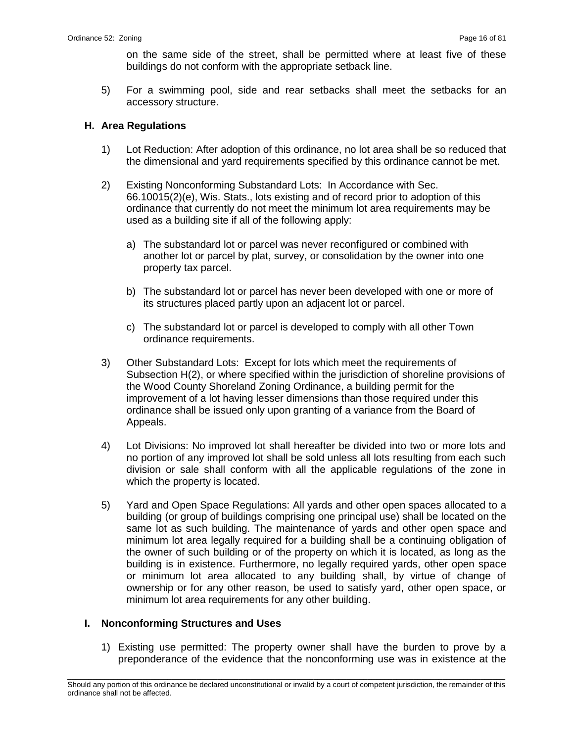on the same side of the street, shall be permitted where at least five of these buildings do not conform with the appropriate setback line.

5) For a swimming pool, side and rear setbacks shall meet the setbacks for an accessory structure.

## **H. Area Regulations**

- 1) Lot Reduction: After adoption of this ordinance, no lot area shall be so reduced that the dimensional and yard requirements specified by this ordinance cannot be met.
- 2) Existing Nonconforming Substandard Lots: In Accordance with Sec. 66.10015(2)(e), Wis. Stats., lots existing and of record prior to adoption of this ordinance that currently do not meet the minimum lot area requirements may be used as a building site if all of the following apply:
	- a) The substandard lot or parcel was never reconfigured or combined with another lot or parcel by plat, survey, or consolidation by the owner into one property tax parcel.
	- b) The substandard lot or parcel has never been developed with one or more of its structures placed partly upon an adjacent lot or parcel.
	- c) The substandard lot or parcel is developed to comply with all other Town ordinance requirements.
- 3) Other Substandard Lots: Except for lots which meet the requirements of Subsection H(2), or where specified within the jurisdiction of shoreline provisions of the Wood County Shoreland Zoning Ordinance, a building permit for the improvement of a lot having lesser dimensions than those required under this ordinance shall be issued only upon granting of a variance from the Board of Appeals.
- 4) Lot Divisions: No improved lot shall hereafter be divided into two or more lots and no portion of any improved lot shall be sold unless all lots resulting from each such division or sale shall conform with all the applicable regulations of the zone in which the property is located.
- 5) Yard and Open Space Regulations: All yards and other open spaces allocated to a building (or group of buildings comprising one principal use) shall be located on the same lot as such building. The maintenance of yards and other open space and minimum lot area legally required for a building shall be a continuing obligation of the owner of such building or of the property on which it is located, as long as the building is in existence. Furthermore, no legally required yards, other open space or minimum lot area allocated to any building shall, by virtue of change of ownership or for any other reason, be used to satisfy yard, other open space, or minimum lot area requirements for any other building.

#### **I. Nonconforming Structures and Uses**

1) Existing use permitted: The property owner shall have the burden to prove by a preponderance of the evidence that the nonconforming use was in existence at the

\_\_\_\_\_\_\_\_\_\_\_\_\_\_\_\_\_\_\_\_\_\_\_\_\_\_\_\_\_\_\_\_\_\_\_\_\_\_\_\_\_\_\_\_\_\_\_\_\_\_\_\_\_\_\_\_\_\_\_\_\_\_\_\_\_\_\_\_\_\_\_\_\_\_\_\_\_\_\_\_\_\_\_\_\_\_\_\_\_\_\_\_\_\_\_\_\_\_\_\_\_\_\_\_\_ Should any portion of this ordinance be declared unconstitutional or invalid by a court of competent jurisdiction, the remainder of this ordinance shall not be affected.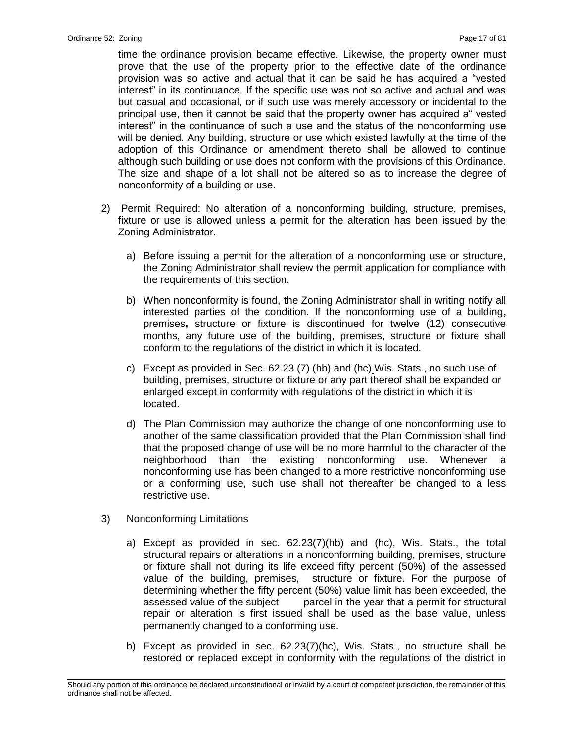time the ordinance provision became effective. Likewise, the property owner must prove that the use of the property prior to the effective date of the ordinance provision was so active and actual that it can be said he has acquired a "vested interest" in its continuance. If the specific use was not so active and actual and was but casual and occasional, or if such use was merely accessory or incidental to the principal use, then it cannot be said that the property owner has acquired a" vested interest" in the continuance of such a use and the status of the nonconforming use will be denied. Any building, structure or use which existed lawfully at the time of the adoption of this Ordinance or amendment thereto shall be allowed to continue although such building or use does not conform with the provisions of this Ordinance. The size and shape of a lot shall not be altered so as to increase the degree of nonconformity of a building or use.

- 2) Permit Required: No alteration of a nonconforming building, structure, premises, fixture or use is allowed unless a permit for the alteration has been issued by the Zoning Administrator.
	- a) Before issuing a permit for the alteration of a nonconforming use or structure, the Zoning Administrator shall review the permit application for compliance with the requirements of this section.
	- b) When nonconformity is found, the Zoning Administrator shall in writing notify all interested parties of the condition. If the nonconforming use of a building**,**  premises**,** structure or fixture is discontinued for twelve (12) consecutive months, any future use of the building, premises, structure or fixture shall conform to the regulations of the district in which it is located.
	- c) Except as provided in Sec. 62.23 (7) (hb) and (hc) Wis. Stats., no such use of building, premises, structure or fixture or any part thereof shall be expanded or enlarged except in conformity with regulations of the district in which it is located.
	- d) The Plan Commission may authorize the change of one nonconforming use to another of the same classification provided that the Plan Commission shall find that the proposed change of use will be no more harmful to the character of the neighborhood than the existing nonconforming use. Whenever a nonconforming use has been changed to a more restrictive nonconforming use or a conforming use, such use shall not thereafter be changed to a less restrictive use.
- 3) Nonconforming Limitations
	- a) Except as provided in sec. 62.23(7)(hb) and (hc), Wis. Stats., the total structural repairs or alterations in a nonconforming building, premises, structure or fixture shall not during its life exceed fifty percent (50%) of the assessed value of the building, premises, structure or fixture. For the purpose of determining whether the fifty percent (50%) value limit has been exceeded, the assessed value of the subject parcel in the year that a permit for structural repair or alteration is first issued shall be used as the base value, unless permanently changed to a conforming use.
	- b) Except as provided in sec. 62.23(7)(hc), Wis. Stats., no structure shall be restored or replaced except in conformity with the regulations of the district in

\_\_\_\_\_\_\_\_\_\_\_\_\_\_\_\_\_\_\_\_\_\_\_\_\_\_\_\_\_\_\_\_\_\_\_\_\_\_\_\_\_\_\_\_\_\_\_\_\_\_\_\_\_\_\_\_\_\_\_\_\_\_\_\_\_\_\_\_\_\_\_\_\_\_\_\_\_\_\_\_\_\_\_\_\_\_\_\_\_\_\_\_\_\_\_\_\_\_\_\_\_\_\_\_\_ Should any portion of this ordinance be declared unconstitutional or invalid by a court of competent jurisdiction, the remainder of this ordinance shall not be affected.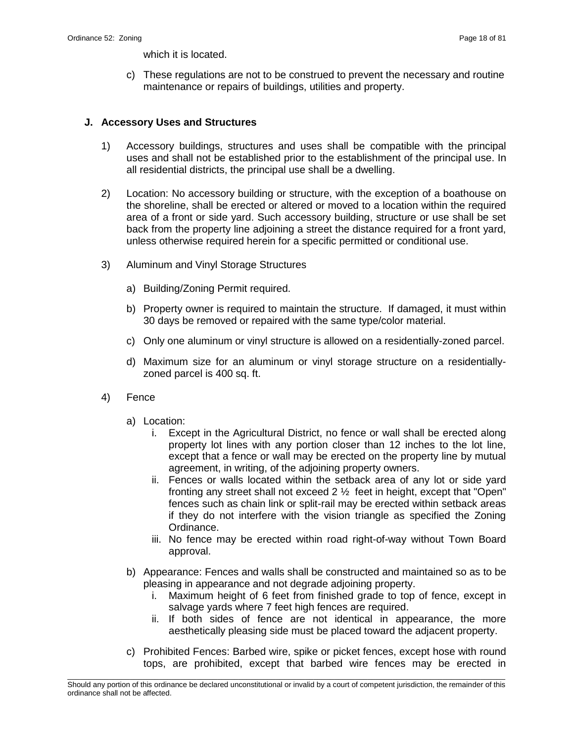which it is located.

c) These regulations are not to be construed to prevent the necessary and routine maintenance or repairs of buildings, utilities and property.

### **J. Accessory Uses and Structures**

- 1) Accessory buildings, structures and uses shall be compatible with the principal uses and shall not be established prior to the establishment of the principal use. In all residential districts, the principal use shall be a dwelling.
- 2) Location: No accessory building or structure, with the exception of a boathouse on the shoreline, shall be erected or altered or moved to a location within the required area of a front or side yard. Such accessory building, structure or use shall be set back from the property line adjoining a street the distance required for a front yard, unless otherwise required herein for a specific permitted or conditional use.
- 3) Aluminum and Vinyl Storage Structures
	- a) Building/Zoning Permit required.
	- b) Property owner is required to maintain the structure. If damaged, it must within 30 days be removed or repaired with the same type/color material.
	- c) Only one aluminum or vinyl structure is allowed on a residentially-zoned parcel.
	- d) Maximum size for an aluminum or vinyl storage structure on a residentiallyzoned parcel is 400 sq. ft.
- 4) Fence
	- a) Location:
		- i. Except in the Agricultural District, no fence or wall shall be erected along property lot lines with any portion closer than 12 inches to the lot line, except that a fence or wall may be erected on the property line by mutual agreement, in writing, of the adjoining property owners.
		- ii. Fences or walls located within the setback area of any lot or side yard fronting any street shall not exceed 2 ½ feet in height, except that "Open" fences such as chain link or split-rail may be erected within setback areas if they do not interfere with the vision triangle as specified the Zoning Ordinance.
		- iii. No fence may be erected within road right-of-way without Town Board approval.
	- b) Appearance: Fences and walls shall be constructed and maintained so as to be pleasing in appearance and not degrade adjoining property.
		- i. Maximum height of 6 feet from finished grade to top of fence, except in salvage yards where 7 feet high fences are required.
		- ii. If both sides of fence are not identical in appearance, the more aesthetically pleasing side must be placed toward the adjacent property.
	- c) Prohibited Fences: Barbed wire, spike or picket fences, except hose with round tops, are prohibited, except that barbed wire fences may be erected in

\_\_\_\_\_\_\_\_\_\_\_\_\_\_\_\_\_\_\_\_\_\_\_\_\_\_\_\_\_\_\_\_\_\_\_\_\_\_\_\_\_\_\_\_\_\_\_\_\_\_\_\_\_\_\_\_\_\_\_\_\_\_\_\_\_\_\_\_\_\_\_\_\_\_\_\_\_\_\_\_\_\_\_\_\_\_\_\_\_\_\_\_\_\_\_\_\_\_\_\_\_\_\_\_\_ Should any portion of this ordinance be declared unconstitutional or invalid by a court of competent jurisdiction, the remainder of this ordinance shall not be affected.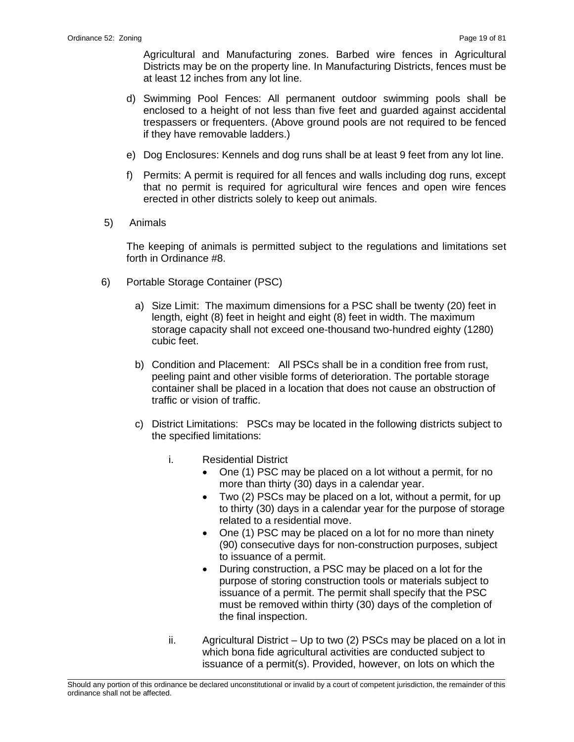Agricultural and Manufacturing zones. Barbed wire fences in Agricultural Districts may be on the property line. In Manufacturing Districts, fences must be at least 12 inches from any lot line.

- d) Swimming Pool Fences: All permanent outdoor swimming pools shall be enclosed to a height of not less than five feet and guarded against accidental trespassers or frequenters. (Above ground pools are not required to be fenced if they have removable ladders.)
- e) Dog Enclosures: Kennels and dog runs shall be at least 9 feet from any lot line.
- f) Permits: A permit is required for all fences and walls including dog runs, except that no permit is required for agricultural wire fences and open wire fences erected in other districts solely to keep out animals.
- 5) Animals

The keeping of animals is permitted subject to the regulations and limitations set forth in Ordinance #8.

- 6) Portable Storage Container (PSC)
	- a) Size Limit: The maximum dimensions for a PSC shall be twenty (20) feet in length, eight (8) feet in height and eight (8) feet in width. The maximum storage capacity shall not exceed one-thousand two-hundred eighty (1280) cubic feet.
	- b) Condition and Placement: All PSCs shall be in a condition free from rust, peeling paint and other visible forms of deterioration. The portable storage container shall be placed in a location that does not cause an obstruction of traffic or vision of traffic.
	- c) District Limitations: PSCs may be located in the following districts subject to the specified limitations:
		- i. Residential District
			- One (1) PSC may be placed on a lot without a permit, for no more than thirty (30) days in a calendar year.
			- Two (2) PSCs may be placed on a lot, without a permit, for up to thirty (30) days in a calendar year for the purpose of storage related to a residential move.
			- One (1) PSC may be placed on a lot for no more than ninety (90) consecutive days for non-construction purposes, subject to issuance of a permit.
			- During construction, a PSC may be placed on a lot for the purpose of storing construction tools or materials subject to issuance of a permit. The permit shall specify that the PSC must be removed within thirty (30) days of the completion of the final inspection.
		- ii. Agricultural District Up to two (2) PSCs may be placed on a lot in which bona fide agricultural activities are conducted subject to issuance of a permit(s). Provided, however, on lots on which the

\_\_\_\_\_\_\_\_\_\_\_\_\_\_\_\_\_\_\_\_\_\_\_\_\_\_\_\_\_\_\_\_\_\_\_\_\_\_\_\_\_\_\_\_\_\_\_\_\_\_\_\_\_\_\_\_\_\_\_\_\_\_\_\_\_\_\_\_\_\_\_\_\_\_\_\_\_\_\_\_\_\_\_\_\_\_\_\_\_\_\_\_\_\_\_\_\_\_\_\_\_\_\_\_\_ Should any portion of this ordinance be declared unconstitutional or invalid by a court of competent jurisdiction, the remainder of this ordinance shall not be affected.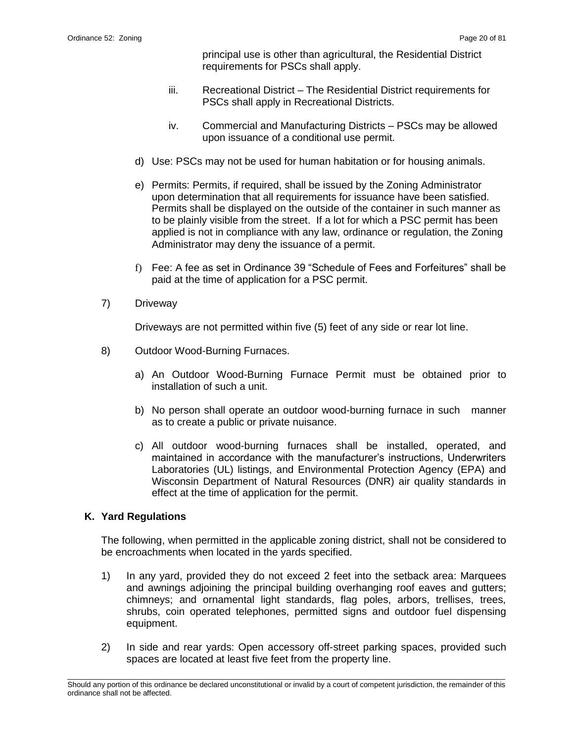principal use is other than agricultural, the Residential District requirements for PSCs shall apply.

- iii. Recreational District The Residential District requirements for PSCs shall apply in Recreational Districts.
- iv. Commercial and Manufacturing Districts PSCs may be allowed upon issuance of a conditional use permit.
- d) Use: PSCs may not be used for human habitation or for housing animals.
- e) Permits: Permits, if required, shall be issued by the Zoning Administrator upon determination that all requirements for issuance have been satisfied. Permits shall be displayed on the outside of the container in such manner as to be plainly visible from the street. If a lot for which a PSC permit has been applied is not in compliance with any law, ordinance or regulation, the Zoning Administrator may deny the issuance of a permit.
- f) Fee: A fee as set in Ordinance 39 "Schedule of Fees and Forfeitures" shall be paid at the time of application for a PSC permit.
- 7) Driveway

Driveways are not permitted within five (5) feet of any side or rear lot line.

- 8) Outdoor Wood-Burning Furnaces.
	- a) An Outdoor Wood-Burning Furnace Permit must be obtained prior to installation of such a unit.
	- b) No person shall operate an outdoor wood-burning furnace in such manner as to create a public or private nuisance.
	- c) All outdoor wood-burning furnaces shall be installed, operated, and maintained in accordance with the manufacturer's instructions, Underwriters Laboratories (UL) listings, and Environmental Protection Agency (EPA) and Wisconsin Department of Natural Resources (DNR) air quality standards in effect at the time of application for the permit.

# **K. Yard Regulations**

The following, when permitted in the applicable zoning district, shall not be considered to be encroachments when located in the yards specified.

- 1) In any yard, provided they do not exceed 2 feet into the setback area: Marquees and awnings adjoining the principal building overhanging roof eaves and gutters; chimneys; and ornamental light standards, flag poles, arbors, trellises, trees, shrubs, coin operated telephones, permitted signs and outdoor fuel dispensing equipment.
- 2) In side and rear yards: Open accessory off-street parking spaces, provided such spaces are located at least five feet from the property line.

\_\_\_\_\_\_\_\_\_\_\_\_\_\_\_\_\_\_\_\_\_\_\_\_\_\_\_\_\_\_\_\_\_\_\_\_\_\_\_\_\_\_\_\_\_\_\_\_\_\_\_\_\_\_\_\_\_\_\_\_\_\_\_\_\_\_\_\_\_\_\_\_\_\_\_\_\_\_\_\_\_\_\_\_\_\_\_\_\_\_\_\_\_\_\_\_\_\_\_\_\_\_\_\_\_ Should any portion of this ordinance be declared unconstitutional or invalid by a court of competent jurisdiction, the remainder of this ordinance shall not be affected.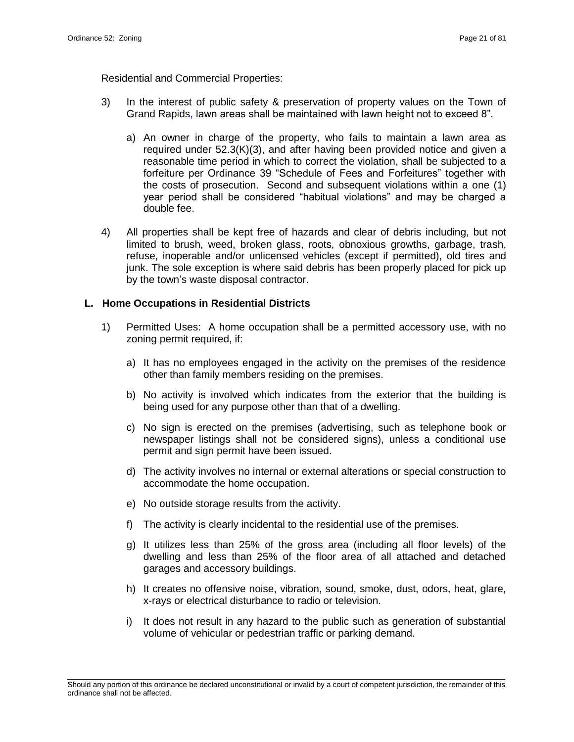Residential and Commercial Properties:

- 3) In the interest of public safety & preservation of property values on the Town of Grand Rapids, lawn areas shall be maintained with lawn height not to exceed 8".
	- a) An owner in charge of the property, who fails to maintain a lawn area as required under 52.3(K)(3), and after having been provided notice and given a reasonable time period in which to correct the violation, shall be subjected to a forfeiture per Ordinance 39 "Schedule of Fees and Forfeitures" together with the costs of prosecution. Second and subsequent violations within a one (1) year period shall be considered "habitual violations" and may be charged a double fee.
- 4) All properties shall be kept free of hazards and clear of debris including, but not limited to brush, weed, broken glass, roots, obnoxious growths, garbage, trash, refuse, inoperable and/or unlicensed vehicles (except if permitted), old tires and junk. The sole exception is where said debris has been properly placed for pick up by the town's waste disposal contractor.

#### **L. Home Occupations in Residential Districts**

- 1) Permitted Uses: A home occupation shall be a permitted accessory use, with no zoning permit required, if:
	- a) It has no employees engaged in the activity on the premises of the residence other than family members residing on the premises.
	- b) No activity is involved which indicates from the exterior that the building is being used for any purpose other than that of a dwelling.
	- c) No sign is erected on the premises (advertising, such as telephone book or newspaper listings shall not be considered signs), unless a conditional use permit and sign permit have been issued.
	- d) The activity involves no internal or external alterations or special construction to accommodate the home occupation.
	- e) No outside storage results from the activity.
	- f) The activity is clearly incidental to the residential use of the premises.
	- g) It utilizes less than 25% of the gross area (including all floor levels) of the dwelling and less than 25% of the floor area of all attached and detached garages and accessory buildings.
	- h) It creates no offensive noise, vibration, sound, smoke, dust, odors, heat, glare, x-rays or electrical disturbance to radio or television.
	- i) It does not result in any hazard to the public such as generation of substantial volume of vehicular or pedestrian traffic or parking demand.

\_\_\_\_\_\_\_\_\_\_\_\_\_\_\_\_\_\_\_\_\_\_\_\_\_\_\_\_\_\_\_\_\_\_\_\_\_\_\_\_\_\_\_\_\_\_\_\_\_\_\_\_\_\_\_\_\_\_\_\_\_\_\_\_\_\_\_\_\_\_\_\_\_\_\_\_\_\_\_\_\_\_\_\_\_\_\_\_\_\_\_\_\_\_\_\_\_\_\_\_\_\_\_\_\_ Should any portion of this ordinance be declared unconstitutional or invalid by a court of competent jurisdiction, the remainder of this ordinance shall not be affected.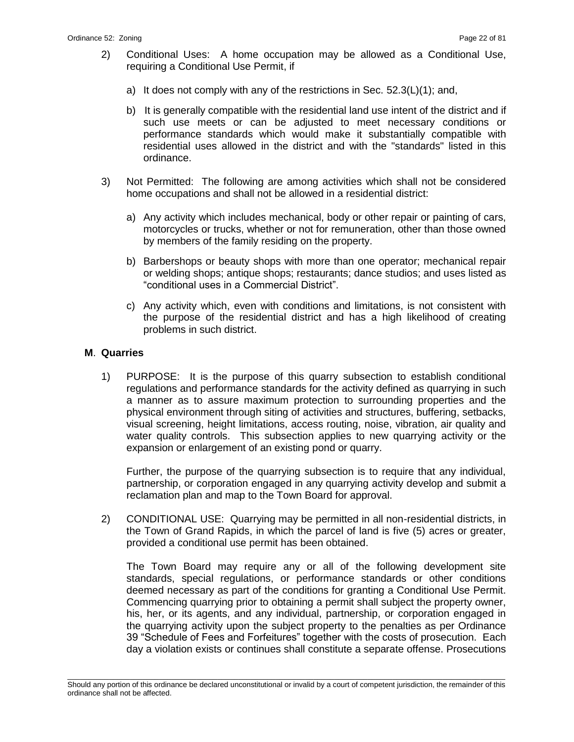- 2) Conditional Uses: A home occupation may be allowed as a Conditional Use, requiring a Conditional Use Permit, if
	- a) It does not comply with any of the restrictions in Sec. 52.3(L)(1); and,
	- b) It is generally compatible with the residential land use intent of the district and if such use meets or can be adjusted to meet necessary conditions or performance standards which would make it substantially compatible with residential uses allowed in the district and with the "standards" listed in this ordinance.
- 3) Not Permitted: The following are among activities which shall not be considered home occupations and shall not be allowed in a residential district:
	- a) Any activity which includes mechanical, body or other repair or painting of cars, motorcycles or trucks, whether or not for remuneration, other than those owned by members of the family residing on the property.
	- b) Barbershops or beauty shops with more than one operator; mechanical repair or welding shops; antique shops; restaurants; dance studios; and uses listed as "conditional uses in a Commercial District".
	- c) Any activity which, even with conditions and limitations, is not consistent with the purpose of the residential district and has a high likelihood of creating problems in such district.

#### **M**. **Quarries**

1) PURPOSE: It is the purpose of this quarry subsection to establish conditional regulations and performance standards for the activity defined as quarrying in such a manner as to assure maximum protection to surrounding properties and the physical environment through siting of activities and structures, buffering, setbacks, visual screening, height limitations, access routing, noise, vibration, air quality and water quality controls. This subsection applies to new quarrying activity or the expansion or enlargement of an existing pond or quarry.

Further, the purpose of the quarrying subsection is to require that any individual, partnership, or corporation engaged in any quarrying activity develop and submit a reclamation plan and map to the Town Board for approval.

2) CONDITIONAL USE: Quarrying may be permitted in all non-residential districts, in the Town of Grand Rapids, in which the parcel of land is five (5) acres or greater, provided a conditional use permit has been obtained.

The Town Board may require any or all of the following development site standards, special regulations, or performance standards or other conditions deemed necessary as part of the conditions for granting a Conditional Use Permit. Commencing quarrying prior to obtaining a permit shall subject the property owner, his, her, or its agents, and any individual, partnership, or corporation engaged in the quarrying activity upon the subject property to the penalties as per Ordinance 39 "Schedule of Fees and Forfeitures" together with the costs of prosecution. Each day a violation exists or continues shall constitute a separate offense. Prosecutions

\_\_\_\_\_\_\_\_\_\_\_\_\_\_\_\_\_\_\_\_\_\_\_\_\_\_\_\_\_\_\_\_\_\_\_\_\_\_\_\_\_\_\_\_\_\_\_\_\_\_\_\_\_\_\_\_\_\_\_\_\_\_\_\_\_\_\_\_\_\_\_\_\_\_\_\_\_\_\_\_\_\_\_\_\_\_\_\_\_\_\_\_\_\_\_\_\_\_\_\_\_\_\_\_\_ Should any portion of this ordinance be declared unconstitutional or invalid by a court of competent jurisdiction, the remainder of this ordinance shall not be affected.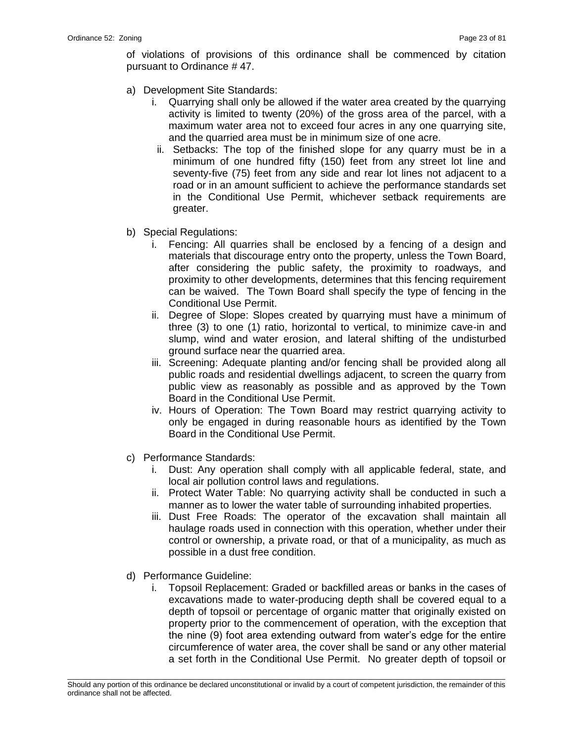of violations of provisions of this ordinance shall be commenced by citation pursuant to Ordinance # 47.

- a) Development Site Standards:
	- i. Quarrying shall only be allowed if the water area created by the quarrying activity is limited to twenty (20%) of the gross area of the parcel, with a maximum water area not to exceed four acres in any one quarrying site, and the quarried area must be in minimum size of one acre.
	- ii. Setbacks: The top of the finished slope for any quarry must be in a minimum of one hundred fifty (150) feet from any street lot line and seventy-five (75) feet from any side and rear lot lines not adjacent to a road or in an amount sufficient to achieve the performance standards set in the Conditional Use Permit, whichever setback requirements are greater.
- b) Special Regulations:
	- i. Fencing: All quarries shall be enclosed by a fencing of a design and materials that discourage entry onto the property, unless the Town Board, after considering the public safety, the proximity to roadways, and proximity to other developments, determines that this fencing requirement can be waived. The Town Board shall specify the type of fencing in the Conditional Use Permit.
	- ii. Degree of Slope: Slopes created by quarrying must have a minimum of three (3) to one (1) ratio, horizontal to vertical, to minimize cave-in and slump, wind and water erosion, and lateral shifting of the undisturbed ground surface near the quarried area.
	- iii. Screening: Adequate planting and/or fencing shall be provided along all public roads and residential dwellings adjacent, to screen the quarry from public view as reasonably as possible and as approved by the Town Board in the Conditional Use Permit.
	- iv. Hours of Operation: The Town Board may restrict quarrying activity to only be engaged in during reasonable hours as identified by the Town Board in the Conditional Use Permit.
- c) Performance Standards:
	- i. Dust: Any operation shall comply with all applicable federal, state, and local air pollution control laws and regulations.
	- ii. Protect Water Table: No quarrying activity shall be conducted in such a manner as to lower the water table of surrounding inhabited properties.
	- iii. Dust Free Roads: The operator of the excavation shall maintain all haulage roads used in connection with this operation, whether under their control or ownership, a private road, or that of a municipality, as much as possible in a dust free condition.
- d) Performance Guideline:
	- i. Topsoil Replacement: Graded or backfilled areas or banks in the cases of excavations made to water-producing depth shall be covered equal to a depth of topsoil or percentage of organic matter that originally existed on property prior to the commencement of operation, with the exception that the nine (9) foot area extending outward from water's edge for the entire circumference of water area, the cover shall be sand or any other material a set forth in the Conditional Use Permit. No greater depth of topsoil or

\_\_\_\_\_\_\_\_\_\_\_\_\_\_\_\_\_\_\_\_\_\_\_\_\_\_\_\_\_\_\_\_\_\_\_\_\_\_\_\_\_\_\_\_\_\_\_\_\_\_\_\_\_\_\_\_\_\_\_\_\_\_\_\_\_\_\_\_\_\_\_\_\_\_\_\_\_\_\_\_\_\_\_\_\_\_\_\_\_\_\_\_\_\_\_\_\_\_\_\_\_\_\_\_\_ Should any portion of this ordinance be declared unconstitutional or invalid by a court of competent jurisdiction, the remainder of this ordinance shall not be affected.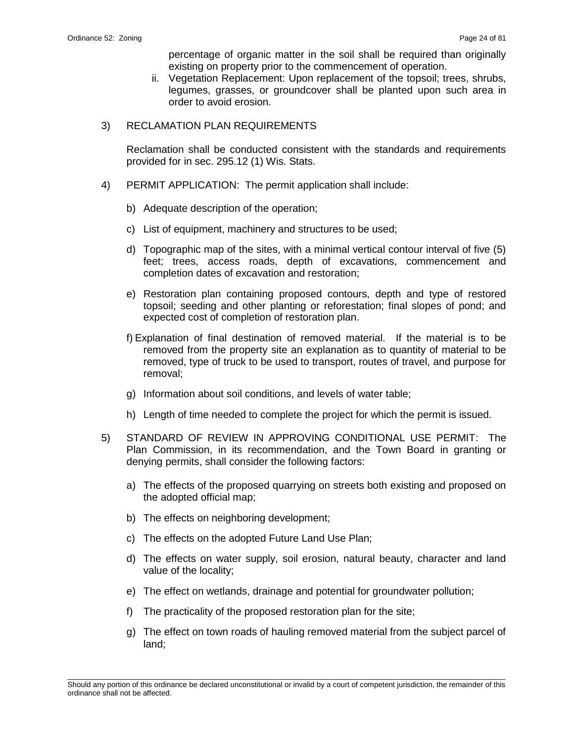percentage of organic matter in the soil shall be required than originally existing on property prior to the commencement of operation.

- ii. Vegetation Replacement: Upon replacement of the topsoil; trees, shrubs, legumes, grasses, or groundcover shall be planted upon such area in order to avoid erosion.
- 3) RECLAMATION PLAN REQUIREMENTS

Reclamation shall be conducted consistent with the standards and requirements provided for in sec. 295.12 (1) Wis. Stats.

- 4) PERMIT APPLICATION: The permit application shall include:
	- b) Adequate description of the operation;
	- c) List of equipment, machinery and structures to be used;
	- d) Topographic map of the sites, with a minimal vertical contour interval of five (5) feet; trees, access roads, depth of excavations, commencement and completion dates of excavation and restoration;
	- e) Restoration plan containing proposed contours, depth and type of restored topsoil; seeding and other planting or reforestation; final slopes of pond; and expected cost of completion of restoration plan.
	- f) Explanation of final destination of removed material. If the material is to be removed from the property site an explanation as to quantity of material to be removed, type of truck to be used to transport, routes of travel, and purpose for removal;
	- g) Information about soil conditions, and levels of water table;
	- h) Length of time needed to complete the project for which the permit is issued.
- 5) STANDARD OF REVIEW IN APPROVING CONDITIONAL USE PERMIT: The Plan Commission, in its recommendation, and the Town Board in granting or denying permits, shall consider the following factors:
	- a) The effects of the proposed quarrying on streets both existing and proposed on the adopted official map;
	- b) The effects on neighboring development;
	- c) The effects on the adopted Future Land Use Plan;
	- d) The effects on water supply, soil erosion, natural beauty, character and land value of the locality;
	- e) The effect on wetlands, drainage and potential for groundwater pollution;
	- f) The practicality of the proposed restoration plan for the site;
	- g) The effect on town roads of hauling removed material from the subject parcel of land;

\_\_\_\_\_\_\_\_\_\_\_\_\_\_\_\_\_\_\_\_\_\_\_\_\_\_\_\_\_\_\_\_\_\_\_\_\_\_\_\_\_\_\_\_\_\_\_\_\_\_\_\_\_\_\_\_\_\_\_\_\_\_\_\_\_\_\_\_\_\_\_\_\_\_\_\_\_\_\_\_\_\_\_\_\_\_\_\_\_\_\_\_\_\_\_\_\_\_\_\_\_\_\_\_\_ Should any portion of this ordinance be declared unconstitutional or invalid by a court of competent jurisdiction, the remainder of this ordinance shall not be affected.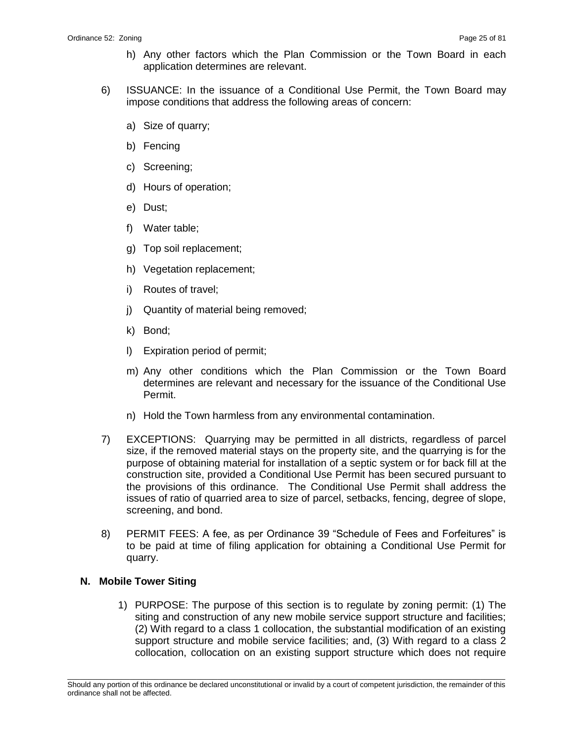- h) Any other factors which the Plan Commission or the Town Board in each application determines are relevant.
- 6) ISSUANCE: In the issuance of a Conditional Use Permit, the Town Board may impose conditions that address the following areas of concern:
	- a) Size of quarry;
	- b) Fencing
	- c) Screening;
	- d) Hours of operation;
	- e) Dust;
	- f) Water table;
	- g) Top soil replacement;
	- h) Vegetation replacement;
	- i) Routes of travel;
	- j) Quantity of material being removed;
	- k) Bond;
	- l) Expiration period of permit;
	- m) Any other conditions which the Plan Commission or the Town Board determines are relevant and necessary for the issuance of the Conditional Use Permit.
	- n) Hold the Town harmless from any environmental contamination.
- 7) EXCEPTIONS: Quarrying may be permitted in all districts, regardless of parcel size, if the removed material stays on the property site, and the quarrying is for the purpose of obtaining material for installation of a septic system or for back fill at the construction site, provided a Conditional Use Permit has been secured pursuant to the provisions of this ordinance. The Conditional Use Permit shall address the issues of ratio of quarried area to size of parcel, setbacks, fencing, degree of slope, screening, and bond.
- 8) PERMIT FEES: A fee, as per Ordinance 39 "Schedule of Fees and Forfeitures" is to be paid at time of filing application for obtaining a Conditional Use Permit for quarry.

# **N. Mobile Tower Siting**

1) PURPOSE: The purpose of this section is to regulate by zoning permit: (1) The siting and construction of any new mobile service support structure and facilities; (2) With regard to a class 1 collocation, the substantial modification of an existing support structure and mobile service facilities; and, (3) With regard to a class 2 collocation, collocation on an existing support structure which does not require

\_\_\_\_\_\_\_\_\_\_\_\_\_\_\_\_\_\_\_\_\_\_\_\_\_\_\_\_\_\_\_\_\_\_\_\_\_\_\_\_\_\_\_\_\_\_\_\_\_\_\_\_\_\_\_\_\_\_\_\_\_\_\_\_\_\_\_\_\_\_\_\_\_\_\_\_\_\_\_\_\_\_\_\_\_\_\_\_\_\_\_\_\_\_\_\_\_\_\_\_\_\_\_\_\_ Should any portion of this ordinance be declared unconstitutional or invalid by a court of competent jurisdiction, the remainder of this ordinance shall not be affected.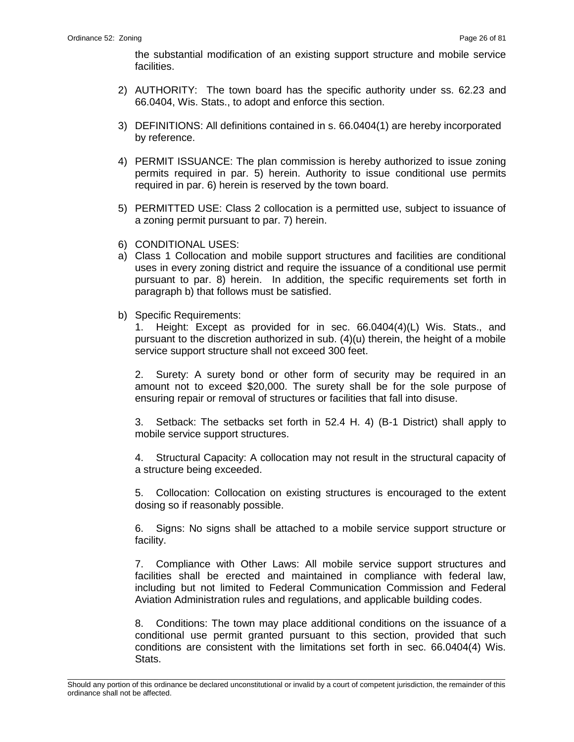the substantial modification of an existing support structure and mobile service facilities.

- 2) AUTHORITY: The town board has the specific authority under ss. 62.23 and 66.0404, Wis. Stats., to adopt and enforce this section.
- 3) DEFINITIONS: All definitions contained in s. 66.0404(1) are hereby incorporated by reference.
- 4) PERMIT ISSUANCE: The plan commission is hereby authorized to issue zoning permits required in par. 5) herein. Authority to issue conditional use permits required in par. 6) herein is reserved by the town board.
- 5) PERMITTED USE: Class 2 collocation is a permitted use, subject to issuance of a zoning permit pursuant to par. 7) herein.
- 6) CONDITIONAL USES:
- a) Class 1 Collocation and mobile support structures and facilities are conditional uses in every zoning district and require the issuance of a conditional use permit pursuant to par. 8) herein. In addition, the specific requirements set forth in paragraph b) that follows must be satisfied.
- b) Specific Requirements:

1. Height: Except as provided for in sec. 66.0404(4)(L) Wis. Stats., and pursuant to the discretion authorized in sub.  $(4)(u)$  therein, the height of a mobile service support structure shall not exceed 300 feet.

2. Surety: A surety bond or other form of security may be required in an amount not to exceed \$20,000. The surety shall be for the sole purpose of ensuring repair or removal of structures or facilities that fall into disuse.

3. Setback: The setbacks set forth in 52.4 H. 4) (B-1 District) shall apply to mobile service support structures.

4. Structural Capacity: A collocation may not result in the structural capacity of a structure being exceeded.

5. Collocation: Collocation on existing structures is encouraged to the extent dosing so if reasonably possible.

6. Signs: No signs shall be attached to a mobile service support structure or facility.

7. Compliance with Other Laws: All mobile service support structures and facilities shall be erected and maintained in compliance with federal law, including but not limited to Federal Communication Commission and Federal Aviation Administration rules and regulations, and applicable building codes.

8. Conditions: The town may place additional conditions on the issuance of a conditional use permit granted pursuant to this section, provided that such conditions are consistent with the limitations set forth in sec. 66.0404(4) Wis. Stats.

\_\_\_\_\_\_\_\_\_\_\_\_\_\_\_\_\_\_\_\_\_\_\_\_\_\_\_\_\_\_\_\_\_\_\_\_\_\_\_\_\_\_\_\_\_\_\_\_\_\_\_\_\_\_\_\_\_\_\_\_\_\_\_\_\_\_\_\_\_\_\_\_\_\_\_\_\_\_\_\_\_\_\_\_\_\_\_\_\_\_\_\_\_\_\_\_\_\_\_\_\_\_\_\_\_ Should any portion of this ordinance be declared unconstitutional or invalid by a court of competent jurisdiction, the remainder of this ordinance shall not be affected.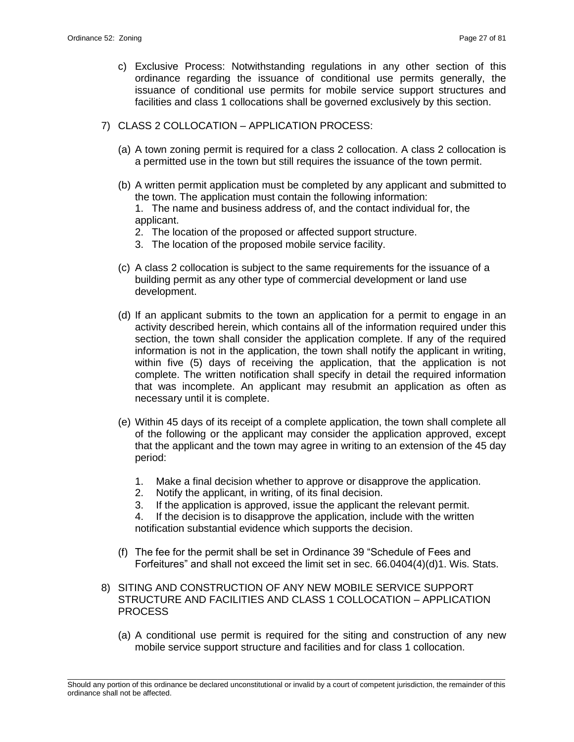- c) Exclusive Process: Notwithstanding regulations in any other section of this ordinance regarding the issuance of conditional use permits generally, the issuance of conditional use permits for mobile service support structures and facilities and class 1 collocations shall be governed exclusively by this section.
- 7) CLASS 2 COLLOCATION APPLICATION PROCESS:
	- (a) A town zoning permit is required for a class 2 collocation. A class 2 collocation is a permitted use in the town but still requires the issuance of the town permit.
	- (b) A written permit application must be completed by any applicant and submitted to the town. The application must contain the following information:

1. The name and business address of, and the contact individual for, the applicant.

- 2. The location of the proposed or affected support structure.
- 3. The location of the proposed mobile service facility.
- (c) A class 2 collocation is subject to the same requirements for the issuance of a building permit as any other type of commercial development or land use development.
- (d) If an applicant submits to the town an application for a permit to engage in an activity described herein, which contains all of the information required under this section, the town shall consider the application complete. If any of the required information is not in the application, the town shall notify the applicant in writing, within five (5) days of receiving the application, that the application is not complete. The written notification shall specify in detail the required information that was incomplete. An applicant may resubmit an application as often as necessary until it is complete.
- (e) Within 45 days of its receipt of a complete application, the town shall complete all of the following or the applicant may consider the application approved, except that the applicant and the town may agree in writing to an extension of the 45 day period:
	- 1. Make a final decision whether to approve or disapprove the application.
	- 2. Notify the applicant, in writing, of its final decision.
	- 3. If the application is approved, issue the applicant the relevant permit.

4. If the decision is to disapprove the application, include with the written notification substantial evidence which supports the decision.

- (f) The fee for the permit shall be set in Ordinance 39 "Schedule of Fees and Forfeitures" and shall not exceed the limit set in sec. 66.0404(4)(d)1. Wis. Stats.
- 8) SITING AND CONSTRUCTION OF ANY NEW MOBILE SERVICE SUPPORT STRUCTURE AND FACILITIES AND CLASS 1 COLLOCATION – APPLICATION PROCESS
	- (a) A conditional use permit is required for the siting and construction of any new mobile service support structure and facilities and for class 1 collocation.

\_\_\_\_\_\_\_\_\_\_\_\_\_\_\_\_\_\_\_\_\_\_\_\_\_\_\_\_\_\_\_\_\_\_\_\_\_\_\_\_\_\_\_\_\_\_\_\_\_\_\_\_\_\_\_\_\_\_\_\_\_\_\_\_\_\_\_\_\_\_\_\_\_\_\_\_\_\_\_\_\_\_\_\_\_\_\_\_\_\_\_\_\_\_\_\_\_\_\_\_\_\_\_\_\_ Should any portion of this ordinance be declared unconstitutional or invalid by a court of competent jurisdiction, the remainder of this ordinance shall not be affected.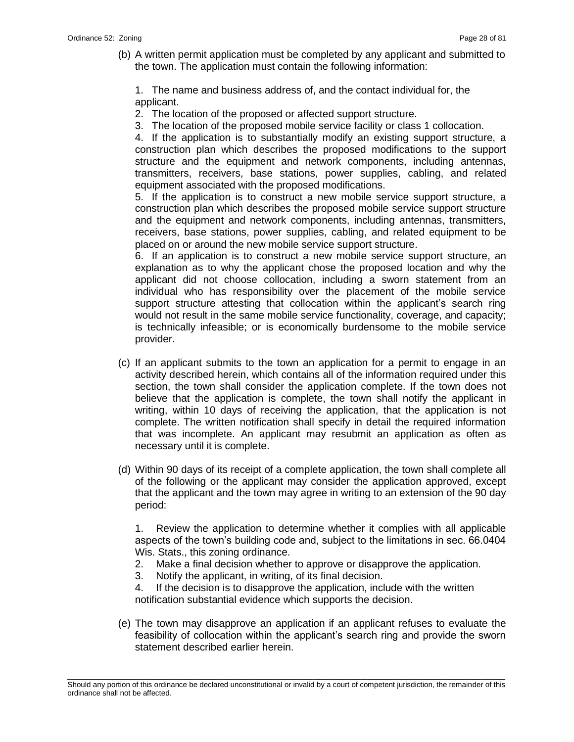(b) A written permit application must be completed by any applicant and submitted to the town. The application must contain the following information:

1. The name and business address of, and the contact individual for, the applicant.

- 2. The location of the proposed or affected support structure.
- 3. The location of the proposed mobile service facility or class 1 collocation.

4. If the application is to substantially modify an existing support structure, a construction plan which describes the proposed modifications to the support structure and the equipment and network components, including antennas, transmitters, receivers, base stations, power supplies, cabling, and related equipment associated with the proposed modifications.

5. If the application is to construct a new mobile service support structure, a construction plan which describes the proposed mobile service support structure and the equipment and network components, including antennas, transmitters, receivers, base stations, power supplies, cabling, and related equipment to be placed on or around the new mobile service support structure.

6. If an application is to construct a new mobile service support structure, an explanation as to why the applicant chose the proposed location and why the applicant did not choose collocation, including a sworn statement from an individual who has responsibility over the placement of the mobile service support structure attesting that collocation within the applicant's search ring would not result in the same mobile service functionality, coverage, and capacity; is technically infeasible; or is economically burdensome to the mobile service provider.

- (c) If an applicant submits to the town an application for a permit to engage in an activity described herein, which contains all of the information required under this section, the town shall consider the application complete. If the town does not believe that the application is complete, the town shall notify the applicant in writing, within 10 days of receiving the application, that the application is not complete. The written notification shall specify in detail the required information that was incomplete. An applicant may resubmit an application as often as necessary until it is complete.
- (d) Within 90 days of its receipt of a complete application, the town shall complete all of the following or the applicant may consider the application approved, except that the applicant and the town may agree in writing to an extension of the 90 day period:

1. Review the application to determine whether it complies with all applicable aspects of the town's building code and, subject to the limitations in sec. 66.0404 Wis. Stats., this zoning ordinance.

- 2. Make a final decision whether to approve or disapprove the application.
- 3. Notify the applicant, in writing, of its final decision.

4. If the decision is to disapprove the application, include with the written notification substantial evidence which supports the decision.

(e) The town may disapprove an application if an applicant refuses to evaluate the feasibility of collocation within the applicant's search ring and provide the sworn statement described earlier herein.

\_\_\_\_\_\_\_\_\_\_\_\_\_\_\_\_\_\_\_\_\_\_\_\_\_\_\_\_\_\_\_\_\_\_\_\_\_\_\_\_\_\_\_\_\_\_\_\_\_\_\_\_\_\_\_\_\_\_\_\_\_\_\_\_\_\_\_\_\_\_\_\_\_\_\_\_\_\_\_\_\_\_\_\_\_\_\_\_\_\_\_\_\_\_\_\_\_\_\_\_\_\_\_\_\_ Should any portion of this ordinance be declared unconstitutional or invalid by a court of competent jurisdiction, the remainder of this ordinance shall not be affected.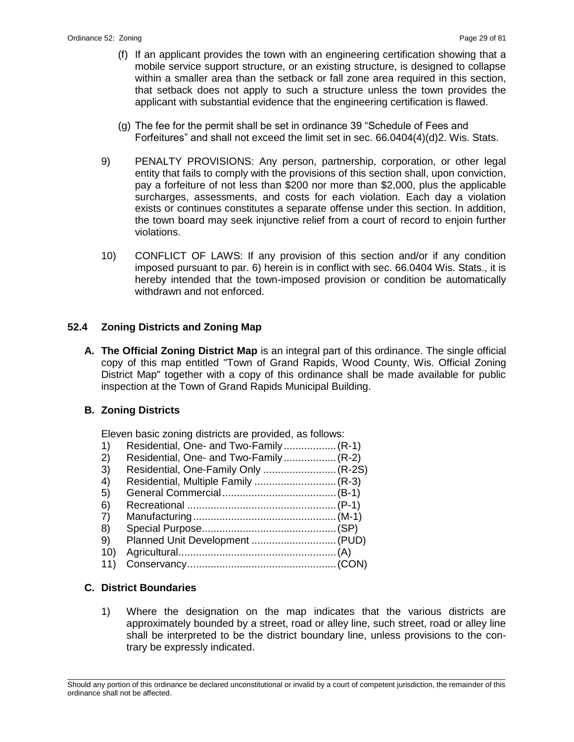- (f) If an applicant provides the town with an engineering certification showing that a mobile service support structure, or an existing structure, is designed to collapse within a smaller area than the setback or fall zone area required in this section, that setback does not apply to such a structure unless the town provides the applicant with substantial evidence that the engineering certification is flawed.
- (g) The fee for the permit shall be set in ordinance 39 "Schedule of Fees and Forfeitures" and shall not exceed the limit set in sec. 66.0404(4)(d)2. Wis. Stats.
- 9) PENALTY PROVISIONS: Any person, partnership, corporation, or other legal entity that fails to comply with the provisions of this section shall, upon conviction, pay a forfeiture of not less than \$200 nor more than \$2,000, plus the applicable surcharges, assessments, and costs for each violation. Each day a violation exists or continues constitutes a separate offense under this section. In addition, the town board may seek injunctive relief from a court of record to enjoin further violations.
- 10) CONFLICT OF LAWS: If any provision of this section and/or if any condition imposed pursuant to par. 6) herein is in conflict with sec. 66.0404 Wis. Stats., it is hereby intended that the town-imposed provision or condition be automatically withdrawn and not enforced.

# **52.4 Zoning Districts and Zoning Map**

**A. The Official Zoning District Map** is an integral part of this ordinance. The single official copy of this map entitled "Town of Grand Rapids, Wood County, Wis. Official Zoning District Map" together with a copy of this ordinance shall be made available for public inspection at the Town of Grand Rapids Municipal Building.

# **B. Zoning Districts**

Eleven basic zoning districts are provided, as follows:

- 1) Residential, One- and Two-Family..................(R-1)
- 2) Residential, One- and Two-Family.................. (R-2)<br>3) Residential, One-Family Only......................... (R-2S
- 3) Residential, One-Family Only .........................(R-2S)
- 4) Residential, Multiple Family ............................(R-3)
- 5) General Commercial.......................................(B-1)
- 6) Recreational ...................................................(P-1)
- 7) Manufacturing.................................................(M-1) 8) Special Purpose..............................................(SP)
- 9) Planned Unit Development .............................(PUD)
- 10) Agricultural......................................................(A)
- 11) Conservancy...................................................(CON)

# **C. District Boundaries**

1) Where the designation on the map indicates that the various districts are approximately bounded by a street, road or alley line, such street, road or alley line shall be interpreted to be the district boundary line, unless provisions to the contrary be expressly indicated.

\_\_\_\_\_\_\_\_\_\_\_\_\_\_\_\_\_\_\_\_\_\_\_\_\_\_\_\_\_\_\_\_\_\_\_\_\_\_\_\_\_\_\_\_\_\_\_\_\_\_\_\_\_\_\_\_\_\_\_\_\_\_\_\_\_\_\_\_\_\_\_\_\_\_\_\_\_\_\_\_\_\_\_\_\_\_\_\_\_\_\_\_\_\_\_\_\_\_\_\_\_\_\_\_\_ Should any portion of this ordinance be declared unconstitutional or invalid by a court of competent jurisdiction, the remainder of this ordinance shall not be affected.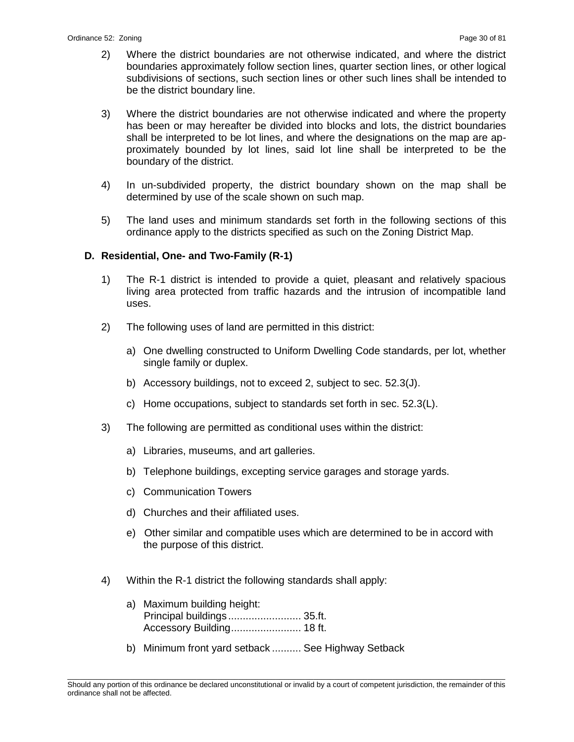- 2) Where the district boundaries are not otherwise indicated, and where the district boundaries approximately follow section lines, quarter section lines, or other logical subdivisions of sections, such section lines or other such lines shall be intended to be the district boundary line.
- 3) Where the district boundaries are not otherwise indicated and where the property has been or may hereafter be divided into blocks and lots, the district boundaries shall be interpreted to be lot lines, and where the designations on the map are approximately bounded by lot lines, said lot line shall be interpreted to be the boundary of the district.
- 4) In un-subdivided property, the district boundary shown on the map shall be determined by use of the scale shown on such map.
- 5) The land uses and minimum standards set forth in the following sections of this ordinance apply to the districts specified as such on the Zoning District Map.

# **D. Residential, One- and Two-Family (R-1)**

- 1) The R-1 district is intended to provide a quiet, pleasant and relatively spacious living area protected from traffic hazards and the intrusion of incompatible land uses.
- 2) The following uses of land are permitted in this district:
	- a) One dwelling constructed to Uniform Dwelling Code standards, per lot, whether single family or duplex.
	- b) Accessory buildings, not to exceed 2, subject to sec. 52.3(J).
	- c) Home occupations, subject to standards set forth in sec. 52.3(L).
- 3) The following are permitted as conditional uses within the district:
	- a) Libraries, museums, and art galleries.
	- b) Telephone buildings, excepting service garages and storage yards.
	- c) Communication Towers
	- d) Churches and their affiliated uses.
	- e) Other similar and compatible uses which are determined to be in accord with the purpose of this district.
- 4) Within the R-1 district the following standards shall apply:
	- a) Maximum building height: Principal buildings ......................... 35.ft. Accessory Building........................ 18 ft.
	- b) Minimum front yard setback .......... See Highway Setback

\_\_\_\_\_\_\_\_\_\_\_\_\_\_\_\_\_\_\_\_\_\_\_\_\_\_\_\_\_\_\_\_\_\_\_\_\_\_\_\_\_\_\_\_\_\_\_\_\_\_\_\_\_\_\_\_\_\_\_\_\_\_\_\_\_\_\_\_\_\_\_\_\_\_\_\_\_\_\_\_\_\_\_\_\_\_\_\_\_\_\_\_\_\_\_\_\_\_\_\_\_\_\_\_\_ Should any portion of this ordinance be declared unconstitutional or invalid by a court of competent jurisdiction, the remainder of this ordinance shall not be affected.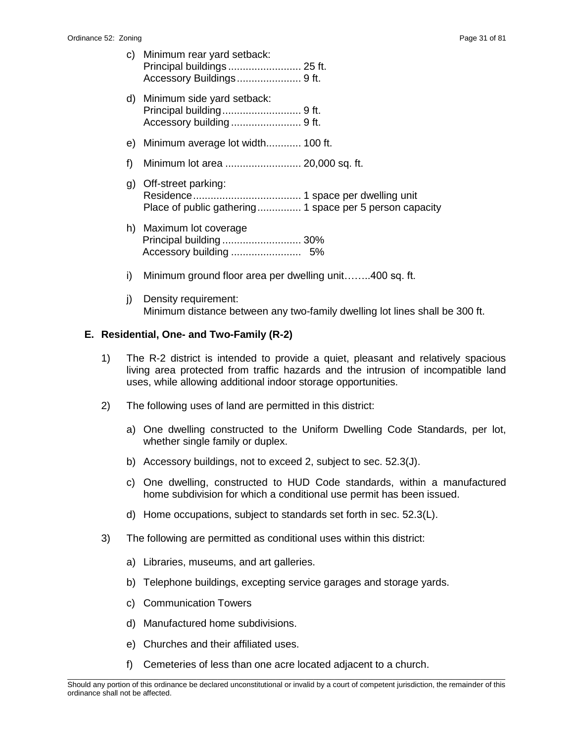- c) Minimum rear yard setback: Principal buildings ......................... 25 ft. Accessory Buildings...................... 9 ft.
- d) Minimum side yard setback: Principal building........................... 9 ft. Accessory building ........................ 9 ft.
- e) Minimum average lot width............ 100 ft.
- f) Minimum lot area .......................... 20,000 sq. ft.
- g) Off-street parking: Residence..................................... 1 space per dwelling unit Place of public gathering............... 1 space per 5 person capacity
- h) Maximum lot coverage Principal building ........................... 30% Accessory building ........................ 5%
- i) Minimum ground floor area per dwelling unit……..400 sq. ft.
- j) Density requirement: Minimum distance between any two-family dwelling lot lines shall be 300 ft.

#### **E. Residential, One- and Two-Family (R-2)**

- 1) The R-2 district is intended to provide a quiet, pleasant and relatively spacious living area protected from traffic hazards and the intrusion of incompatible land uses, while allowing additional indoor storage opportunities.
- 2) The following uses of land are permitted in this district:
	- a) One dwelling constructed to the Uniform Dwelling Code Standards, per lot, whether single family or duplex.
	- b) Accessory buildings, not to exceed 2, subject to sec. 52.3(J).
	- c) One dwelling, constructed to HUD Code standards, within a manufactured home subdivision for which a conditional use permit has been issued.
	- d) Home occupations, subject to standards set forth in sec. 52.3(L).
- 3) The following are permitted as conditional uses within this district:
	- a) Libraries, museums, and art galleries.
	- b) Telephone buildings, excepting service garages and storage yards.
	- c) Communication Towers
	- d) Manufactured home subdivisions.
	- e) Churches and their affiliated uses.
	- f) Cemeteries of less than one acre located adjacent to a church.

\_\_\_\_\_\_\_\_\_\_\_\_\_\_\_\_\_\_\_\_\_\_\_\_\_\_\_\_\_\_\_\_\_\_\_\_\_\_\_\_\_\_\_\_\_\_\_\_\_\_\_\_\_\_\_\_\_\_\_\_\_\_\_\_\_\_\_\_\_\_\_\_\_\_\_\_\_\_\_\_\_\_\_\_\_\_\_\_\_\_\_\_\_\_\_\_\_\_\_\_\_\_\_\_\_ Should any portion of this ordinance be declared unconstitutional or invalid by a court of competent jurisdiction, the remainder of this ordinance shall not be affected.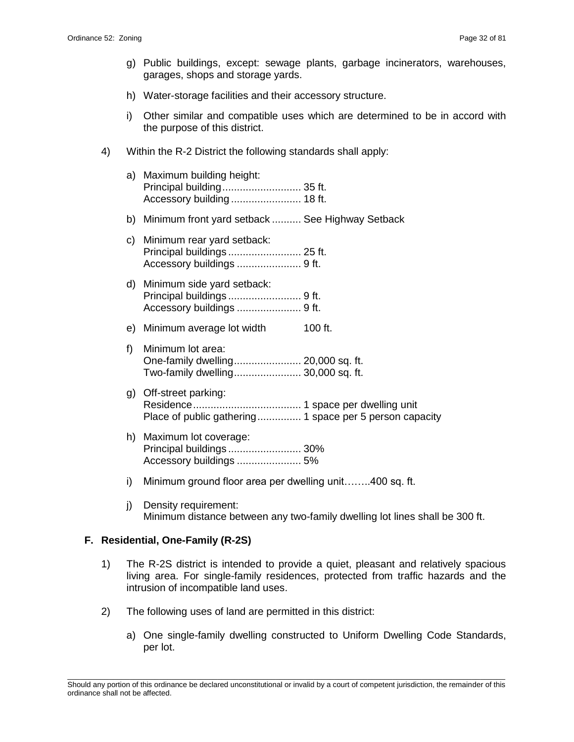- g) Public buildings, except: sewage plants, garbage incinerators, warehouses, garages, shops and storage yards.
- h) Water-storage facilities and their accessory structure.
- i) Other similar and compatible uses which are determined to be in accord with the purpose of this district.
- 4) Within the R-2 District the following standards shall apply:
	- a) Maximum building height: Principal building........................... 35 ft. Accessory building ........................ 18 ft.
	- b) Minimum front yard setback .......... See Highway Setback
	- c) Minimum rear yard setback: Principal buildings ......................... 25 ft. Accessory buildings ...................... 9 ft.
	- d) Minimum side yard setback: Principal buildings ......................... 9 ft. Accessory buildings ...................... 9 ft.
	- e) Minimum average lot width 100 ft.
	- f) Minimum lot area: One-family dwelling....................... 20,000 sq. ft. Two-family dwelling....................... 30,000 sq. ft.
	- g) Off-street parking: Residence..................................... 1 space per dwelling unit Place of public gathering............... 1 space per 5 person capacity
	- h) Maximum lot coverage: Principal buildings ......................... 30% Accessory buildings ...................... 5%
	- i) Minimum ground floor area per dwelling unit……..400 sq. ft.
	- j) Density requirement: Minimum distance between any two-family dwelling lot lines shall be 300 ft.

# **F. Residential, One-Family (R-2S)**

- 1) The R-2S district is intended to provide a quiet, pleasant and relatively spacious living area. For single-family residences, protected from traffic hazards and the intrusion of incompatible land uses.
- 2) The following uses of land are permitted in this district:
	- a) One single-family dwelling constructed to Uniform Dwelling Code Standards, per lot.

\_\_\_\_\_\_\_\_\_\_\_\_\_\_\_\_\_\_\_\_\_\_\_\_\_\_\_\_\_\_\_\_\_\_\_\_\_\_\_\_\_\_\_\_\_\_\_\_\_\_\_\_\_\_\_\_\_\_\_\_\_\_\_\_\_\_\_\_\_\_\_\_\_\_\_\_\_\_\_\_\_\_\_\_\_\_\_\_\_\_\_\_\_\_\_\_\_\_\_\_\_\_\_\_\_ Should any portion of this ordinance be declared unconstitutional or invalid by a court of competent jurisdiction, the remainder of this ordinance shall not be affected.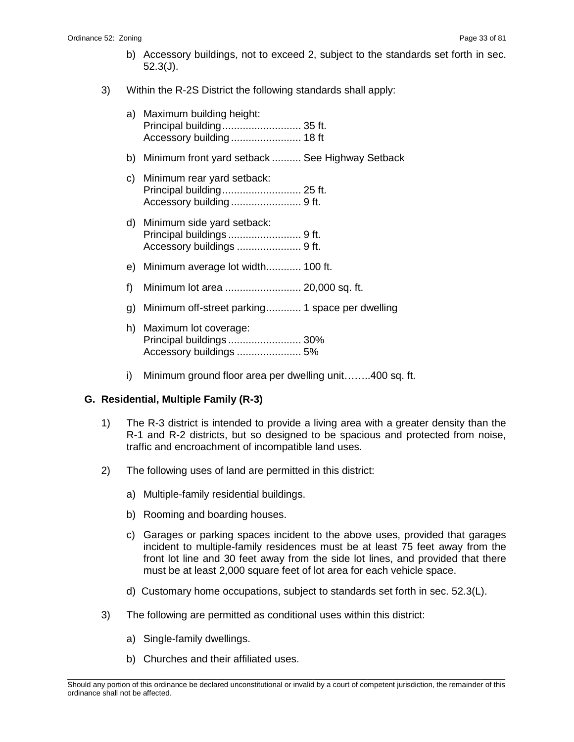- b) Accessory buildings, not to exceed 2, subject to the standards set forth in sec. 52.3(J).
- 3) Within the R-2S District the following standards shall apply:
	- a) Maximum building height: Principal building........................... 35 ft. Accessory building ........................ 18 ft
	- b) Minimum front yard setback .......... See Highway Setback
	- c) Minimum rear yard setback: Principal building........................... 25 ft. Accessory building ........................ 9 ft.
	- d) Minimum side yard setback: Principal buildings ......................... 9 ft. Accessory buildings ...................... 9 ft.
	- e) Minimum average lot width............ 100 ft.
	- f) Minimum lot area .......................... 20,000 sq. ft.
	- g) Minimum off-street parking............ 1 space per dwelling
	- h) Maximum lot coverage: Principal buildings ......................... 30% Accessory buildings ...................... 5%
	- i) Minimum ground floor area per dwelling unit……..400 sq. ft.

# **G. Residential, Multiple Family (R-3)**

- 1) The R-3 district is intended to provide a living area with a greater density than the R-1 and R-2 districts, but so designed to be spacious and protected from noise, traffic and encroachment of incompatible land uses.
- 2) The following uses of land are permitted in this district:
	- a) Multiple-family residential buildings.
	- b) Rooming and boarding houses.
	- c) Garages or parking spaces incident to the above uses, provided that garages incident to multiple-family residences must be at least 75 feet away from the front lot line and 30 feet away from the side lot lines, and provided that there must be at least 2,000 square feet of lot area for each vehicle space.
	- d) Customary home occupations, subject to standards set forth in sec. 52.3(L).
- 3) The following are permitted as conditional uses within this district:
	- a) Single-family dwellings.
	- b) Churches and their affiliated uses.

\_\_\_\_\_\_\_\_\_\_\_\_\_\_\_\_\_\_\_\_\_\_\_\_\_\_\_\_\_\_\_\_\_\_\_\_\_\_\_\_\_\_\_\_\_\_\_\_\_\_\_\_\_\_\_\_\_\_\_\_\_\_\_\_\_\_\_\_\_\_\_\_\_\_\_\_\_\_\_\_\_\_\_\_\_\_\_\_\_\_\_\_\_\_\_\_\_\_\_\_\_\_\_\_\_ Should any portion of this ordinance be declared unconstitutional or invalid by a court of competent jurisdiction, the remainder of this ordinance shall not be affected.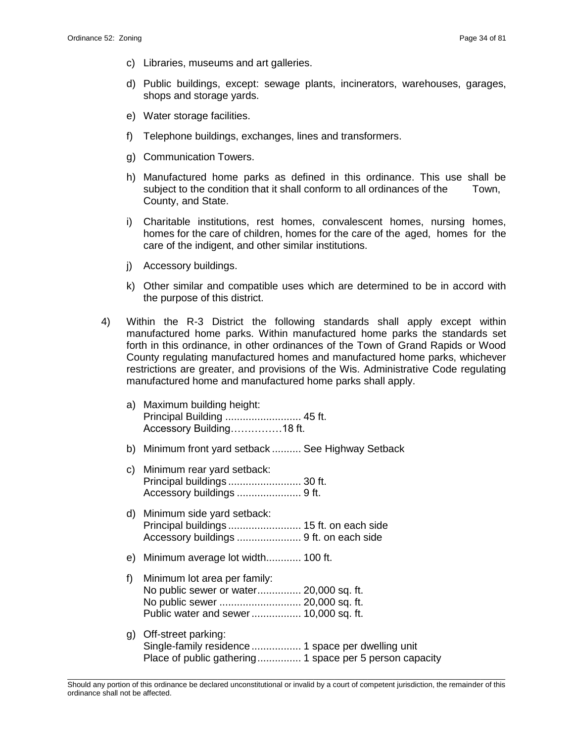- c) Libraries, museums and art galleries.
- d) Public buildings, except: sewage plants, incinerators, warehouses, garages, shops and storage yards.
- e) Water storage facilities.
- f) Telephone buildings, exchanges, lines and transformers.
- g) Communication Towers.
- h) Manufactured home parks as defined in this ordinance. This use shall be subject to the condition that it shall conform to all ordinances of the Town, County, and State.
- i) Charitable institutions, rest homes, convalescent homes, nursing homes, homes for the care of children, homes for the care of the aged, homes for the care of the indigent, and other similar institutions.
- j) Accessory buildings.
- k) Other similar and compatible uses which are determined to be in accord with the purpose of this district.
- 4) Within the R-3 District the following standards shall apply except within manufactured home parks. Within manufactured home parks the standards set forth in this ordinance, in other ordinances of the Town of Grand Rapids or Wood County regulating manufactured homes and manufactured home parks, whichever restrictions are greater, and provisions of the Wis. Administrative Code regulating manufactured home and manufactured home parks shall apply.
	- a) Maximum building height: Principal Building .......................... 45 ft. Accessory Building……………18 ft.
	- b) Minimum front yard setback .......... See Highway Setback
	- c) Minimum rear yard setback: Principal buildings ......................... 30 ft. Accessory buildings ...................... 9 ft.
	- d) Minimum side yard setback: Principal buildings ......................... 15 ft. on each side Accessory buildings ...................... 9 ft. on each side
	- e) Minimum average lot width............ 100 ft.
	- f) Minimum lot area per family: No public sewer or water............... 20,000 sq. ft. No public sewer ............................ 20,000 sq. ft. Public water and sewer................. 10,000 sq. ft.
	- g) Off-street parking: Single-family residence ................. 1 space per dwelling unit Place of public gathering............... 1 space per 5 person capacity

\_\_\_\_\_\_\_\_\_\_\_\_\_\_\_\_\_\_\_\_\_\_\_\_\_\_\_\_\_\_\_\_\_\_\_\_\_\_\_\_\_\_\_\_\_\_\_\_\_\_\_\_\_\_\_\_\_\_\_\_\_\_\_\_\_\_\_\_\_\_\_\_\_\_\_\_\_\_\_\_\_\_\_\_\_\_\_\_\_\_\_\_\_\_\_\_\_\_\_\_\_\_\_\_\_ Should any portion of this ordinance be declared unconstitutional or invalid by a court of competent jurisdiction, the remainder of this ordinance shall not be affected.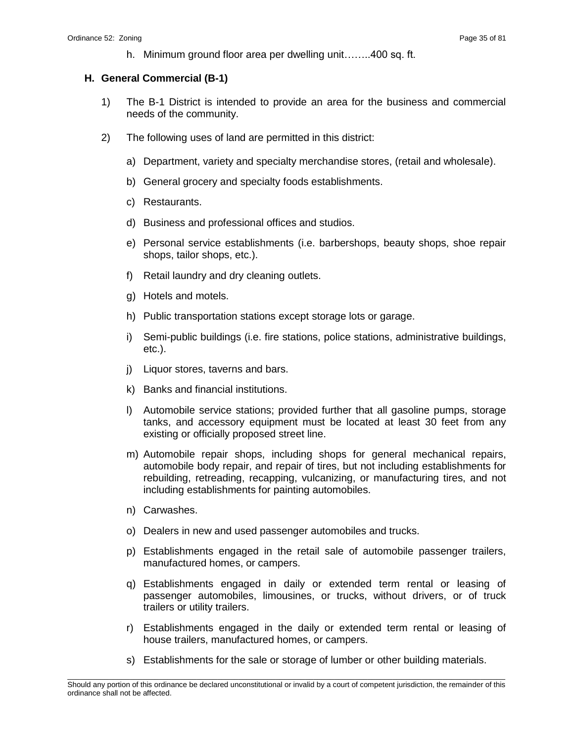h. Minimum ground floor area per dwelling unit……..400 sq. ft.

#### **H. General Commercial (B-1)**

- 1) The B-1 District is intended to provide an area for the business and commercial needs of the community.
- 2) The following uses of land are permitted in this district:
	- a) Department, variety and specialty merchandise stores, (retail and wholesale).
	- b) General grocery and specialty foods establishments.
	- c) Restaurants.
	- d) Business and professional offices and studios.
	- e) Personal service establishments (i.e. barbershops, beauty shops, shoe repair shops, tailor shops, etc.).
	- f) Retail laundry and dry cleaning outlets.
	- g) Hotels and motels.
	- h) Public transportation stations except storage lots or garage.
	- i) Semi-public buildings (i.e. fire stations, police stations, administrative buildings, etc.).
	- j) Liquor stores, taverns and bars.
	- k) Banks and financial institutions.
	- l) Automobile service stations; provided further that all gasoline pumps, storage tanks, and accessory equipment must be located at least 30 feet from any existing or officially proposed street line.
	- m) Automobile repair shops, including shops for general mechanical repairs, automobile body repair, and repair of tires, but not including establishments for rebuilding, retreading, recapping, vulcanizing, or manufacturing tires, and not including establishments for painting automobiles.
	- n) Carwashes.
	- o) Dealers in new and used passenger automobiles and trucks.
	- p) Establishments engaged in the retail sale of automobile passenger trailers, manufactured homes, or campers.
	- q) Establishments engaged in daily or extended term rental or leasing of passenger automobiles, limousines, or trucks, without drivers, or of truck trailers or utility trailers.
	- r) Establishments engaged in the daily or extended term rental or leasing of house trailers, manufactured homes, or campers.
	- s) Establishments for the sale or storage of lumber or other building materials.

\_\_\_\_\_\_\_\_\_\_\_\_\_\_\_\_\_\_\_\_\_\_\_\_\_\_\_\_\_\_\_\_\_\_\_\_\_\_\_\_\_\_\_\_\_\_\_\_\_\_\_\_\_\_\_\_\_\_\_\_\_\_\_\_\_\_\_\_\_\_\_\_\_\_\_\_\_\_\_\_\_\_\_\_\_\_\_\_\_\_\_\_\_\_\_\_\_\_\_\_\_\_\_\_\_ Should any portion of this ordinance be declared unconstitutional or invalid by a court of competent jurisdiction, the remainder of this ordinance shall not be affected.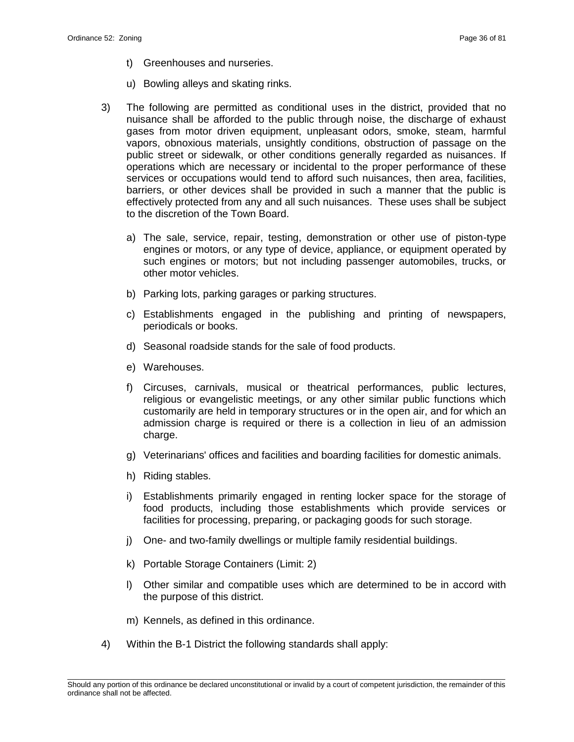- t) Greenhouses and nurseries.
- u) Bowling alleys and skating rinks.
- 3) The following are permitted as conditional uses in the district, provided that no nuisance shall be afforded to the public through noise, the discharge of exhaust gases from motor driven equipment, unpleasant odors, smoke, steam, harmful vapors, obnoxious materials, unsightly conditions, obstruction of passage on the public street or sidewalk, or other conditions generally regarded as nuisances. If operations which are necessary or incidental to the proper performance of these services or occupations would tend to afford such nuisances, then area, facilities, barriers, or other devices shall be provided in such a manner that the public is effectively protected from any and all such nuisances. These uses shall be subject to the discretion of the Town Board.
	- a) The sale, service, repair, testing, demonstration or other use of piston-type engines or motors, or any type of device, appliance, or equipment operated by such engines or motors; but not including passenger automobiles, trucks, or other motor vehicles.
	- b) Parking lots, parking garages or parking structures.
	- c) Establishments engaged in the publishing and printing of newspapers, periodicals or books.
	- d) Seasonal roadside stands for the sale of food products.
	- e) Warehouses.
	- f) Circuses, carnivals, musical or theatrical performances, public lectures, religious or evangelistic meetings, or any other similar public functions which customarily are held in temporary structures or in the open air, and for which an admission charge is required or there is a collection in lieu of an admission charge.
	- g) Veterinarians' offices and facilities and boarding facilities for domestic animals.
	- h) Riding stables.
	- i) Establishments primarily engaged in renting locker space for the storage of food products, including those establishments which provide services or facilities for processing, preparing, or packaging goods for such storage.
	- j) One- and two-family dwellings or multiple family residential buildings.
	- k) Portable Storage Containers (Limit: 2)
	- l) Other similar and compatible uses which are determined to be in accord with the purpose of this district.
	- m) Kennels, as defined in this ordinance.
- 4) Within the B-1 District the following standards shall apply: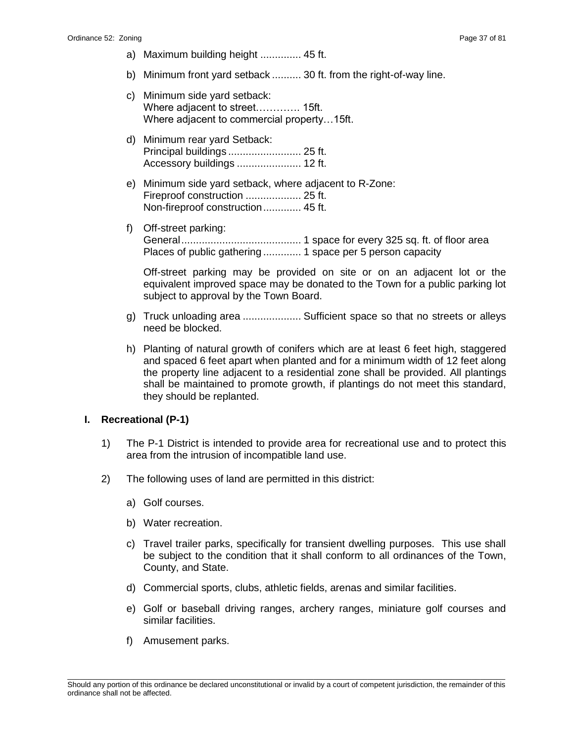- a) Maximum building height .............. 45 ft.
- b) Minimum front yard setback .......... 30 ft. from the right-of-way line.
- c) Minimum side yard setback: Where adjacent to street…………. 15ft. Where adjacent to commercial property…15ft.
- d) Minimum rear yard Setback: Principal buildings ......................... 25 ft. Accessory buildings ...................... 12 ft.
- e) Minimum side yard setback, where adjacent to R-Zone: Fireproof construction ................... 25 ft. Non-fireproof construction............. 45 ft.
- f) Off-street parking: General......................................... 1 space for every 325 sq. ft. of floor area Places of public gathering ............. 1 space per 5 person capacity

Off-street parking may be provided on site or on an adjacent lot or the equivalent improved space may be donated to the Town for a public parking lot subject to approval by the Town Board.

- g) Truck unloading area .................... Sufficient space so that no streets or allevs need be blocked.
- h) Planting of natural growth of conifers which are at least 6 feet high, staggered and spaced 6 feet apart when planted and for a minimum width of 12 feet along the property line adjacent to a residential zone shall be provided. All plantings shall be maintained to promote growth, if plantings do not meet this standard, they should be replanted.

#### **I. Recreational (P-1)**

- 1) The P-1 District is intended to provide area for recreational use and to protect this area from the intrusion of incompatible land use.
- 2) The following uses of land are permitted in this district:
	- a) Golf courses.
	- b) Water recreation.
	- c) Travel trailer parks, specifically for transient dwelling purposes. This use shall be subject to the condition that it shall conform to all ordinances of the Town, County, and State.
	- d) Commercial sports, clubs, athletic fields, arenas and similar facilities.
	- e) Golf or baseball driving ranges, archery ranges, miniature golf courses and similar facilities.
	- f) Amusement parks.

\_\_\_\_\_\_\_\_\_\_\_\_\_\_\_\_\_\_\_\_\_\_\_\_\_\_\_\_\_\_\_\_\_\_\_\_\_\_\_\_\_\_\_\_\_\_\_\_\_\_\_\_\_\_\_\_\_\_\_\_\_\_\_\_\_\_\_\_\_\_\_\_\_\_\_\_\_\_\_\_\_\_\_\_\_\_\_\_\_\_\_\_\_\_\_\_\_\_\_\_\_\_\_\_\_ Should any portion of this ordinance be declared unconstitutional or invalid by a court of competent jurisdiction, the remainder of this ordinance shall not be affected.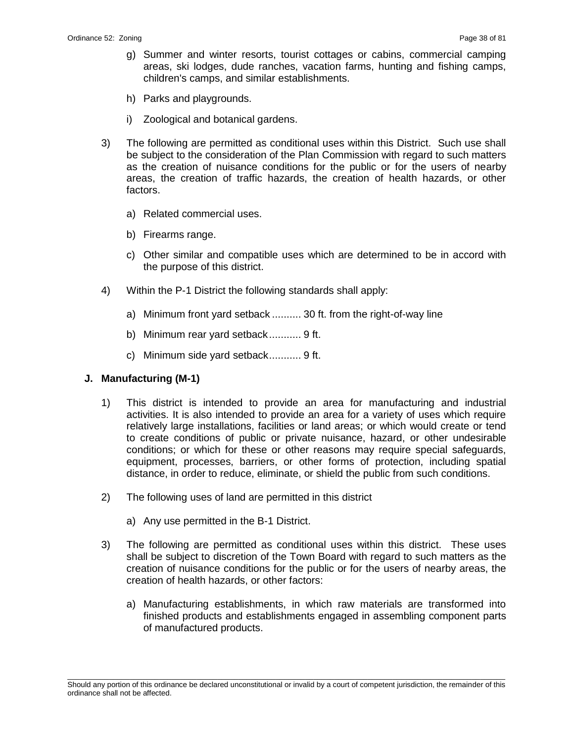- g) Summer and winter resorts, tourist cottages or cabins, commercial camping areas, ski lodges, dude ranches, vacation farms, hunting and fishing camps, children's camps, and similar establishments.
- h) Parks and playgrounds.
- i) Zoological and botanical gardens.
- 3) The following are permitted as conditional uses within this District. Such use shall be subject to the consideration of the Plan Commission with regard to such matters as the creation of nuisance conditions for the public or for the users of nearby areas, the creation of traffic hazards, the creation of health hazards, or other factors.
	- a) Related commercial uses.
	- b) Firearms range.
	- c) Other similar and compatible uses which are determined to be in accord with the purpose of this district.
- 4) Within the P-1 District the following standards shall apply:
	- a) Minimum front yard setback .......... 30 ft. from the right-of-way line
	- b) Minimum rear yard setback........... 9 ft.
	- c) Minimum side yard setback........... 9 ft.

#### **J. Manufacturing (M-1)**

- 1) This district is intended to provide an area for manufacturing and industrial activities. It is also intended to provide an area for a variety of uses which require relatively large installations, facilities or land areas; or which would create or tend to create conditions of public or private nuisance, hazard, or other undesirable conditions; or which for these or other reasons may require special safeguards, equipment, processes, barriers, or other forms of protection, including spatial distance, in order to reduce, eliminate, or shield the public from such conditions.
- 2) The following uses of land are permitted in this district
	- a) Any use permitted in the B-1 District.
- 3) The following are permitted as conditional uses within this district. These uses shall be subject to discretion of the Town Board with regard to such matters as the creation of nuisance conditions for the public or for the users of nearby areas, the creation of health hazards, or other factors:
	- a) Manufacturing establishments, in which raw materials are transformed into finished products and establishments engaged in assembling component parts of manufactured products.

\_\_\_\_\_\_\_\_\_\_\_\_\_\_\_\_\_\_\_\_\_\_\_\_\_\_\_\_\_\_\_\_\_\_\_\_\_\_\_\_\_\_\_\_\_\_\_\_\_\_\_\_\_\_\_\_\_\_\_\_\_\_\_\_\_\_\_\_\_\_\_\_\_\_\_\_\_\_\_\_\_\_\_\_\_\_\_\_\_\_\_\_\_\_\_\_\_\_\_\_\_\_\_\_\_ Should any portion of this ordinance be declared unconstitutional or invalid by a court of competent jurisdiction, the remainder of this ordinance shall not be affected.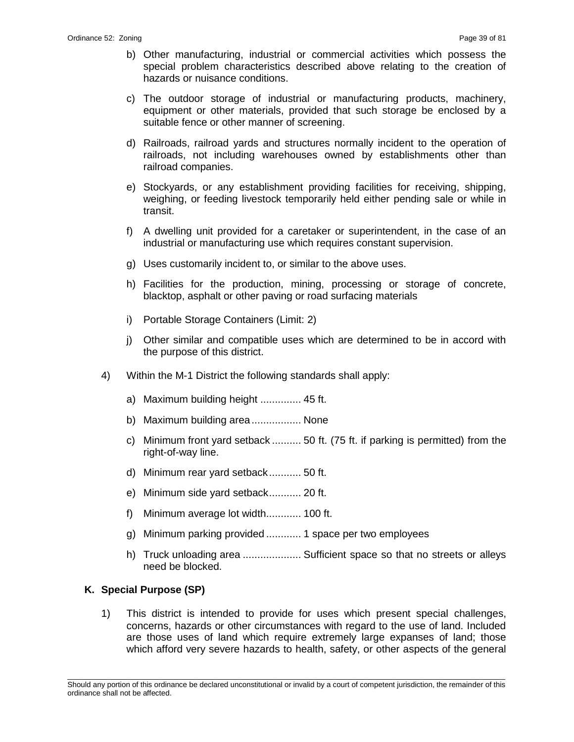- b) Other manufacturing, industrial or commercial activities which possess the special problem characteristics described above relating to the creation of hazards or nuisance conditions.
- c) The outdoor storage of industrial or manufacturing products, machinery, equipment or other materials, provided that such storage be enclosed by a suitable fence or other manner of screening.
- d) Railroads, railroad yards and structures normally incident to the operation of railroads, not including warehouses owned by establishments other than railroad companies.
- e) Stockyards, or any establishment providing facilities for receiving, shipping, weighing, or feeding livestock temporarily held either pending sale or while in transit.
- f) A dwelling unit provided for a caretaker or superintendent, in the case of an industrial or manufacturing use which requires constant supervision.
- g) Uses customarily incident to, or similar to the above uses.
- h) Facilities for the production, mining, processing or storage of concrete, blacktop, asphalt or other paving or road surfacing materials
- i) Portable Storage Containers (Limit: 2)
- j) Other similar and compatible uses which are determined to be in accord with the purpose of this district.
- 4) Within the M-1 District the following standards shall apply:
	- a) Maximum building height .............. 45 ft.
	- b) Maximum building area................. None
	- c) Minimum front yard setback .......... 50 ft. (75 ft. if parking is permitted) from the right-of-way line.
	- d) Minimum rear yard setback........... 50 ft.
	- e) Minimum side yard setback........... 20 ft.
	- f) Minimum average lot width............ 100 ft.
	- g) Minimum parking provided ............ 1 space per two employees
	- h) Truck unloading area ..................... Sufficient space so that no streets or alleys need be blocked.

# **K. Special Purpose (SP)**

1) This district is intended to provide for uses which present special challenges, concerns, hazards or other circumstances with regard to the use of land. Included are those uses of land which require extremely large expanses of land; those which afford very severe hazards to health, safety, or other aspects of the general

\_\_\_\_\_\_\_\_\_\_\_\_\_\_\_\_\_\_\_\_\_\_\_\_\_\_\_\_\_\_\_\_\_\_\_\_\_\_\_\_\_\_\_\_\_\_\_\_\_\_\_\_\_\_\_\_\_\_\_\_\_\_\_\_\_\_\_\_\_\_\_\_\_\_\_\_\_\_\_\_\_\_\_\_\_\_\_\_\_\_\_\_\_\_\_\_\_\_\_\_\_\_\_\_\_ Should any portion of this ordinance be declared unconstitutional or invalid by a court of competent jurisdiction, the remainder of this ordinance shall not be affected.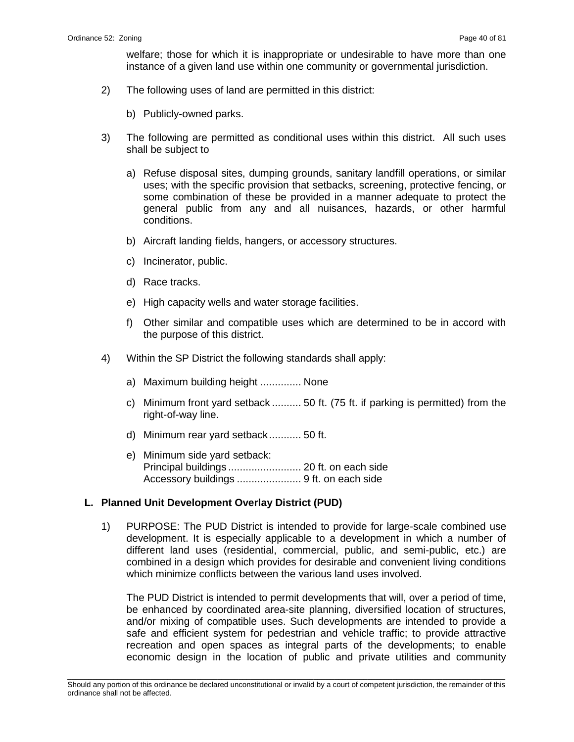welfare; those for which it is inappropriate or undesirable to have more than one instance of a given land use within one community or governmental jurisdiction.

- 2) The following uses of land are permitted in this district:
	- b) Publicly-owned parks.
- 3) The following are permitted as conditional uses within this district. All such uses shall be subject to
	- a) Refuse disposal sites, dumping grounds, sanitary landfill operations, or similar uses; with the specific provision that setbacks, screening, protective fencing, or some combination of these be provided in a manner adequate to protect the general public from any and all nuisances, hazards, or other harmful conditions.
	- b) Aircraft landing fields, hangers, or accessory structures.
	- c) Incinerator, public.
	- d) Race tracks.
	- e) High capacity wells and water storage facilities.
	- f) Other similar and compatible uses which are determined to be in accord with the purpose of this district.
- 4) Within the SP District the following standards shall apply:
	- a) Maximum building height .............. None
	- c) Minimum front yard setback .......... 50 ft. (75 ft. if parking is permitted) from the right-of-way line.
	- d) Minimum rear yard setback........... 50 ft.
	- e) Minimum side yard setback: Principal buildings ......................... 20 ft. on each side Accessory buildings ...................... 9 ft. on each side

#### **L. Planned Unit Development Overlay District (PUD)**

1) PURPOSE: The PUD District is intended to provide for large-scale combined use development. It is especially applicable to a development in which a number of different land uses (residential, commercial, public, and semi-public, etc.) are combined in a design which provides for desirable and convenient living conditions which minimize conflicts between the various land uses involved.

The PUD District is intended to permit developments that will, over a period of time, be enhanced by coordinated area-site planning, diversified location of structures, and/or mixing of compatible uses. Such developments are intended to provide a safe and efficient system for pedestrian and vehicle traffic; to provide attractive recreation and open spaces as integral parts of the developments; to enable economic design in the location of public and private utilities and community

\_\_\_\_\_\_\_\_\_\_\_\_\_\_\_\_\_\_\_\_\_\_\_\_\_\_\_\_\_\_\_\_\_\_\_\_\_\_\_\_\_\_\_\_\_\_\_\_\_\_\_\_\_\_\_\_\_\_\_\_\_\_\_\_\_\_\_\_\_\_\_\_\_\_\_\_\_\_\_\_\_\_\_\_\_\_\_\_\_\_\_\_\_\_\_\_\_\_\_\_\_\_\_\_\_ Should any portion of this ordinance be declared unconstitutional or invalid by a court of competent jurisdiction, the remainder of this ordinance shall not be affected.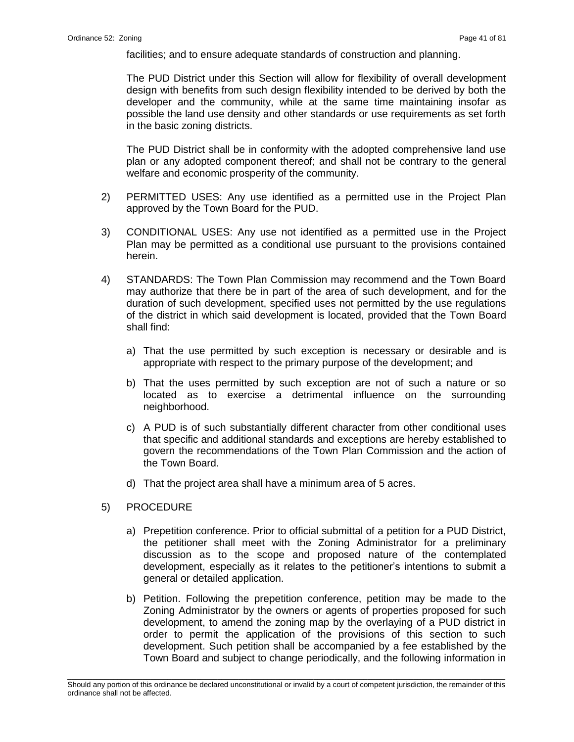facilities; and to ensure adequate standards of construction and planning.

The PUD District under this Section will allow for flexibility of overall development design with benefits from such design flexibility intended to be derived by both the developer and the community, while at the same time maintaining insofar as possible the land use density and other standards or use requirements as set forth in the basic zoning districts.

The PUD District shall be in conformity with the adopted comprehensive land use plan or any adopted component thereof; and shall not be contrary to the general welfare and economic prosperity of the community.

- 2) PERMITTED USES: Any use identified as a permitted use in the Project Plan approved by the Town Board for the PUD.
- 3) CONDITIONAL USES: Any use not identified as a permitted use in the Project Plan may be permitted as a conditional use pursuant to the provisions contained herein.
- 4) STANDARDS: The Town Plan Commission may recommend and the Town Board may authorize that there be in part of the area of such development, and for the duration of such development, specified uses not permitted by the use regulations of the district in which said development is located, provided that the Town Board shall find:
	- a) That the use permitted by such exception is necessary or desirable and is appropriate with respect to the primary purpose of the development; and
	- b) That the uses permitted by such exception are not of such a nature or so located as to exercise a detrimental influence on the surrounding neighborhood.
	- c) A PUD is of such substantially different character from other conditional uses that specific and additional standards and exceptions are hereby established to govern the recommendations of the Town Plan Commission and the action of the Town Board.
	- d) That the project area shall have a minimum area of 5 acres.
- 5) PROCEDURE
	- a) Prepetition conference. Prior to official submittal of a petition for a PUD District, the petitioner shall meet with the Zoning Administrator for a preliminary discussion as to the scope and proposed nature of the contemplated development, especially as it relates to the petitioner's intentions to submit a general or detailed application.
	- b) Petition. Following the prepetition conference, petition may be made to the Zoning Administrator by the owners or agents of properties proposed for such development, to amend the zoning map by the overlaying of a PUD district in order to permit the application of the provisions of this section to such development. Such petition shall be accompanied by a fee established by the Town Board and subject to change periodically, and the following information in

\_\_\_\_\_\_\_\_\_\_\_\_\_\_\_\_\_\_\_\_\_\_\_\_\_\_\_\_\_\_\_\_\_\_\_\_\_\_\_\_\_\_\_\_\_\_\_\_\_\_\_\_\_\_\_\_\_\_\_\_\_\_\_\_\_\_\_\_\_\_\_\_\_\_\_\_\_\_\_\_\_\_\_\_\_\_\_\_\_\_\_\_\_\_\_\_\_\_\_\_\_\_\_\_\_ Should any portion of this ordinance be declared unconstitutional or invalid by a court of competent jurisdiction, the remainder of this ordinance shall not be affected.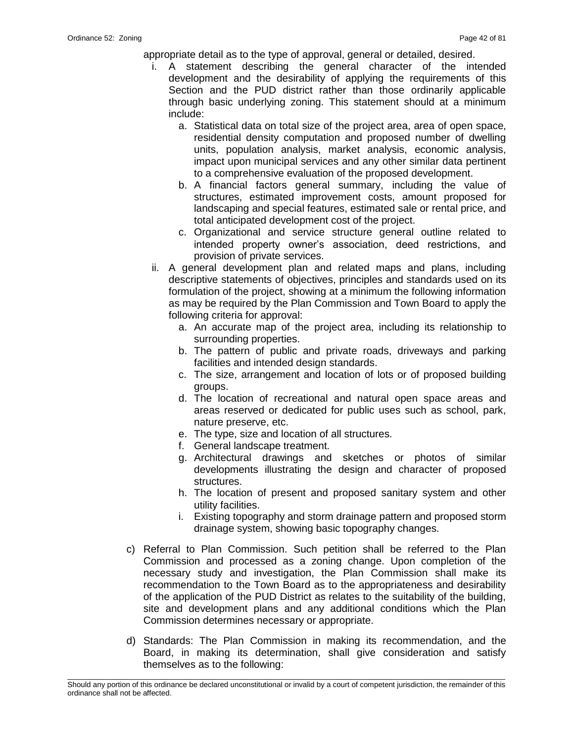appropriate detail as to the type of approval, general or detailed, desired.

- i. A statement describing the general character of the intended development and the desirability of applying the requirements of this Section and the PUD district rather than those ordinarily applicable through basic underlying zoning. This statement should at a minimum include:
	- a. Statistical data on total size of the project area, area of open space, residential density computation and proposed number of dwelling units, population analysis, market analysis, economic analysis, impact upon municipal services and any other similar data pertinent to a comprehensive evaluation of the proposed development.
	- b. A financial factors general summary, including the value of structures, estimated improvement costs, amount proposed for landscaping and special features, estimated sale or rental price, and total anticipated development cost of the project.
	- c. Organizational and service structure general outline related to intended property owner's association, deed restrictions, and provision of private services.
- ii. A general development plan and related maps and plans, including descriptive statements of objectives, principles and standards used on its formulation of the project, showing at a minimum the following information as may be required by the Plan Commission and Town Board to apply the following criteria for approval:
	- a. An accurate map of the project area, including its relationship to surrounding properties.
	- b. The pattern of public and private roads, driveways and parking facilities and intended design standards.
	- c. The size, arrangement and location of lots or of proposed building groups.
	- d. The location of recreational and natural open space areas and areas reserved or dedicated for public uses such as school, park, nature preserve, etc.
	- e. The type, size and location of all structures.
	- f. General landscape treatment.
	- g. Architectural drawings and sketches or photos of similar developments illustrating the design and character of proposed structures.
	- h. The location of present and proposed sanitary system and other utility facilities.
	- i. Existing topography and storm drainage pattern and proposed storm drainage system, showing basic topography changes.
- c) Referral to Plan Commission. Such petition shall be referred to the Plan Commission and processed as a zoning change. Upon completion of the necessary study and investigation, the Plan Commission shall make its recommendation to the Town Board as to the appropriateness and desirability of the application of the PUD District as relates to the suitability of the building, site and development plans and any additional conditions which the Plan Commission determines necessary or appropriate.
- d) Standards: The Plan Commission in making its recommendation, and the Board, in making its determination, shall give consideration and satisfy themselves as to the following:

\_\_\_\_\_\_\_\_\_\_\_\_\_\_\_\_\_\_\_\_\_\_\_\_\_\_\_\_\_\_\_\_\_\_\_\_\_\_\_\_\_\_\_\_\_\_\_\_\_\_\_\_\_\_\_\_\_\_\_\_\_\_\_\_\_\_\_\_\_\_\_\_\_\_\_\_\_\_\_\_\_\_\_\_\_\_\_\_\_\_\_\_\_\_\_\_\_\_\_\_\_\_\_\_\_ Should any portion of this ordinance be declared unconstitutional or invalid by a court of competent jurisdiction, the remainder of this ordinance shall not be affected.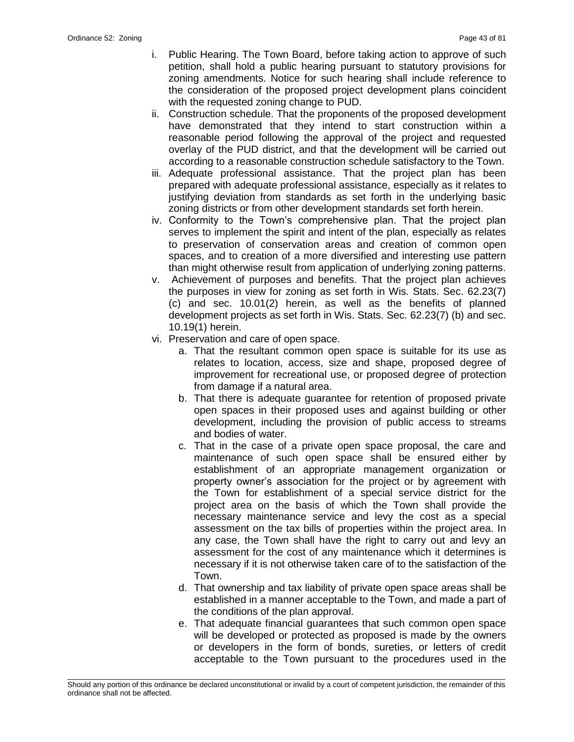- i. Public Hearing. The Town Board, before taking action to approve of such petition, shall hold a public hearing pursuant to statutory provisions for zoning amendments. Notice for such hearing shall include reference to the consideration of the proposed project development plans coincident with the requested zoning change to PUD.
- ii. Construction schedule. That the proponents of the proposed development have demonstrated that they intend to start construction within a reasonable period following the approval of the project and requested overlay of the PUD district, and that the development will be carried out according to a reasonable construction schedule satisfactory to the Town.
- iii. Adequate professional assistance. That the project plan has been prepared with adequate professional assistance, especially as it relates to justifying deviation from standards as set forth in the underlying basic zoning districts or from other development standards set forth herein.
- iv. Conformity to the Town's comprehensive plan. That the project plan serves to implement the spirit and intent of the plan, especially as relates to preservation of conservation areas and creation of common open spaces, and to creation of a more diversified and interesting use pattern than might otherwise result from application of underlying zoning patterns.
- v. Achievement of purposes and benefits. That the project plan achieves the purposes in view for zoning as set forth in Wis. Stats. Sec. 62.23(7) (c) and sec. 10.01(2) herein, as well as the benefits of planned development projects as set forth in Wis. Stats. Sec. 62.23(7) (b) and sec. 10.19(1) herein.
- vi. Preservation and care of open space.
	- a. That the resultant common open space is suitable for its use as relates to location, access, size and shape, proposed degree of improvement for recreational use, or proposed degree of protection from damage if a natural area.
	- b. That there is adequate guarantee for retention of proposed private open spaces in their proposed uses and against building or other development, including the provision of public access to streams and bodies of water.
	- c. That in the case of a private open space proposal, the care and maintenance of such open space shall be ensured either by establishment of an appropriate management organization or property owner's association for the project or by agreement with the Town for establishment of a special service district for the project area on the basis of which the Town shall provide the necessary maintenance service and levy the cost as a special assessment on the tax bills of properties within the project area. In any case, the Town shall have the right to carry out and levy an assessment for the cost of any maintenance which it determines is necessary if it is not otherwise taken care of to the satisfaction of the Town.
	- d. That ownership and tax liability of private open space areas shall be established in a manner acceptable to the Town, and made a part of the conditions of the plan approval.
	- e. That adequate financial guarantees that such common open space will be developed or protected as proposed is made by the owners or developers in the form of bonds, sureties, or letters of credit acceptable to the Town pursuant to the procedures used in the

\_\_\_\_\_\_\_\_\_\_\_\_\_\_\_\_\_\_\_\_\_\_\_\_\_\_\_\_\_\_\_\_\_\_\_\_\_\_\_\_\_\_\_\_\_\_\_\_\_\_\_\_\_\_\_\_\_\_\_\_\_\_\_\_\_\_\_\_\_\_\_\_\_\_\_\_\_\_\_\_\_\_\_\_\_\_\_\_\_\_\_\_\_\_\_\_\_\_\_\_\_\_\_\_\_ Should any portion of this ordinance be declared unconstitutional or invalid by a court of competent jurisdiction, the remainder of this ordinance shall not be affected.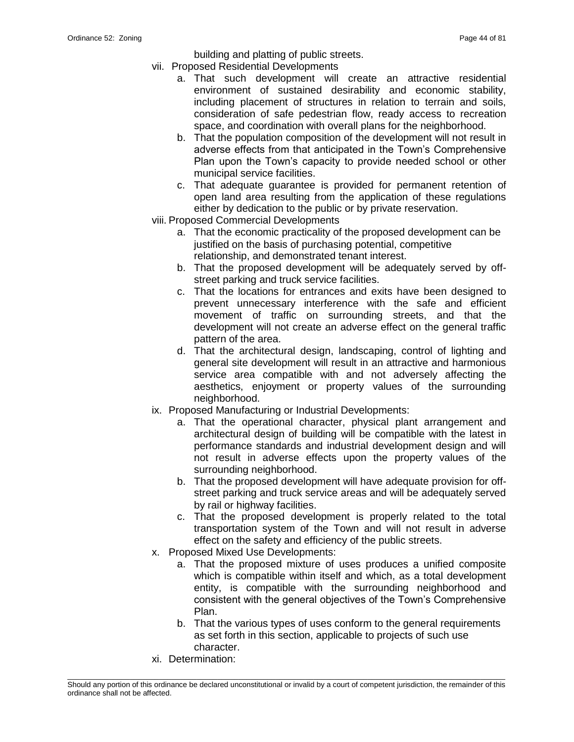building and platting of public streets.

- vii. Proposed Residential Developments
	- a. That such development will create an attractive residential environment of sustained desirability and economic stability, including placement of structures in relation to terrain and soils, consideration of safe pedestrian flow, ready access to recreation space, and coordination with overall plans for the neighborhood.
	- b. That the population composition of the development will not result in adverse effects from that anticipated in the Town's Comprehensive Plan upon the Town's capacity to provide needed school or other municipal service facilities.
	- c. That adequate guarantee is provided for permanent retention of open land area resulting from the application of these regulations either by dedication to the public or by private reservation.
- viii. Proposed Commercial Developments
	- a. That the economic practicality of the proposed development can be justified on the basis of purchasing potential, competitive relationship, and demonstrated tenant interest.
	- b. That the proposed development will be adequately served by offstreet parking and truck service facilities.
	- c. That the locations for entrances and exits have been designed to prevent unnecessary interference with the safe and efficient movement of traffic on surrounding streets, and that the development will not create an adverse effect on the general traffic pattern of the area.
	- d. That the architectural design, landscaping, control of lighting and general site development will result in an attractive and harmonious service area compatible with and not adversely affecting the aesthetics, enjoyment or property values of the surrounding neighborhood.
- ix. Proposed Manufacturing or Industrial Developments:
	- a. That the operational character, physical plant arrangement and architectural design of building will be compatible with the latest in performance standards and industrial development design and will not result in adverse effects upon the property values of the surrounding neighborhood.
	- b. That the proposed development will have adequate provision for offstreet parking and truck service areas and will be adequately served by rail or highway facilities.
	- c. That the proposed development is properly related to the total transportation system of the Town and will not result in adverse effect on the safety and efficiency of the public streets.
- x. Proposed Mixed Use Developments:
	- a. That the proposed mixture of uses produces a unified composite which is compatible within itself and which, as a total development entity, is compatible with the surrounding neighborhood and consistent with the general objectives of the Town's Comprehensive Plan.
	- b. That the various types of uses conform to the general requirements as set forth in this section, applicable to projects of such use character.
- xi. Determination:

\_\_\_\_\_\_\_\_\_\_\_\_\_\_\_\_\_\_\_\_\_\_\_\_\_\_\_\_\_\_\_\_\_\_\_\_\_\_\_\_\_\_\_\_\_\_\_\_\_\_\_\_\_\_\_\_\_\_\_\_\_\_\_\_\_\_\_\_\_\_\_\_\_\_\_\_\_\_\_\_\_\_\_\_\_\_\_\_\_\_\_\_\_\_\_\_\_\_\_\_\_\_\_\_\_ Should any portion of this ordinance be declared unconstitutional or invalid by a court of competent jurisdiction, the remainder of this ordinance shall not be affected.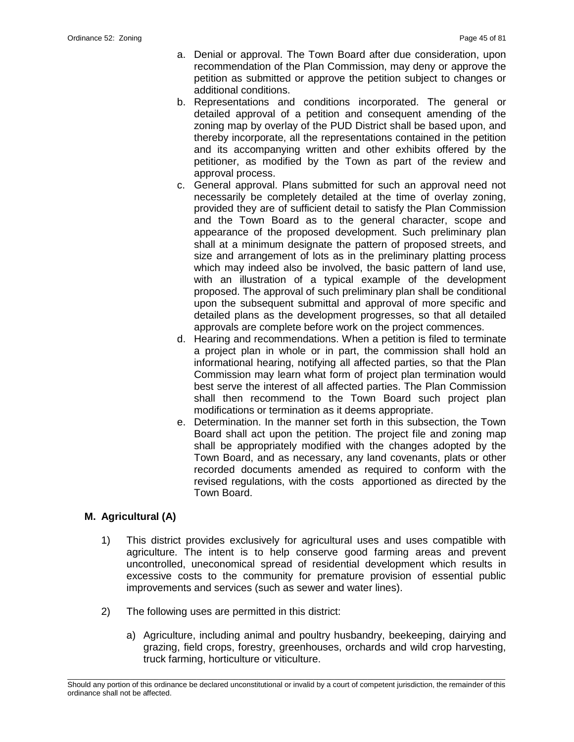- a. Denial or approval. The Town Board after due consideration, upon recommendation of the Plan Commission, may deny or approve the petition as submitted or approve the petition subject to changes or additional conditions.
- b. Representations and conditions incorporated. The general or detailed approval of a petition and consequent amending of the zoning map by overlay of the PUD District shall be based upon, and thereby incorporate, all the representations contained in the petition and its accompanying written and other exhibits offered by the petitioner, as modified by the Town as part of the review and approval process.
- c. General approval. Plans submitted for such an approval need not necessarily be completely detailed at the time of overlay zoning, provided they are of sufficient detail to satisfy the Plan Commission and the Town Board as to the general character, scope and appearance of the proposed development. Such preliminary plan shall at a minimum designate the pattern of proposed streets, and size and arrangement of lots as in the preliminary platting process which may indeed also be involved, the basic pattern of land use, with an illustration of a typical example of the development proposed. The approval of such preliminary plan shall be conditional upon the subsequent submittal and approval of more specific and detailed plans as the development progresses, so that all detailed approvals are complete before work on the project commences.
- d. Hearing and recommendations. When a petition is filed to terminate a project plan in whole or in part, the commission shall hold an informational hearing, notifying all affected parties, so that the Plan Commission may learn what form of project plan termination would best serve the interest of all affected parties. The Plan Commission shall then recommend to the Town Board such project plan modifications or termination as it deems appropriate.
- e. Determination. In the manner set forth in this subsection, the Town Board shall act upon the petition. The project file and zoning map shall be appropriately modified with the changes adopted by the Town Board, and as necessary, any land covenants, plats or other recorded documents amended as required to conform with the revised regulations, with the costs apportioned as directed by the Town Board.

# **M. Agricultural (A)**

- 1) This district provides exclusively for agricultural uses and uses compatible with agriculture. The intent is to help conserve good farming areas and prevent uncontrolled, uneconomical spread of residential development which results in excessive costs to the community for premature provision of essential public improvements and services (such as sewer and water lines).
- 2) The following uses are permitted in this district:
	- a) Agriculture, including animal and poultry husbandry, beekeeping, dairying and grazing, field crops, forestry, greenhouses, orchards and wild crop harvesting, truck farming, horticulture or viticulture.

\_\_\_\_\_\_\_\_\_\_\_\_\_\_\_\_\_\_\_\_\_\_\_\_\_\_\_\_\_\_\_\_\_\_\_\_\_\_\_\_\_\_\_\_\_\_\_\_\_\_\_\_\_\_\_\_\_\_\_\_\_\_\_\_\_\_\_\_\_\_\_\_\_\_\_\_\_\_\_\_\_\_\_\_\_\_\_\_\_\_\_\_\_\_\_\_\_\_\_\_\_\_\_\_\_ Should any portion of this ordinance be declared unconstitutional or invalid by a court of competent jurisdiction, the remainder of this ordinance shall not be affected.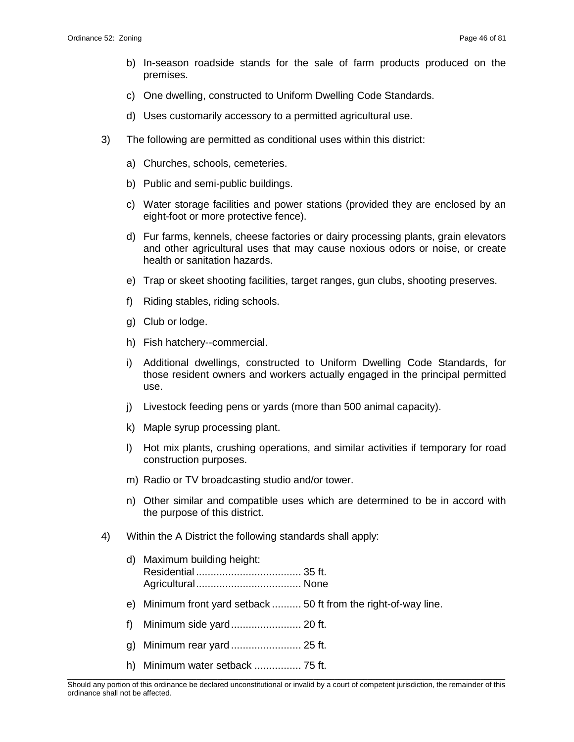- b) In-season roadside stands for the sale of farm products produced on the premises.
- c) One dwelling, constructed to Uniform Dwelling Code Standards.
- d) Uses customarily accessory to a permitted agricultural use.
- 3) The following are permitted as conditional uses within this district:
	- a) Churches, schools, cemeteries.
	- b) Public and semi-public buildings.
	- c) Water storage facilities and power stations (provided they are enclosed by an eight-foot or more protective fence).
	- d) Fur farms, kennels, cheese factories or dairy processing plants, grain elevators and other agricultural uses that may cause noxious odors or noise, or create health or sanitation hazards.
	- e) Trap or skeet shooting facilities, target ranges, gun clubs, shooting preserves.
	- f) Riding stables, riding schools.
	- g) Club or lodge.
	- h) Fish hatchery--commercial.
	- i) Additional dwellings, constructed to Uniform Dwelling Code Standards, for those resident owners and workers actually engaged in the principal permitted use.
	- j) Livestock feeding pens or yards (more than 500 animal capacity).
	- k) Maple syrup processing plant.
	- l) Hot mix plants, crushing operations, and similar activities if temporary for road construction purposes.
	- m) Radio or TV broadcasting studio and/or tower.
	- n) Other similar and compatible uses which are determined to be in accord with the purpose of this district.
- 4) Within the A District the following standards shall apply:
	- d) Maximum building height: Residential .................................... 35 ft. Agricultural.................................... None
	- e) Minimum front yard setback .......... 50 ft from the right-of-way line.
	- f) Minimum side yard........................ 20 ft.
	- g) Minimum rear yard ........................ 25 ft.
	- h) Minimum water setback ................ 75 ft.

\_\_\_\_\_\_\_\_\_\_\_\_\_\_\_\_\_\_\_\_\_\_\_\_\_\_\_\_\_\_\_\_\_\_\_\_\_\_\_\_\_\_\_\_\_\_\_\_\_\_\_\_\_\_\_\_\_\_\_\_\_\_\_\_\_\_\_\_\_\_\_\_\_\_\_\_\_\_\_\_\_\_\_\_\_\_\_\_\_\_\_\_\_\_\_\_\_\_\_\_\_\_\_\_\_ Should any portion of this ordinance be declared unconstitutional or invalid by a court of competent jurisdiction, the remainder of this ordinance shall not be affected.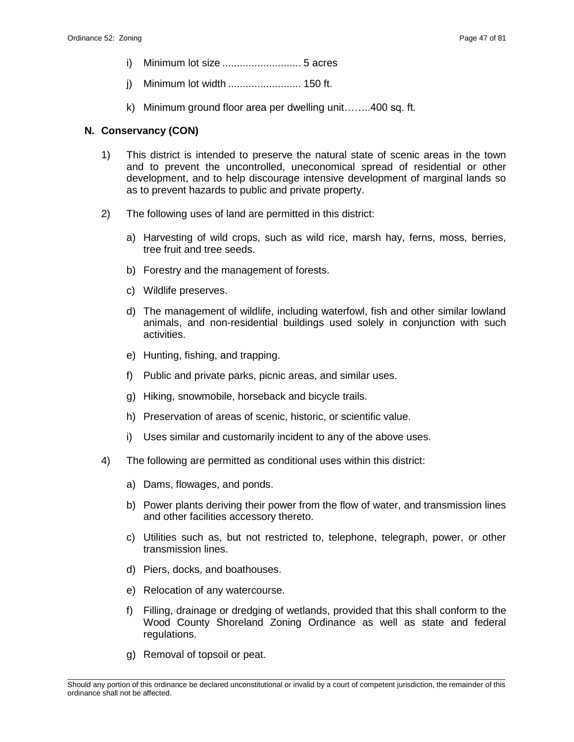- i) Minimum lot size ........................... 5 acres
- j) Minimum lot width ......................... 150 ft.
- k) Minimum ground floor area per dwelling unit……..400 sq. ft.

### **N. Conservancy (CON)**

- 1) This district is intended to preserve the natural state of scenic areas in the town and to prevent the uncontrolled, uneconomical spread of residential or other development, and to help discourage intensive development of marginal lands so as to prevent hazards to public and private property.
- 2) The following uses of land are permitted in this district:
	- a) Harvesting of wild crops, such as wild rice, marsh hay, ferns, moss, berries, tree fruit and tree seeds.
	- b) Forestry and the management of forests.
	- c) Wildlife preserves.
	- d) The management of wildlife, including waterfowl, fish and other similar lowland animals, and non-residential buildings used solely in conjunction with such activities.
	- e) Hunting, fishing, and trapping.
	- f) Public and private parks, picnic areas, and similar uses.
	- g) Hiking, snowmobile, horseback and bicycle trails.
	- h) Preservation of areas of scenic, historic, or scientific value.
	- i) Uses similar and customarily incident to any of the above uses.
- 4) The following are permitted as conditional uses within this district:
	- a) Dams, flowages, and ponds.
	- b) Power plants deriving their power from the flow of water, and transmission lines and other facilities accessory thereto.
	- c) Utilities such as, but not restricted to, telephone, telegraph, power, or other transmission lines.
	- d) Piers, docks, and boathouses.
	- e) Relocation of any watercourse.
	- f) Filling, drainage or dredging of wetlands, provided that this shall conform to the Wood County Shoreland Zoning Ordinance as well as state and federal regulations.
	- g) Removal of topsoil or peat.

\_\_\_\_\_\_\_\_\_\_\_\_\_\_\_\_\_\_\_\_\_\_\_\_\_\_\_\_\_\_\_\_\_\_\_\_\_\_\_\_\_\_\_\_\_\_\_\_\_\_\_\_\_\_\_\_\_\_\_\_\_\_\_\_\_\_\_\_\_\_\_\_\_\_\_\_\_\_\_\_\_\_\_\_\_\_\_\_\_\_\_\_\_\_\_\_\_\_\_\_\_\_\_\_\_ Should any portion of this ordinance be declared unconstitutional or invalid by a court of competent jurisdiction, the remainder of this ordinance shall not be affected.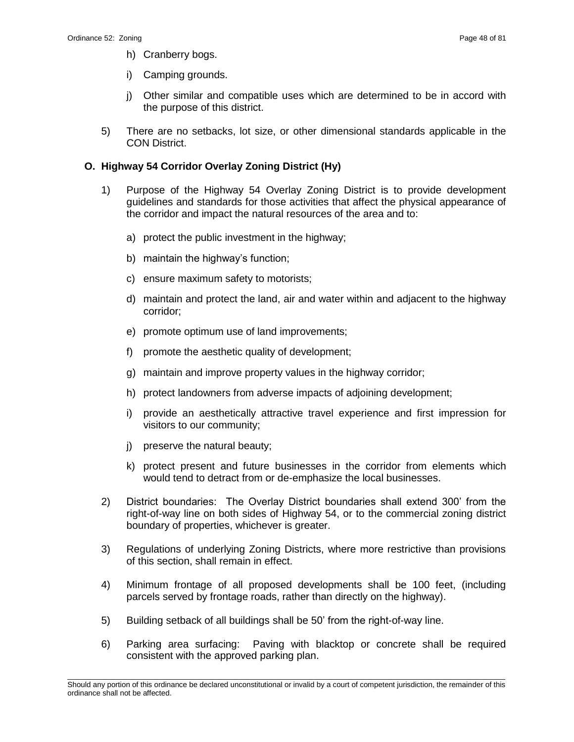- h) Cranberry bogs.
- i) Camping grounds.
- j) Other similar and compatible uses which are determined to be in accord with the purpose of this district.
- 5) There are no setbacks, lot size, or other dimensional standards applicable in the CON District.

#### **O. Highway 54 Corridor Overlay Zoning District (Hy)**

- 1) Purpose of the Highway 54 Overlay Zoning District is to provide development guidelines and standards for those activities that affect the physical appearance of the corridor and impact the natural resources of the area and to:
	- a) protect the public investment in the highway;
	- b) maintain the highway's function;
	- c) ensure maximum safety to motorists;
	- d) maintain and protect the land, air and water within and adjacent to the highway corridor;
	- e) promote optimum use of land improvements;
	- f) promote the aesthetic quality of development;
	- g) maintain and improve property values in the highway corridor;
	- h) protect landowners from adverse impacts of adjoining development;
	- i) provide an aesthetically attractive travel experience and first impression for visitors to our community;
	- j) preserve the natural beauty;
	- k) protect present and future businesses in the corridor from elements which would tend to detract from or de-emphasize the local businesses.
- 2) District boundaries: The Overlay District boundaries shall extend 300' from the right-of-way line on both sides of Highway 54, or to the commercial zoning district boundary of properties, whichever is greater.
- 3) Regulations of underlying Zoning Districts, where more restrictive than provisions of this section, shall remain in effect.
- 4) Minimum frontage of all proposed developments shall be 100 feet, (including parcels served by frontage roads, rather than directly on the highway).
- 5) Building setback of all buildings shall be 50' from the right-of-way line.
- 6) Parking area surfacing: Paving with blacktop or concrete shall be required consistent with the approved parking plan.

\_\_\_\_\_\_\_\_\_\_\_\_\_\_\_\_\_\_\_\_\_\_\_\_\_\_\_\_\_\_\_\_\_\_\_\_\_\_\_\_\_\_\_\_\_\_\_\_\_\_\_\_\_\_\_\_\_\_\_\_\_\_\_\_\_\_\_\_\_\_\_\_\_\_\_\_\_\_\_\_\_\_\_\_\_\_\_\_\_\_\_\_\_\_\_\_\_\_\_\_\_\_\_\_\_ Should any portion of this ordinance be declared unconstitutional or invalid by a court of competent jurisdiction, the remainder of this ordinance shall not be affected.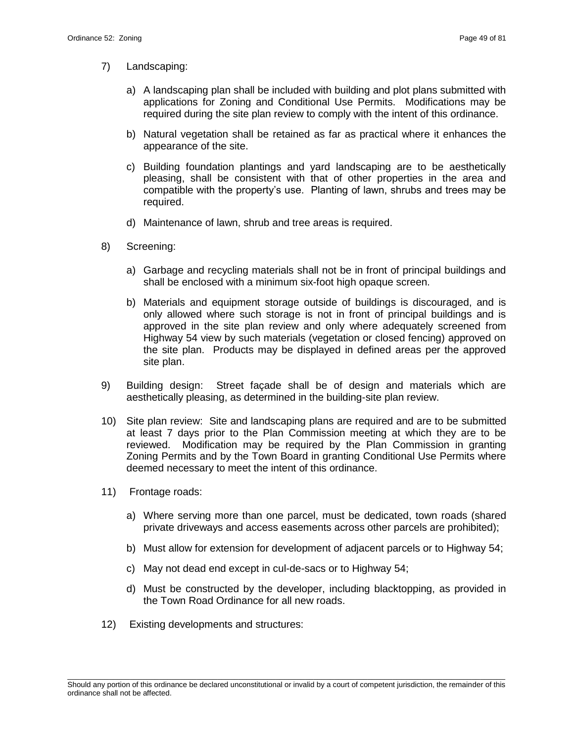- 7) Landscaping:
	- a) A landscaping plan shall be included with building and plot plans submitted with applications for Zoning and Conditional Use Permits. Modifications may be required during the site plan review to comply with the intent of this ordinance.
	- b) Natural vegetation shall be retained as far as practical where it enhances the appearance of the site.
	- c) Building foundation plantings and yard landscaping are to be aesthetically pleasing, shall be consistent with that of other properties in the area and compatible with the property's use. Planting of lawn, shrubs and trees may be required.
	- d) Maintenance of lawn, shrub and tree areas is required.
- 8) Screening:
	- a) Garbage and recycling materials shall not be in front of principal buildings and shall be enclosed with a minimum six-foot high opaque screen.
	- b) Materials and equipment storage outside of buildings is discouraged, and is only allowed where such storage is not in front of principal buildings and is approved in the site plan review and only where adequately screened from Highway 54 view by such materials (vegetation or closed fencing) approved on the site plan. Products may be displayed in defined areas per the approved site plan.
- 9) Building design: Street façade shall be of design and materials which are aesthetically pleasing, as determined in the building-site plan review.
- 10) Site plan review: Site and landscaping plans are required and are to be submitted at least 7 days prior to the Plan Commission meeting at which they are to be reviewed. Modification may be required by the Plan Commission in granting Zoning Permits and by the Town Board in granting Conditional Use Permits where deemed necessary to meet the intent of this ordinance.
- 11) Frontage roads:
	- a) Where serving more than one parcel, must be dedicated, town roads (shared private driveways and access easements across other parcels are prohibited);
	- b) Must allow for extension for development of adjacent parcels or to Highway 54;
	- c) May not dead end except in cul-de-sacs or to Highway 54;
	- d) Must be constructed by the developer, including blacktopping, as provided in the Town Road Ordinance for all new roads.
- 12) Existing developments and structures:

\_\_\_\_\_\_\_\_\_\_\_\_\_\_\_\_\_\_\_\_\_\_\_\_\_\_\_\_\_\_\_\_\_\_\_\_\_\_\_\_\_\_\_\_\_\_\_\_\_\_\_\_\_\_\_\_\_\_\_\_\_\_\_\_\_\_\_\_\_\_\_\_\_\_\_\_\_\_\_\_\_\_\_\_\_\_\_\_\_\_\_\_\_\_\_\_\_\_\_\_\_\_\_\_\_ Should any portion of this ordinance be declared unconstitutional or invalid by a court of competent jurisdiction, the remainder of this ordinance shall not be affected.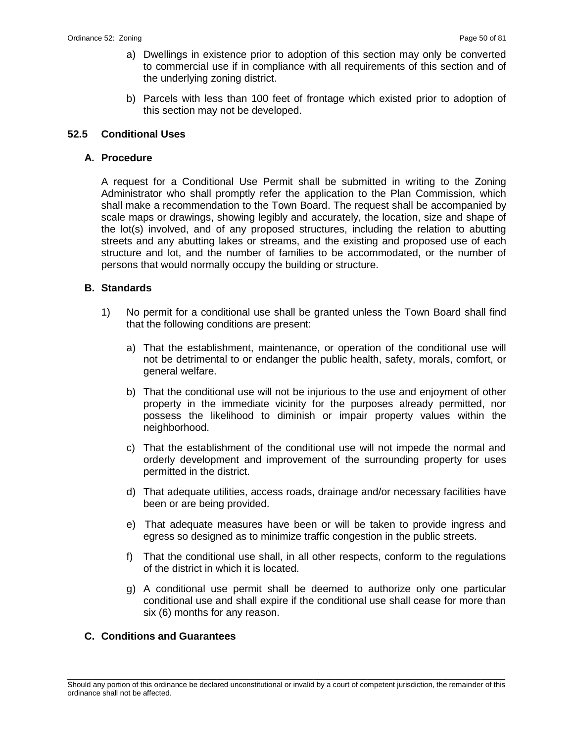- a) Dwellings in existence prior to adoption of this section may only be converted to commercial use if in compliance with all requirements of this section and of the underlying zoning district.
- b) Parcels with less than 100 feet of frontage which existed prior to adoption of this section may not be developed.

### **52.5 Conditional Uses**

#### **A. Procedure**

A request for a Conditional Use Permit shall be submitted in writing to the Zoning Administrator who shall promptly refer the application to the Plan Commission, which shall make a recommendation to the Town Board. The request shall be accompanied by scale maps or drawings, showing legibly and accurately, the location, size and shape of the lot(s) involved, and of any proposed structures, including the relation to abutting streets and any abutting lakes or streams, and the existing and proposed use of each structure and lot, and the number of families to be accommodated, or the number of persons that would normally occupy the building or structure.

#### **B. Standards**

- 1) No permit for a conditional use shall be granted unless the Town Board shall find that the following conditions are present:
	- a) That the establishment, maintenance, or operation of the conditional use will not be detrimental to or endanger the public health, safety, morals, comfort, or general welfare.
	- b) That the conditional use will not be injurious to the use and enjoyment of other property in the immediate vicinity for the purposes already permitted, nor possess the likelihood to diminish or impair property values within the neighborhood.
	- c) That the establishment of the conditional use will not impede the normal and orderly development and improvement of the surrounding property for uses permitted in the district.
	- d) That adequate utilities, access roads, drainage and/or necessary facilities have been or are being provided.
	- e) That adequate measures have been or will be taken to provide ingress and egress so designed as to minimize traffic congestion in the public streets.
	- f) That the conditional use shall, in all other respects, conform to the regulations of the district in which it is located.
	- g) A conditional use permit shall be deemed to authorize only one particular conditional use and shall expire if the conditional use shall cease for more than six (6) months for any reason.

#### **C. Conditions and Guarantees**

\_\_\_\_\_\_\_\_\_\_\_\_\_\_\_\_\_\_\_\_\_\_\_\_\_\_\_\_\_\_\_\_\_\_\_\_\_\_\_\_\_\_\_\_\_\_\_\_\_\_\_\_\_\_\_\_\_\_\_\_\_\_\_\_\_\_\_\_\_\_\_\_\_\_\_\_\_\_\_\_\_\_\_\_\_\_\_\_\_\_\_\_\_\_\_\_\_\_\_\_\_\_\_\_\_ Should any portion of this ordinance be declared unconstitutional or invalid by a court of competent jurisdiction, the remainder of this ordinance shall not be affected.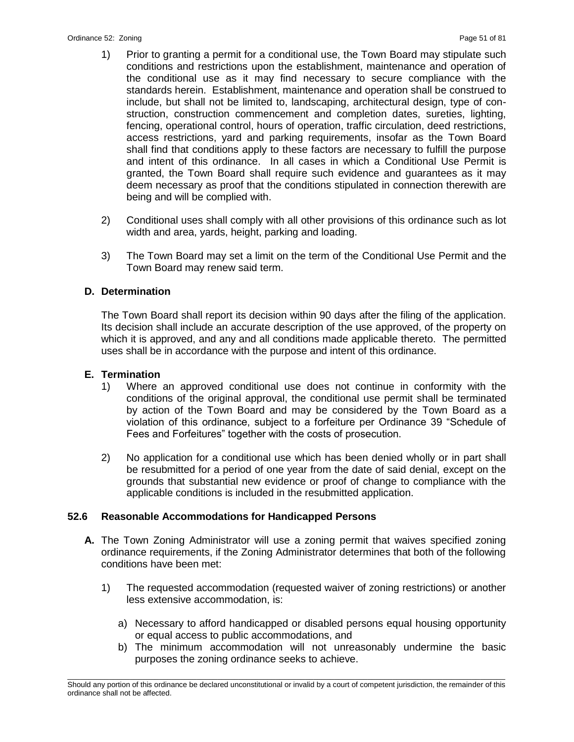- 1) Prior to granting a permit for a conditional use, the Town Board may stipulate such conditions and restrictions upon the establishment, maintenance and operation of the conditional use as it may find necessary to secure compliance with the standards herein. Establishment, maintenance and operation shall be construed to include, but shall not be limited to, landscaping, architectural design, type of construction, construction commencement and completion dates, sureties, lighting, fencing, operational control, hours of operation, traffic circulation, deed restrictions, access restrictions, yard and parking requirements, insofar as the Town Board shall find that conditions apply to these factors are necessary to fulfill the purpose and intent of this ordinance. In all cases in which a Conditional Use Permit is granted, the Town Board shall require such evidence and guarantees as it may deem necessary as proof that the conditions stipulated in connection therewith are being and will be complied with.
- 2) Conditional uses shall comply with all other provisions of this ordinance such as lot width and area, yards, height, parking and loading.
- 3) The Town Board may set a limit on the term of the Conditional Use Permit and the Town Board may renew said term.

### **D. Determination**

The Town Board shall report its decision within 90 days after the filing of the application. Its decision shall include an accurate description of the use approved, of the property on which it is approved, and any and all conditions made applicable thereto. The permitted uses shall be in accordance with the purpose and intent of this ordinance.

#### **E. Termination**

- 1) Where an approved conditional use does not continue in conformity with the conditions of the original approval, the conditional use permit shall be terminated by action of the Town Board and may be considered by the Town Board as a violation of this ordinance, subject to a forfeiture per Ordinance 39 "Schedule of Fees and Forfeitures" together with the costs of prosecution.
- 2) No application for a conditional use which has been denied wholly or in part shall be resubmitted for a period of one year from the date of said denial, except on the grounds that substantial new evidence or proof of change to compliance with the applicable conditions is included in the resubmitted application.

#### **52.6 Reasonable Accommodations for Handicapped Persons**

- **A.** The Town Zoning Administrator will use a zoning permit that waives specified zoning ordinance requirements, if the Zoning Administrator determines that both of the following conditions have been met:
	- 1) The requested accommodation (requested waiver of zoning restrictions) or another less extensive accommodation, is:
		- a) Necessary to afford handicapped or disabled persons equal housing opportunity or equal access to public accommodations, and
		- b) The minimum accommodation will not unreasonably undermine the basic purposes the zoning ordinance seeks to achieve.

\_\_\_\_\_\_\_\_\_\_\_\_\_\_\_\_\_\_\_\_\_\_\_\_\_\_\_\_\_\_\_\_\_\_\_\_\_\_\_\_\_\_\_\_\_\_\_\_\_\_\_\_\_\_\_\_\_\_\_\_\_\_\_\_\_\_\_\_\_\_\_\_\_\_\_\_\_\_\_\_\_\_\_\_\_\_\_\_\_\_\_\_\_\_\_\_\_\_\_\_\_\_\_\_\_ Should any portion of this ordinance be declared unconstitutional or invalid by a court of competent jurisdiction, the remainder of this ordinance shall not be affected.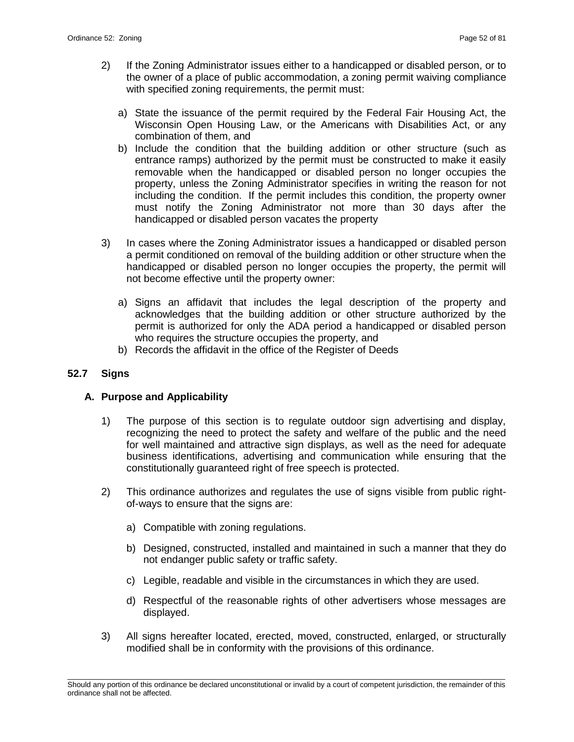- 2) If the Zoning Administrator issues either to a handicapped or disabled person, or to the owner of a place of public accommodation, a zoning permit waiving compliance with specified zoning requirements, the permit must:
	- a) State the issuance of the permit required by the Federal Fair Housing Act, the Wisconsin Open Housing Law, or the Americans with Disabilities Act, or any combination of them, and
	- b) Include the condition that the building addition or other structure (such as entrance ramps) authorized by the permit must be constructed to make it easily removable when the handicapped or disabled person no longer occupies the property, unless the Zoning Administrator specifies in writing the reason for not including the condition. If the permit includes this condition, the property owner must notify the Zoning Administrator not more than 30 days after the handicapped or disabled person vacates the property
- 3) In cases where the Zoning Administrator issues a handicapped or disabled person a permit conditioned on removal of the building addition or other structure when the handicapped or disabled person no longer occupies the property, the permit will not become effective until the property owner:
	- a) Signs an affidavit that includes the legal description of the property and acknowledges that the building addition or other structure authorized by the permit is authorized for only the ADA period a handicapped or disabled person who requires the structure occupies the property, and
	- b) Records the affidavit in the office of the Register of Deeds

### **52.7 Signs**

# **A. Purpose and Applicability**

- 1) The purpose of this section is to regulate outdoor sign advertising and display, recognizing the need to protect the safety and welfare of the public and the need for well maintained and attractive sign displays, as well as the need for adequate business identifications, advertising and communication while ensuring that the constitutionally guaranteed right of free speech is protected.
- 2) This ordinance authorizes and regulates the use of signs visible from public rightof-ways to ensure that the signs are:
	- a) Compatible with zoning regulations.
	- b) Designed, constructed, installed and maintained in such a manner that they do not endanger public safety or traffic safety.
	- c) Legible, readable and visible in the circumstances in which they are used.
	- d) Respectful of the reasonable rights of other advertisers whose messages are displayed.
- 3) All signs hereafter located, erected, moved, constructed, enlarged, or structurally modified shall be in conformity with the provisions of this ordinance.

\_\_\_\_\_\_\_\_\_\_\_\_\_\_\_\_\_\_\_\_\_\_\_\_\_\_\_\_\_\_\_\_\_\_\_\_\_\_\_\_\_\_\_\_\_\_\_\_\_\_\_\_\_\_\_\_\_\_\_\_\_\_\_\_\_\_\_\_\_\_\_\_\_\_\_\_\_\_\_\_\_\_\_\_\_\_\_\_\_\_\_\_\_\_\_\_\_\_\_\_\_\_\_\_\_ Should any portion of this ordinance be declared unconstitutional or invalid by a court of competent jurisdiction, the remainder of this ordinance shall not be affected.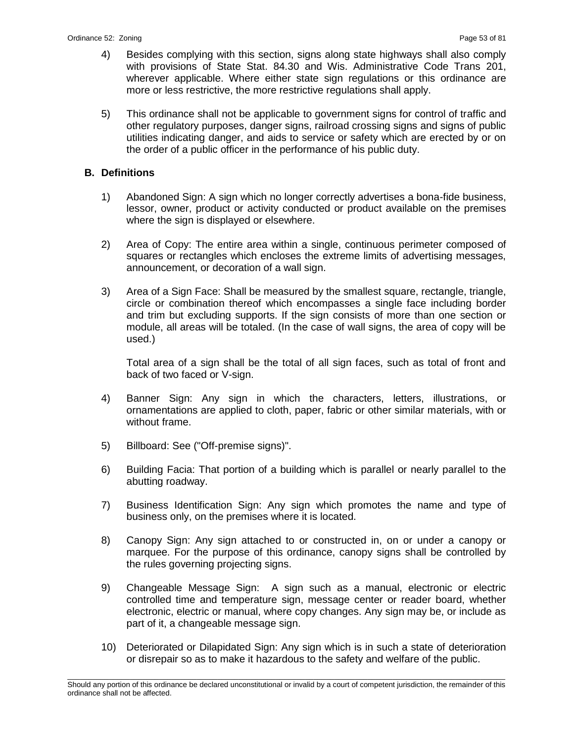- 4) Besides complying with this section, signs along state highways shall also comply with provisions of State Stat. 84.30 and Wis. Administrative Code Trans 201, wherever applicable. Where either state sign regulations or this ordinance are more or less restrictive, the more restrictive regulations shall apply.
- 5) This ordinance shall not be applicable to government signs for control of traffic and other regulatory purposes, danger signs, railroad crossing signs and signs of public utilities indicating danger, and aids to service or safety which are erected by or on the order of a public officer in the performance of his public duty.

### **B. Definitions**

- 1) Abandoned Sign: A sign which no longer correctly advertises a bona-fide business, lessor, owner, product or activity conducted or product available on the premises where the sign is displayed or elsewhere.
- 2) Area of Copy: The entire area within a single, continuous perimeter composed of squares or rectangles which encloses the extreme limits of advertising messages, announcement, or decoration of a wall sign.
- 3) Area of a Sign Face: Shall be measured by the smallest square, rectangle, triangle, circle or combination thereof which encompasses a single face including border and trim but excluding supports. If the sign consists of more than one section or module, all areas will be totaled. (In the case of wall signs, the area of copy will be used.)

Total area of a sign shall be the total of all sign faces, such as total of front and back of two faced or V-sign.

- 4) Banner Sign: Any sign in which the characters, letters, illustrations, or ornamentations are applied to cloth, paper, fabric or other similar materials, with or without frame.
- 5) Billboard: See ("Off-premise signs)".
- 6) Building Facia: That portion of a building which is parallel or nearly parallel to the abutting roadway.
- 7) Business Identification Sign: Any sign which promotes the name and type of business only, on the premises where it is located.
- 8) Canopy Sign: Any sign attached to or constructed in, on or under a canopy or marquee. For the purpose of this ordinance, canopy signs shall be controlled by the rules governing projecting signs.
- 9) Changeable Message Sign: A sign such as a manual, electronic or electric controlled time and temperature sign, message center or reader board, whether electronic, electric or manual, where copy changes. Any sign may be, or include as part of it, a changeable message sign.
- 10) Deteriorated or Dilapidated Sign: Any sign which is in such a state of deterioration or disrepair so as to make it hazardous to the safety and welfare of the public.

\_\_\_\_\_\_\_\_\_\_\_\_\_\_\_\_\_\_\_\_\_\_\_\_\_\_\_\_\_\_\_\_\_\_\_\_\_\_\_\_\_\_\_\_\_\_\_\_\_\_\_\_\_\_\_\_\_\_\_\_\_\_\_\_\_\_\_\_\_\_\_\_\_\_\_\_\_\_\_\_\_\_\_\_\_\_\_\_\_\_\_\_\_\_\_\_\_\_\_\_\_\_\_\_\_ Should any portion of this ordinance be declared unconstitutional or invalid by a court of competent jurisdiction, the remainder of this ordinance shall not be affected.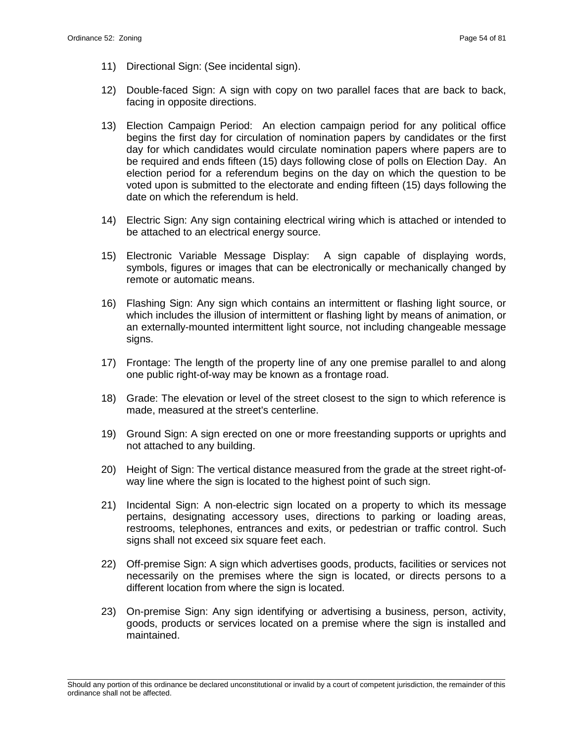- 11) Directional Sign: (See incidental sign).
- 12) Double-faced Sign: A sign with copy on two parallel faces that are back to back, facing in opposite directions.
- 13) Election Campaign Period: An election campaign period for any political office begins the first day for circulation of nomination papers by candidates or the first day for which candidates would circulate nomination papers where papers are to be required and ends fifteen (15) days following close of polls on Election Day. An election period for a referendum begins on the day on which the question to be voted upon is submitted to the electorate and ending fifteen (15) days following the date on which the referendum is held.
- 14) Electric Sign: Any sign containing electrical wiring which is attached or intended to be attached to an electrical energy source.
- 15) Electronic Variable Message Display: A sign capable of displaying words, symbols, figures or images that can be electronically or mechanically changed by remote or automatic means.
- 16) Flashing Sign: Any sign which contains an intermittent or flashing light source, or which includes the illusion of intermittent or flashing light by means of animation, or an externally-mounted intermittent light source, not including changeable message signs.
- 17) Frontage: The length of the property line of any one premise parallel to and along one public right-of-way may be known as a frontage road.
- 18) Grade: The elevation or level of the street closest to the sign to which reference is made, measured at the street's centerline.
- 19) Ground Sign: A sign erected on one or more freestanding supports or uprights and not attached to any building.
- 20) Height of Sign: The vertical distance measured from the grade at the street right-ofway line where the sign is located to the highest point of such sign.
- 21) Incidental Sign: A non-electric sign located on a property to which its message pertains, designating accessory uses, directions to parking or loading areas, restrooms, telephones, entrances and exits, or pedestrian or traffic control. Such signs shall not exceed six square feet each.
- 22) Off-premise Sign: A sign which advertises goods, products, facilities or services not necessarily on the premises where the sign is located, or directs persons to a different location from where the sign is located.
- 23) On-premise Sign: Any sign identifying or advertising a business, person, activity, goods, products or services located on a premise where the sign is installed and maintained.

\_\_\_\_\_\_\_\_\_\_\_\_\_\_\_\_\_\_\_\_\_\_\_\_\_\_\_\_\_\_\_\_\_\_\_\_\_\_\_\_\_\_\_\_\_\_\_\_\_\_\_\_\_\_\_\_\_\_\_\_\_\_\_\_\_\_\_\_\_\_\_\_\_\_\_\_\_\_\_\_\_\_\_\_\_\_\_\_\_\_\_\_\_\_\_\_\_\_\_\_\_\_\_\_\_ Should any portion of this ordinance be declared unconstitutional or invalid by a court of competent jurisdiction, the remainder of this ordinance shall not be affected.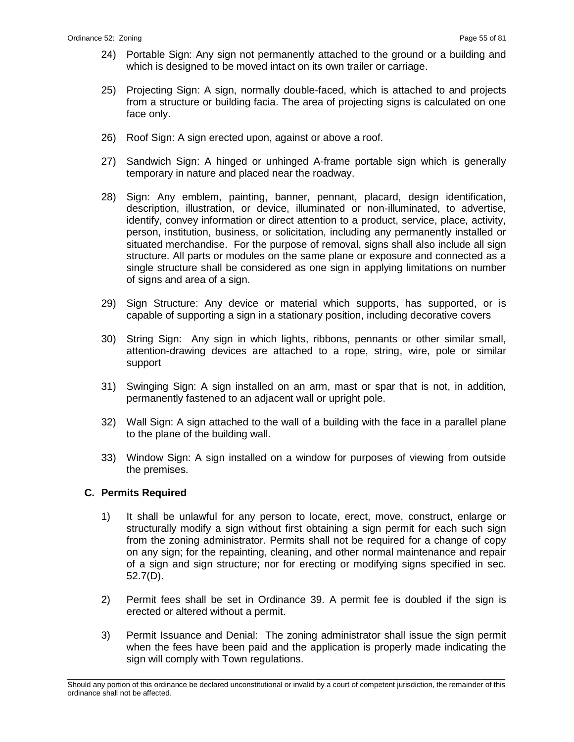- 24) Portable Sign: Any sign not permanently attached to the ground or a building and which is designed to be moved intact on its own trailer or carriage.
- 25) Projecting Sign: A sign, normally double-faced, which is attached to and projects from a structure or building facia. The area of projecting signs is calculated on one face only.
- 26) Roof Sign: A sign erected upon, against or above a roof.
- 27) Sandwich Sign: A hinged or unhinged A-frame portable sign which is generally temporary in nature and placed near the roadway.
- 28) Sign: Any emblem, painting, banner, pennant, placard, design identification, description, illustration, or device, illuminated or non-illuminated, to advertise, identify, convey information or direct attention to a product, service, place, activity, person, institution, business, or solicitation, including any permanently installed or situated merchandise. For the purpose of removal, signs shall also include all sign structure. All parts or modules on the same plane or exposure and connected as a single structure shall be considered as one sign in applying limitations on number of signs and area of a sign.
- 29) Sign Structure: Any device or material which supports, has supported, or is capable of supporting a sign in a stationary position, including decorative covers
- 30) String Sign: Any sign in which lights, ribbons, pennants or other similar small, attention-drawing devices are attached to a rope, string, wire, pole or similar support
- 31) Swinging Sign: A sign installed on an arm, mast or spar that is not, in addition, permanently fastened to an adjacent wall or upright pole.
- 32) Wall Sign: A sign attached to the wall of a building with the face in a parallel plane to the plane of the building wall.
- 33) Window Sign: A sign installed on a window for purposes of viewing from outside the premises.

# **C. Permits Required**

- 1) It shall be unlawful for any person to locate, erect, move, construct, enlarge or structurally modify a sign without first obtaining a sign permit for each such sign from the zoning administrator. Permits shall not be required for a change of copy on any sign; for the repainting, cleaning, and other normal maintenance and repair of a sign and sign structure; nor for erecting or modifying signs specified in sec. 52.7(D).
- 2) Permit fees shall be set in Ordinance 39. A permit fee is doubled if the sign is erected or altered without a permit.
- 3) Permit Issuance and Denial: The zoning administrator shall issue the sign permit when the fees have been paid and the application is properly made indicating the sign will comply with Town regulations.

\_\_\_\_\_\_\_\_\_\_\_\_\_\_\_\_\_\_\_\_\_\_\_\_\_\_\_\_\_\_\_\_\_\_\_\_\_\_\_\_\_\_\_\_\_\_\_\_\_\_\_\_\_\_\_\_\_\_\_\_\_\_\_\_\_\_\_\_\_\_\_\_\_\_\_\_\_\_\_\_\_\_\_\_\_\_\_\_\_\_\_\_\_\_\_\_\_\_\_\_\_\_\_\_\_ Should any portion of this ordinance be declared unconstitutional or invalid by a court of competent jurisdiction, the remainder of this ordinance shall not be affected.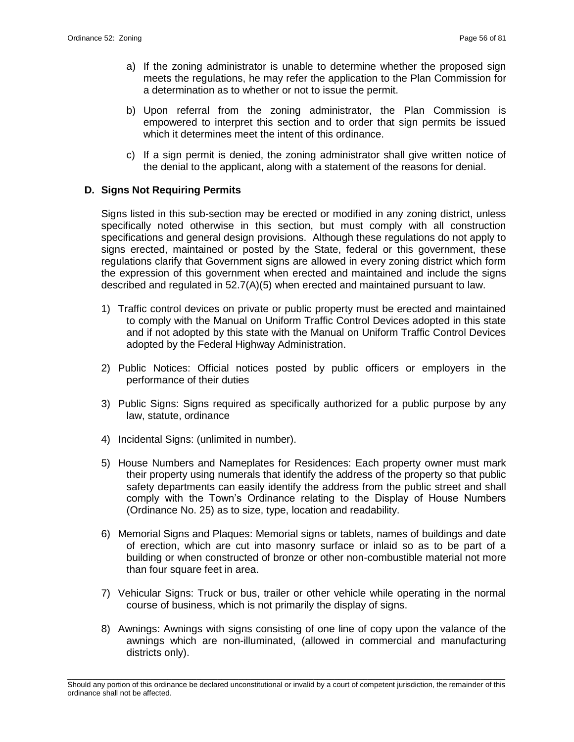- a) If the zoning administrator is unable to determine whether the proposed sign meets the regulations, he may refer the application to the Plan Commission for a determination as to whether or not to issue the permit.
- b) Upon referral from the zoning administrator, the Plan Commission is empowered to interpret this section and to order that sign permits be issued which it determines meet the intent of this ordinance.
- c) If a sign permit is denied, the zoning administrator shall give written notice of the denial to the applicant, along with a statement of the reasons for denial.

### **D. Signs Not Requiring Permits**

Signs listed in this sub-section may be erected or modified in any zoning district, unless specifically noted otherwise in this section, but must comply with all construction specifications and general design provisions. Although these regulations do not apply to signs erected, maintained or posted by the State, federal or this government, these regulations clarify that Government signs are allowed in every zoning district which form the expression of this government when erected and maintained and include the signs described and regulated in 52.7(A)(5) when erected and maintained pursuant to law.

- 1) Traffic control devices on private or public property must be erected and maintained to comply with the Manual on Uniform Traffic Control Devices adopted in this state and if not adopted by this state with the Manual on Uniform Traffic Control Devices adopted by the Federal Highway Administration.
- 2) Public Notices: Official notices posted by public officers or employers in the performance of their duties
- 3) Public Signs: Signs required as specifically authorized for a public purpose by any law, statute, ordinance
- 4) Incidental Signs: (unlimited in number).
- 5) House Numbers and Nameplates for Residences: Each property owner must mark their property using numerals that identify the address of the property so that public safety departments can easily identify the address from the public street and shall comply with the Town's Ordinance relating to the Display of House Numbers (Ordinance No. 25) as to size, type, location and readability.
- 6) Memorial Signs and Plaques: Memorial signs or tablets, names of buildings and date of erection, which are cut into masonry surface or inlaid so as to be part of a building or when constructed of bronze or other non-combustible material not more than four square feet in area.
- 7) Vehicular Signs: Truck or bus, trailer or other vehicle while operating in the normal course of business, which is not primarily the display of signs.
- 8) Awnings: Awnings with signs consisting of one line of copy upon the valance of the awnings which are non-illuminated, (allowed in commercial and manufacturing districts only).

\_\_\_\_\_\_\_\_\_\_\_\_\_\_\_\_\_\_\_\_\_\_\_\_\_\_\_\_\_\_\_\_\_\_\_\_\_\_\_\_\_\_\_\_\_\_\_\_\_\_\_\_\_\_\_\_\_\_\_\_\_\_\_\_\_\_\_\_\_\_\_\_\_\_\_\_\_\_\_\_\_\_\_\_\_\_\_\_\_\_\_\_\_\_\_\_\_\_\_\_\_\_\_\_\_ Should any portion of this ordinance be declared unconstitutional or invalid by a court of competent jurisdiction, the remainder of this ordinance shall not be affected.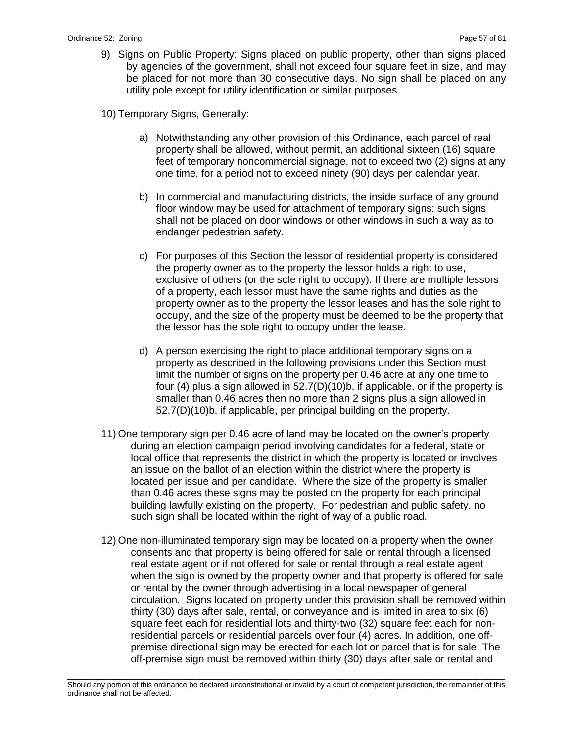- 9) Signs on Public Property: Signs placed on public property, other than signs placed by agencies of the government, shall not exceed four square feet in size, and may be placed for not more than 30 consecutive days. No sign shall be placed on any utility pole except for utility identification or similar purposes.
- 10) Temporary Signs, Generally:
	- a) Notwithstanding any other provision of this Ordinance, each parcel of real property shall be allowed, without permit, an additional sixteen (16) square feet of temporary noncommercial signage, not to exceed two (2) signs at any one time, for a period not to exceed ninety (90) days per calendar year.
	- b) In commercial and manufacturing districts, the inside surface of any ground floor window may be used for attachment of temporary signs; such signs shall not be placed on door windows or other windows in such a way as to endanger pedestrian safety.
	- c) For purposes of this Section the lessor of residential property is considered the property owner as to the property the lessor holds a right to use, exclusive of others (or the sole right to occupy). If there are multiple lessors of a property, each lessor must have the same rights and duties as the property owner as to the property the lessor leases and has the sole right to occupy, and the size of the property must be deemed to be the property that the lessor has the sole right to occupy under the lease.
	- d) A person exercising the right to place additional temporary signs on a property as described in the following provisions under this Section must limit the number of signs on the property per 0.46 acre at any one time to four (4) plus a sign allowed in 52.7(D)(10)b, if applicable, or if the property is smaller than 0.46 acres then no more than 2 signs plus a sign allowed in 52.7(D)(10)b, if applicable, per principal building on the property.
- 11) One temporary sign per 0.46 acre of land may be located on the owner's property during an election campaign period involving candidates for a federal, state or local office that represents the district in which the property is located or involves an issue on the ballot of an election within the district where the property is located per issue and per candidate. Where the size of the property is smaller than 0.46 acres these signs may be posted on the property for each principal building lawfully existing on the property. For pedestrian and public safety, no such sign shall be located within the right of way of a public road.
- 12) One non-illuminated temporary sign may be located on a property when the owner consents and that property is being offered for sale or rental through a licensed real estate agent or if not offered for sale or rental through a real estate agent when the sign is owned by the property owner and that property is offered for sale or rental by the owner through advertising in a local newspaper of general circulation. Signs located on property under this provision shall be removed within thirty (30) days after sale, rental, or conveyance and is limited in area to six (6) square feet each for residential lots and thirty-two (32) square feet each for nonresidential parcels or residential parcels over four (4) acres. In addition, one offpremise directional sign may be erected for each lot or parcel that is for sale. The off-premise sign must be removed within thirty (30) days after sale or rental and

\_\_\_\_\_\_\_\_\_\_\_\_\_\_\_\_\_\_\_\_\_\_\_\_\_\_\_\_\_\_\_\_\_\_\_\_\_\_\_\_\_\_\_\_\_\_\_\_\_\_\_\_\_\_\_\_\_\_\_\_\_\_\_\_\_\_\_\_\_\_\_\_\_\_\_\_\_\_\_\_\_\_\_\_\_\_\_\_\_\_\_\_\_\_\_\_\_\_\_\_\_\_\_\_\_ Should any portion of this ordinance be declared unconstitutional or invalid by a court of competent jurisdiction, the remainder of this ordinance shall not be affected.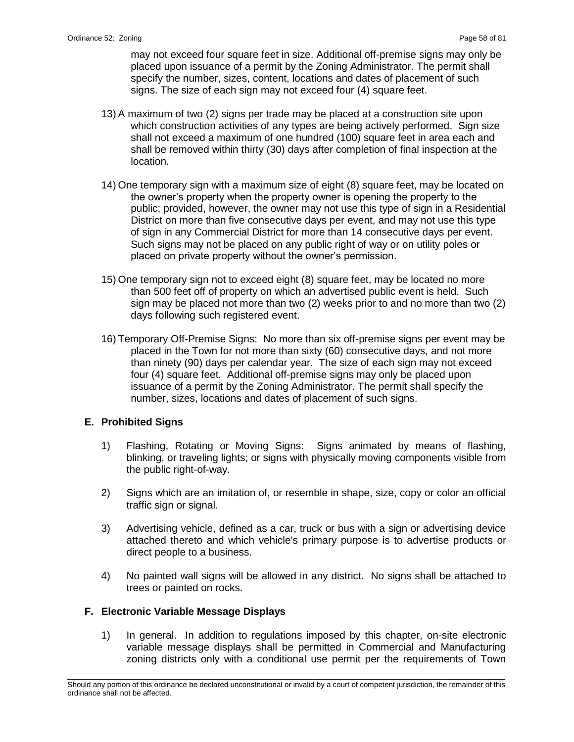may not exceed four square feet in size. Additional off-premise signs may only be placed upon issuance of a permit by the Zoning Administrator. The permit shall specify the number, sizes, content, locations and dates of placement of such signs. The size of each sign may not exceed four (4) square feet.

- 13) A maximum of two (2) signs per trade may be placed at a construction site upon which construction activities of any types are being actively performed. Sign size shall not exceed a maximum of one hundred (100) square feet in area each and shall be removed within thirty (30) days after completion of final inspection at the location.
- 14) One temporary sign with a maximum size of eight (8) square feet, may be located on the owner's property when the property owner is opening the property to the public; provided, however, the owner may not use this type of sign in a Residential District on more than five consecutive days per event, and may not use this type of sign in any Commercial District for more than 14 consecutive days per event. Such signs may not be placed on any public right of way or on utility poles or placed on private property without the owner's permission.
- 15) One temporary sign not to exceed eight (8) square feet, may be located no more than 500 feet off of property on which an advertised public event is held. Such sign may be placed not more than two (2) weeks prior to and no more than two (2) days following such registered event.
- 16) Temporary Off-Premise Signs: No more than six off-premise signs per event may be placed in the Town for not more than sixty (60) consecutive days, and not more than ninety (90) days per calendar year. The size of each sign may not exceed four (4) square feet. Additional off-premise signs may only be placed upon issuance of a permit by the Zoning Administrator. The permit shall specify the number, sizes, locations and dates of placement of such signs.

# **E. Prohibited Signs**

- 1) Flashing, Rotating or Moving Signs: Signs animated by means of flashing, blinking, or traveling lights; or signs with physically moving components visible from the public right-of-way.
- 2) Signs which are an imitation of, or resemble in shape, size, copy or color an official traffic sign or signal.
- 3) Advertising vehicle, defined as a car, truck or bus with a sign or advertising device attached thereto and which vehicle's primary purpose is to advertise products or direct people to a business.
- 4) No painted wall signs will be allowed in any district. No signs shall be attached to trees or painted on rocks.

# **F. Electronic Variable Message Displays**

1) In general. In addition to regulations imposed by this chapter, on-site electronic variable message displays shall be permitted in Commercial and Manufacturing zoning districts only with a conditional use permit per the requirements of Town

\_\_\_\_\_\_\_\_\_\_\_\_\_\_\_\_\_\_\_\_\_\_\_\_\_\_\_\_\_\_\_\_\_\_\_\_\_\_\_\_\_\_\_\_\_\_\_\_\_\_\_\_\_\_\_\_\_\_\_\_\_\_\_\_\_\_\_\_\_\_\_\_\_\_\_\_\_\_\_\_\_\_\_\_\_\_\_\_\_\_\_\_\_\_\_\_\_\_\_\_\_\_\_\_\_ Should any portion of this ordinance be declared unconstitutional or invalid by a court of competent jurisdiction, the remainder of this ordinance shall not be affected.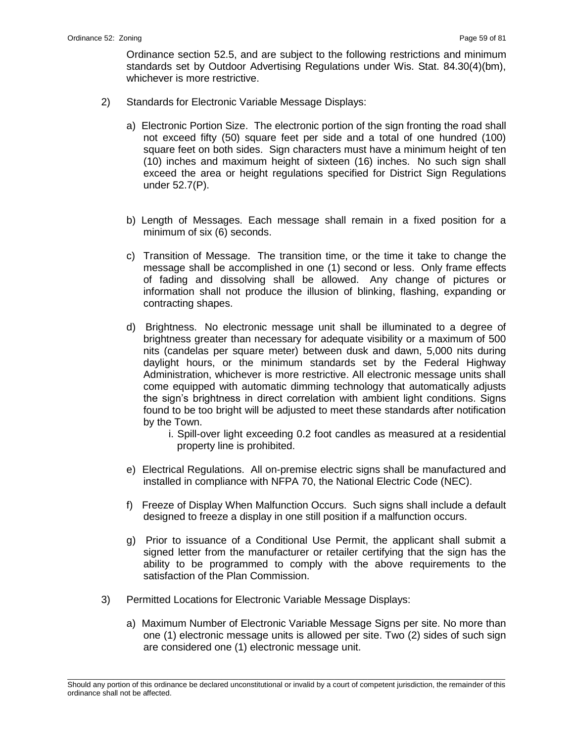Ordinance section 52.5, and are subject to the following restrictions and minimum standards set by Outdoor Advertising Regulations under Wis. Stat. 84.30(4)(bm), whichever is more restrictive.

- 2) Standards for Electronic Variable Message Displays:
	- a) Electronic Portion Size. The electronic portion of the sign fronting the road shall not exceed fifty (50) square feet per side and a total of one hundred (100) square feet on both sides. Sign characters must have a minimum height of ten (10) inches and maximum height of sixteen (16) inches. No such sign shall exceed the area or height regulations specified for District Sign Regulations under 52.7(P).
	- b) Length of Messages. Each message shall remain in a fixed position for a minimum of six (6) seconds.
	- c) Transition of Message. The transition time, or the time it take to change the message shall be accomplished in one (1) second or less. Only frame effects of fading and dissolving shall be allowed. Any change of pictures or information shall not produce the illusion of blinking, flashing, expanding or contracting shapes.
	- d) Brightness. No electronic message unit shall be illuminated to a degree of brightness greater than necessary for adequate visibility or a maximum of 500 nits (candelas per square meter) between dusk and dawn, 5,000 nits during daylight hours, or the minimum standards set by the Federal Highway Administration, whichever is more restrictive. All electronic message units shall come equipped with automatic dimming technology that automatically adjusts the sign's brightness in direct correlation with ambient light conditions. Signs found to be too bright will be adjusted to meet these standards after notification by the Town.
		- i. Spill-over light exceeding 0.2 foot candles as measured at a residential property line is prohibited.
	- e) Electrical Regulations. All on-premise electric signs shall be manufactured and installed in compliance with NFPA 70, the National Electric Code (NEC).
	- f) Freeze of Display When Malfunction Occurs. Such signs shall include a default designed to freeze a display in one still position if a malfunction occurs.
	- g) Prior to issuance of a Conditional Use Permit, the applicant shall submit a signed letter from the manufacturer or retailer certifying that the sign has the ability to be programmed to comply with the above requirements to the satisfaction of the Plan Commission.
- 3) Permitted Locations for Electronic Variable Message Displays:
	- a) Maximum Number of Electronic Variable Message Signs per site. No more than one (1) electronic message units is allowed per site. Two (2) sides of such sign are considered one (1) electronic message unit.

\_\_\_\_\_\_\_\_\_\_\_\_\_\_\_\_\_\_\_\_\_\_\_\_\_\_\_\_\_\_\_\_\_\_\_\_\_\_\_\_\_\_\_\_\_\_\_\_\_\_\_\_\_\_\_\_\_\_\_\_\_\_\_\_\_\_\_\_\_\_\_\_\_\_\_\_\_\_\_\_\_\_\_\_\_\_\_\_\_\_\_\_\_\_\_\_\_\_\_\_\_\_\_\_\_ Should any portion of this ordinance be declared unconstitutional or invalid by a court of competent jurisdiction, the remainder of this ordinance shall not be affected.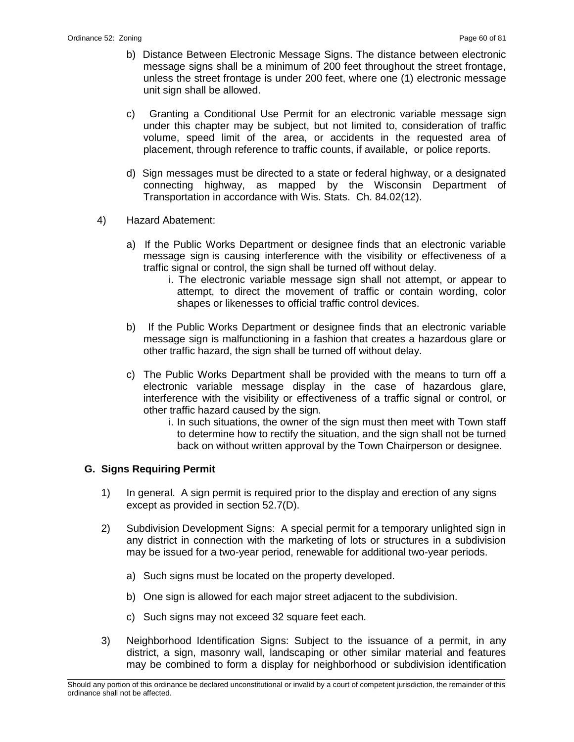- b) Distance Between Electronic Message Signs. The distance between electronic message signs shall be a minimum of 200 feet throughout the street frontage, unless the street frontage is under 200 feet, where one (1) electronic message unit sign shall be allowed.
- c) Granting a Conditional Use Permit for an electronic variable message sign under this chapter may be subject, but not limited to, consideration of traffic volume, speed limit of the area, or accidents in the requested area of placement, through reference to traffic counts, if available, or police reports.
- d) Sign messages must be directed to a state or federal highway, or a designated connecting highway, as mapped by the Wisconsin Department of Transportation in accordance with Wis. Stats. Ch. 84.02(12).
- 4) Hazard Abatement:
	- a) If the Public Works Department or designee finds that an electronic variable message sign is causing interference with the visibility or effectiveness of a traffic signal or control, the sign shall be turned off without delay.
		- i. The electronic variable message sign shall not attempt, or appear to attempt, to direct the movement of traffic or contain wording, color shapes or likenesses to official traffic control devices.
	- b) If the Public Works Department or designee finds that an electronic variable message sign is malfunctioning in a fashion that creates a hazardous glare or other traffic hazard, the sign shall be turned off without delay.
	- c) The Public Works Department shall be provided with the means to turn off a electronic variable message display in the case of hazardous glare, interference with the visibility or effectiveness of a traffic signal or control, or other traffic hazard caused by the sign.
		- i. In such situations, the owner of the sign must then meet with Town staff to determine how to rectify the situation, and the sign shall not be turned back on without written approval by the Town Chairperson or designee.

# **G. Signs Requiring Permit**

- 1) In general. A sign permit is required prior to the display and erection of any signs except as provided in section 52.7(D).
- 2) Subdivision Development Signs: A special permit for a temporary unlighted sign in any district in connection with the marketing of lots or structures in a subdivision may be issued for a two-year period, renewable for additional two-year periods.
	- a) Such signs must be located on the property developed.
	- b) One sign is allowed for each major street adjacent to the subdivision.
	- c) Such signs may not exceed 32 square feet each.
- 3) Neighborhood Identification Signs: Subject to the issuance of a permit, in any district, a sign, masonry wall, landscaping or other similar material and features may be combined to form a display for neighborhood or subdivision identification

\_\_\_\_\_\_\_\_\_\_\_\_\_\_\_\_\_\_\_\_\_\_\_\_\_\_\_\_\_\_\_\_\_\_\_\_\_\_\_\_\_\_\_\_\_\_\_\_\_\_\_\_\_\_\_\_\_\_\_\_\_\_\_\_\_\_\_\_\_\_\_\_\_\_\_\_\_\_\_\_\_\_\_\_\_\_\_\_\_\_\_\_\_\_\_\_\_\_\_\_\_\_\_\_\_ Should any portion of this ordinance be declared unconstitutional or invalid by a court of competent jurisdiction, the remainder of this ordinance shall not be affected.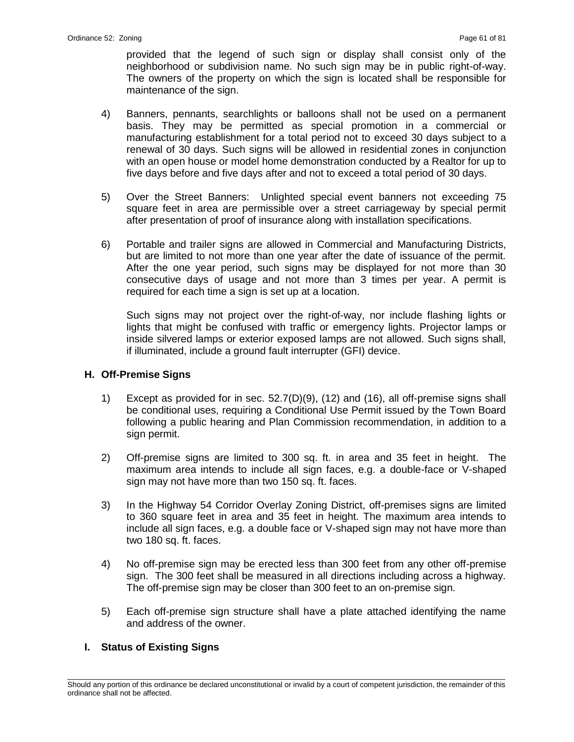provided that the legend of such sign or display shall consist only of the neighborhood or subdivision name. No such sign may be in public right-of-way. The owners of the property on which the sign is located shall be responsible for maintenance of the sign.

- 4) Banners, pennants, searchlights or balloons shall not be used on a permanent basis. They may be permitted as special promotion in a commercial or manufacturing establishment for a total period not to exceed 30 days subject to a renewal of 30 days. Such signs will be allowed in residential zones in conjunction with an open house or model home demonstration conducted by a Realtor for up to five days before and five days after and not to exceed a total period of 30 days.
- 5) Over the Street Banners: Unlighted special event banners not exceeding 75 square feet in area are permissible over a street carriageway by special permit after presentation of proof of insurance along with installation specifications.
- 6) Portable and trailer signs are allowed in Commercial and Manufacturing Districts, but are limited to not more than one year after the date of issuance of the permit. After the one year period, such signs may be displayed for not more than 30 consecutive days of usage and not more than 3 times per year. A permit is required for each time a sign is set up at a location.

Such signs may not project over the right-of-way, nor include flashing lights or lights that might be confused with traffic or emergency lights. Projector lamps or inside silvered lamps or exterior exposed lamps are not allowed. Such signs shall, if illuminated, include a ground fault interrupter (GFI) device.

#### **H. Off-Premise Signs**

- 1) Except as provided for in sec. 52.7(D)(9), (12) and (16), all off-premise signs shall be conditional uses, requiring a Conditional Use Permit issued by the Town Board following a public hearing and Plan Commission recommendation, in addition to a sign permit.
- 2) Off-premise signs are limited to 300 sq. ft. in area and 35 feet in height. The maximum area intends to include all sign faces, e.g. a double-face or V-shaped sign may not have more than two 150 sq. ft. faces.
- 3) In the Highway 54 Corridor Overlay Zoning District, off-premises signs are limited to 360 square feet in area and 35 feet in height. The maximum area intends to include all sign faces, e.g. a double face or V-shaped sign may not have more than two 180 sq. ft. faces.
- 4) No off-premise sign may be erected less than 300 feet from any other off-premise sign. The 300 feet shall be measured in all directions including across a highway. The off-premise sign may be closer than 300 feet to an on-premise sign.
- 5) Each off-premise sign structure shall have a plate attached identifying the name and address of the owner.

#### **I. Status of Existing Signs**

\_\_\_\_\_\_\_\_\_\_\_\_\_\_\_\_\_\_\_\_\_\_\_\_\_\_\_\_\_\_\_\_\_\_\_\_\_\_\_\_\_\_\_\_\_\_\_\_\_\_\_\_\_\_\_\_\_\_\_\_\_\_\_\_\_\_\_\_\_\_\_\_\_\_\_\_\_\_\_\_\_\_\_\_\_\_\_\_\_\_\_\_\_\_\_\_\_\_\_\_\_\_\_\_\_ Should any portion of this ordinance be declared unconstitutional or invalid by a court of competent jurisdiction, the remainder of this ordinance shall not be affected.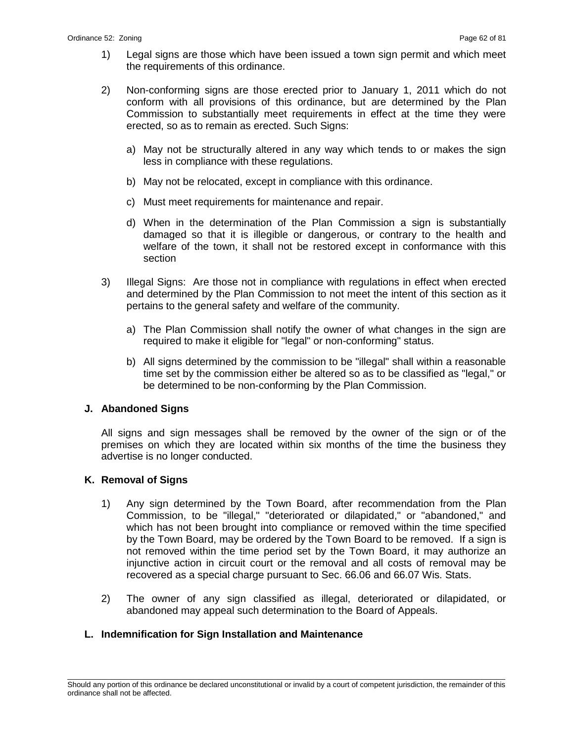- 1) Legal signs are those which have been issued a town sign permit and which meet the requirements of this ordinance.
- 2) Non-conforming signs are those erected prior to January 1, 2011 which do not conform with all provisions of this ordinance, but are determined by the Plan Commission to substantially meet requirements in effect at the time they were erected, so as to remain as erected. Such Signs:
	- a) May not be structurally altered in any way which tends to or makes the sign less in compliance with these regulations.
	- b) May not be relocated, except in compliance with this ordinance.
	- c) Must meet requirements for maintenance and repair.
	- d) When in the determination of the Plan Commission a sign is substantially damaged so that it is illegible or dangerous, or contrary to the health and welfare of the town, it shall not be restored except in conformance with this section
- 3) Illegal Signs: Are those not in compliance with regulations in effect when erected and determined by the Plan Commission to not meet the intent of this section as it pertains to the general safety and welfare of the community.
	- a) The Plan Commission shall notify the owner of what changes in the sign are required to make it eligible for "legal" or non-conforming" status.
	- b) All signs determined by the commission to be "illegal" shall within a reasonable time set by the commission either be altered so as to be classified as "legal," or be determined to be non-conforming by the Plan Commission.

# **J. Abandoned Signs**

All signs and sign messages shall be removed by the owner of the sign or of the premises on which they are located within six months of the time the business they advertise is no longer conducted.

# **K. Removal of Signs**

- 1) Any sign determined by the Town Board, after recommendation from the Plan Commission, to be "illegal," "deteriorated or dilapidated," or "abandoned," and which has not been brought into compliance or removed within the time specified by the Town Board, may be ordered by the Town Board to be removed. If a sign is not removed within the time period set by the Town Board, it may authorize an injunctive action in circuit court or the removal and all costs of removal may be recovered as a special charge pursuant to Sec. 66.06 and 66.07 Wis. Stats.
- 2) The owner of any sign classified as illegal, deteriorated or dilapidated, or abandoned may appeal such determination to the Board of Appeals.

# **L. Indemnification for Sign Installation and Maintenance**

\_\_\_\_\_\_\_\_\_\_\_\_\_\_\_\_\_\_\_\_\_\_\_\_\_\_\_\_\_\_\_\_\_\_\_\_\_\_\_\_\_\_\_\_\_\_\_\_\_\_\_\_\_\_\_\_\_\_\_\_\_\_\_\_\_\_\_\_\_\_\_\_\_\_\_\_\_\_\_\_\_\_\_\_\_\_\_\_\_\_\_\_\_\_\_\_\_\_\_\_\_\_\_\_\_ Should any portion of this ordinance be declared unconstitutional or invalid by a court of competent jurisdiction, the remainder of this ordinance shall not be affected.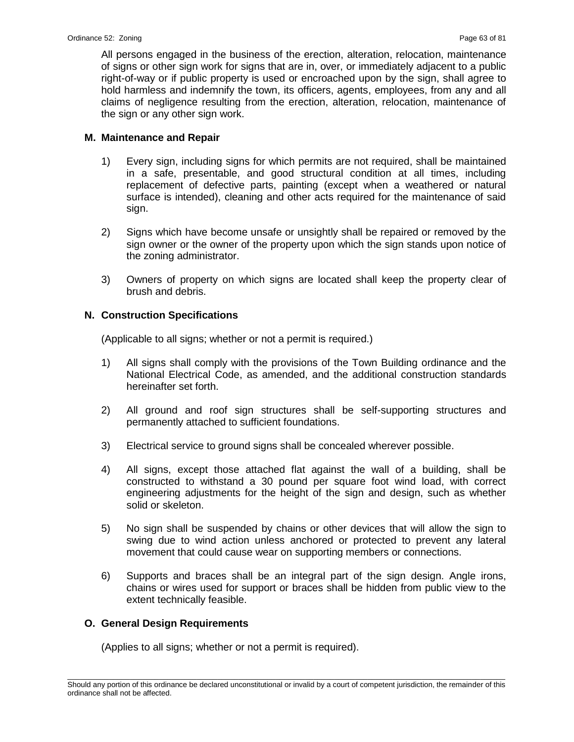All persons engaged in the business of the erection, alteration, relocation, maintenance of signs or other sign work for signs that are in, over, or immediately adjacent to a public right-of-way or if public property is used or encroached upon by the sign, shall agree to hold harmless and indemnify the town, its officers, agents, employees, from any and all claims of negligence resulting from the erection, alteration, relocation, maintenance of the sign or any other sign work.

### **M. Maintenance and Repair**

- 1) Every sign, including signs for which permits are not required, shall be maintained in a safe, presentable, and good structural condition at all times, including replacement of defective parts, painting (except when a weathered or natural surface is intended), cleaning and other acts required for the maintenance of said sign.
- 2) Signs which have become unsafe or unsightly shall be repaired or removed by the sign owner or the owner of the property upon which the sign stands upon notice of the zoning administrator.
- 3) Owners of property on which signs are located shall keep the property clear of brush and debris.

# **N. Construction Specifications**

(Applicable to all signs; whether or not a permit is required.)

- 1) All signs shall comply with the provisions of the Town Building ordinance and the National Electrical Code, as amended, and the additional construction standards hereinafter set forth.
- 2) All ground and roof sign structures shall be self-supporting structures and permanently attached to sufficient foundations.
- 3) Electrical service to ground signs shall be concealed wherever possible.
- 4) All signs, except those attached flat against the wall of a building, shall be constructed to withstand a 30 pound per square foot wind load, with correct engineering adjustments for the height of the sign and design, such as whether solid or skeleton.
- 5) No sign shall be suspended by chains or other devices that will allow the sign to swing due to wind action unless anchored or protected to prevent any lateral movement that could cause wear on supporting members or connections.
- 6) Supports and braces shall be an integral part of the sign design. Angle irons, chains or wires used for support or braces shall be hidden from public view to the extent technically feasible.

# **O. General Design Requirements**

(Applies to all signs; whether or not a permit is required).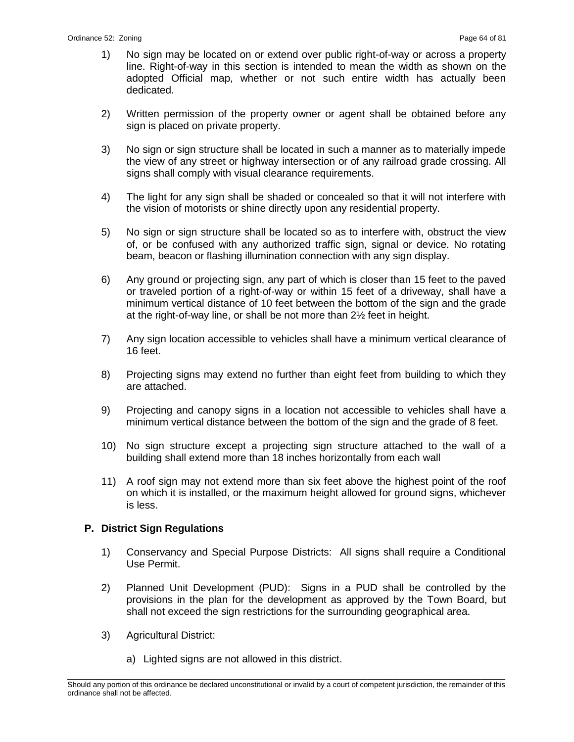- 1) No sign may be located on or extend over public right-of-way or across a property line. Right-of-way in this section is intended to mean the width as shown on the adopted Official map, whether or not such entire width has actually been dedicated.
- 2) Written permission of the property owner or agent shall be obtained before any sign is placed on private property.
- 3) No sign or sign structure shall be located in such a manner as to materially impede the view of any street or highway intersection or of any railroad grade crossing. All signs shall comply with visual clearance requirements.
- 4) The light for any sign shall be shaded or concealed so that it will not interfere with the vision of motorists or shine directly upon any residential property.
- 5) No sign or sign structure shall be located so as to interfere with, obstruct the view of, or be confused with any authorized traffic sign, signal or device. No rotating beam, beacon or flashing illumination connection with any sign display.
- 6) Any ground or projecting sign, any part of which is closer than 15 feet to the paved or traveled portion of a right-of-way or within 15 feet of a driveway, shall have a minimum vertical distance of 10 feet between the bottom of the sign and the grade at the right-of-way line, or shall be not more than 2½ feet in height.
- 7) Any sign location accessible to vehicles shall have a minimum vertical clearance of 16 feet.
- 8) Projecting signs may extend no further than eight feet from building to which they are attached.
- 9) Projecting and canopy signs in a location not accessible to vehicles shall have a minimum vertical distance between the bottom of the sign and the grade of 8 feet.
- 10) No sign structure except a projecting sign structure attached to the wall of a building shall extend more than 18 inches horizontally from each wall
- 11) A roof sign may not extend more than six feet above the highest point of the roof on which it is installed, or the maximum height allowed for ground signs, whichever is less.

# **P. District Sign Regulations**

- 1) Conservancy and Special Purpose Districts: All signs shall require a Conditional Use Permit.
- 2) Planned Unit Development (PUD): Signs in a PUD shall be controlled by the provisions in the plan for the development as approved by the Town Board, but shall not exceed the sign restrictions for the surrounding geographical area.
- 3) Agricultural District:
	- a) Lighted signs are not allowed in this district.

\_\_\_\_\_\_\_\_\_\_\_\_\_\_\_\_\_\_\_\_\_\_\_\_\_\_\_\_\_\_\_\_\_\_\_\_\_\_\_\_\_\_\_\_\_\_\_\_\_\_\_\_\_\_\_\_\_\_\_\_\_\_\_\_\_\_\_\_\_\_\_\_\_\_\_\_\_\_\_\_\_\_\_\_\_\_\_\_\_\_\_\_\_\_\_\_\_\_\_\_\_\_\_\_\_ Should any portion of this ordinance be declared unconstitutional or invalid by a court of competent jurisdiction, the remainder of this ordinance shall not be affected.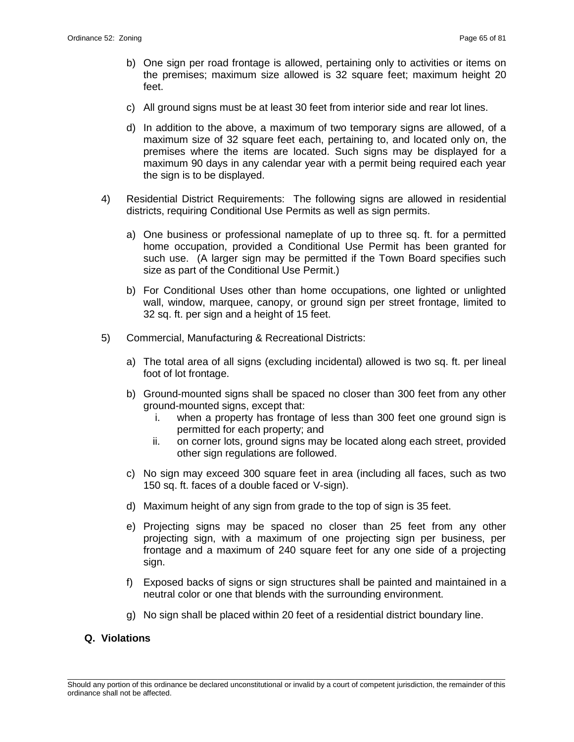- b) One sign per road frontage is allowed, pertaining only to activities or items on the premises; maximum size allowed is 32 square feet; maximum height 20 feet.
- c) All ground signs must be at least 30 feet from interior side and rear lot lines.
- d) In addition to the above, a maximum of two temporary signs are allowed, of a maximum size of 32 square feet each, pertaining to, and located only on, the premises where the items are located. Such signs may be displayed for a maximum 90 days in any calendar year with a permit being required each year the sign is to be displayed.
- 4) Residential District Requirements: The following signs are allowed in residential districts, requiring Conditional Use Permits as well as sign permits.
	- a) One business or professional nameplate of up to three sq. ft. for a permitted home occupation, provided a Conditional Use Permit has been granted for such use. (A larger sign may be permitted if the Town Board specifies such size as part of the Conditional Use Permit.)
	- b) For Conditional Uses other than home occupations, one lighted or unlighted wall, window, marquee, canopy, or ground sign per street frontage, limited to 32 sq. ft. per sign and a height of 15 feet.
- 5) Commercial, Manufacturing & Recreational Districts:
	- a) The total area of all signs (excluding incidental) allowed is two sq. ft. per lineal foot of lot frontage.
	- b) Ground-mounted signs shall be spaced no closer than 300 feet from any other ground-mounted signs, except that:
		- i. when a property has frontage of less than 300 feet one ground sign is permitted for each property; and
		- ii. on corner lots, ground signs may be located along each street, provided other sign regulations are followed.
	- c) No sign may exceed 300 square feet in area (including all faces, such as two 150 sq. ft. faces of a double faced or V-sign).
	- d) Maximum height of any sign from grade to the top of sign is 35 feet.
	- e) Projecting signs may be spaced no closer than 25 feet from any other projecting sign, with a maximum of one projecting sign per business, per frontage and a maximum of 240 square feet for any one side of a projecting sign.
	- f) Exposed backs of signs or sign structures shall be painted and maintained in a neutral color or one that blends with the surrounding environment.
	- g) No sign shall be placed within 20 feet of a residential district boundary line.

# **Q. Violations**

\_\_\_\_\_\_\_\_\_\_\_\_\_\_\_\_\_\_\_\_\_\_\_\_\_\_\_\_\_\_\_\_\_\_\_\_\_\_\_\_\_\_\_\_\_\_\_\_\_\_\_\_\_\_\_\_\_\_\_\_\_\_\_\_\_\_\_\_\_\_\_\_\_\_\_\_\_\_\_\_\_\_\_\_\_\_\_\_\_\_\_\_\_\_\_\_\_\_\_\_\_\_\_\_\_ Should any portion of this ordinance be declared unconstitutional or invalid by a court of competent jurisdiction, the remainder of this ordinance shall not be affected.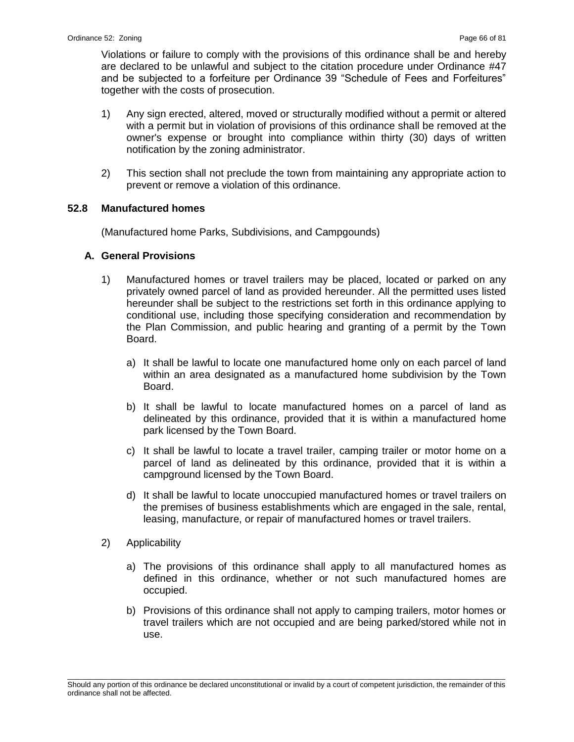Violations or failure to comply with the provisions of this ordinance shall be and hereby are declared to be unlawful and subject to the citation procedure under Ordinance #47 and be subjected to a forfeiture per Ordinance 39 "Schedule of Fees and Forfeitures" together with the costs of prosecution.

- 1) Any sign erected, altered, moved or structurally modified without a permit or altered with a permit but in violation of provisions of this ordinance shall be removed at the owner's expense or brought into compliance within thirty (30) days of written notification by the zoning administrator.
- 2) This section shall not preclude the town from maintaining any appropriate action to prevent or remove a violation of this ordinance.

### **52.8 Manufactured homes**

(Manufactured home Parks, Subdivisions, and Campgounds)

### **A. General Provisions**

- 1) Manufactured homes or travel trailers may be placed, located or parked on any privately owned parcel of land as provided hereunder. All the permitted uses listed hereunder shall be subject to the restrictions set forth in this ordinance applying to conditional use, including those specifying consideration and recommendation by the Plan Commission, and public hearing and granting of a permit by the Town Board.
	- a) It shall be lawful to locate one manufactured home only on each parcel of land within an area designated as a manufactured home subdivision by the Town Board.
	- b) It shall be lawful to locate manufactured homes on a parcel of land as delineated by this ordinance, provided that it is within a manufactured home park licensed by the Town Board.
	- c) It shall be lawful to locate a travel trailer, camping trailer or motor home on a parcel of land as delineated by this ordinance, provided that it is within a campground licensed by the Town Board.
	- d) It shall be lawful to locate unoccupied manufactured homes or travel trailers on the premises of business establishments which are engaged in the sale, rental, leasing, manufacture, or repair of manufactured homes or travel trailers.
- 2) Applicability
	- a) The provisions of this ordinance shall apply to all manufactured homes as defined in this ordinance, whether or not such manufactured homes are occupied.
	- b) Provisions of this ordinance shall not apply to camping trailers, motor homes or travel trailers which are not occupied and are being parked/stored while not in use.

\_\_\_\_\_\_\_\_\_\_\_\_\_\_\_\_\_\_\_\_\_\_\_\_\_\_\_\_\_\_\_\_\_\_\_\_\_\_\_\_\_\_\_\_\_\_\_\_\_\_\_\_\_\_\_\_\_\_\_\_\_\_\_\_\_\_\_\_\_\_\_\_\_\_\_\_\_\_\_\_\_\_\_\_\_\_\_\_\_\_\_\_\_\_\_\_\_\_\_\_\_\_\_\_\_ Should any portion of this ordinance be declared unconstitutional or invalid by a court of competent jurisdiction, the remainder of this ordinance shall not be affected.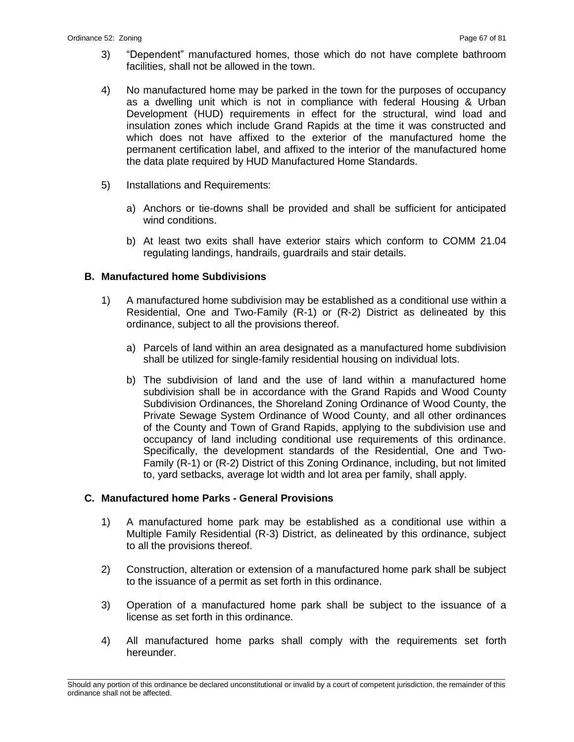- 3) "Dependent" manufactured homes, those which do not have complete bathroom facilities, shall not be allowed in the town.
- 4) No manufactured home may be parked in the town for the purposes of occupancy as a dwelling unit which is not in compliance with federal Housing & Urban Development (HUD) requirements in effect for the structural, wind load and insulation zones which include Grand Rapids at the time it was constructed and which does not have affixed to the exterior of the manufactured home the permanent certification label, and affixed to the interior of the manufactured home the data plate required by HUD Manufactured Home Standards.
- 5) Installations and Requirements:
	- a) Anchors or tie-downs shall be provided and shall be sufficient for anticipated wind conditions.
	- b) At least two exits shall have exterior stairs which conform to COMM 21.04 regulating landings, handrails, guardrails and stair details.

# **B. Manufactured home Subdivisions**

- 1) A manufactured home subdivision may be established as a conditional use within a Residential, One and Two-Family (R-1) or (R-2) District as delineated by this ordinance, subject to all the provisions thereof.
	- a) Parcels of land within an area designated as a manufactured home subdivision shall be utilized for single-family residential housing on individual lots.
	- b) The subdivision of land and the use of land within a manufactured home subdivision shall be in accordance with the Grand Rapids and Wood County Subdivision Ordinances, the Shoreland Zoning Ordinance of Wood County, the Private Sewage System Ordinance of Wood County, and all other ordinances of the County and Town of Grand Rapids, applying to the subdivision use and occupancy of land including conditional use requirements of this ordinance. Specifically, the development standards of the Residential, One and Two-Family (R-1) or (R-2) District of this Zoning Ordinance, including, but not limited to, yard setbacks, average lot width and lot area per family, shall apply.

#### **C. Manufactured home Parks - General Provisions**

- 1) A manufactured home park may be established as a conditional use within a Multiple Family Residential (R-3) District, as delineated by this ordinance, subject to all the provisions thereof.
- 2) Construction, alteration or extension of a manufactured home park shall be subject to the issuance of a permit as set forth in this ordinance.
- 3) Operation of a manufactured home park shall be subject to the issuance of a license as set forth in this ordinance.
- 4) All manufactured home parks shall comply with the requirements set forth hereunder.

\_\_\_\_\_\_\_\_\_\_\_\_\_\_\_\_\_\_\_\_\_\_\_\_\_\_\_\_\_\_\_\_\_\_\_\_\_\_\_\_\_\_\_\_\_\_\_\_\_\_\_\_\_\_\_\_\_\_\_\_\_\_\_\_\_\_\_\_\_\_\_\_\_\_\_\_\_\_\_\_\_\_\_\_\_\_\_\_\_\_\_\_\_\_\_\_\_\_\_\_\_\_\_\_\_ Should any portion of this ordinance be declared unconstitutional or invalid by a court of competent jurisdiction, the remainder of this ordinance shall not be affected.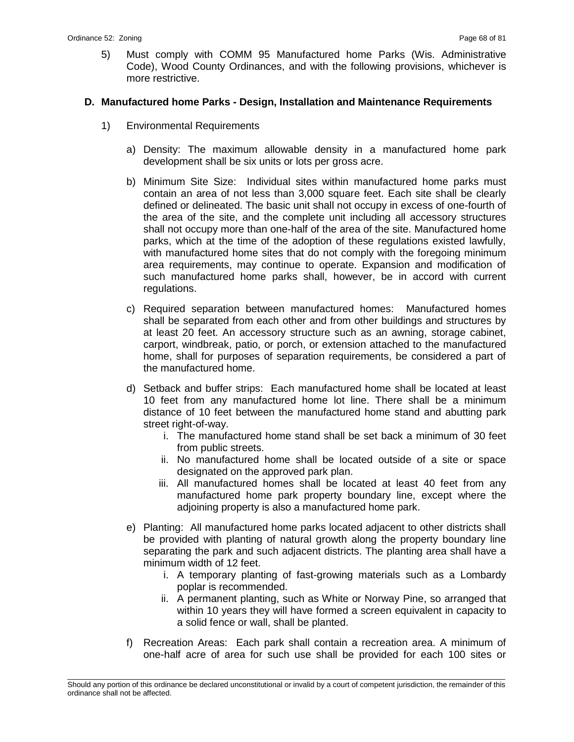5) Must comply with COMM 95 Manufactured home Parks (Wis. Administrative Code), Wood County Ordinances, and with the following provisions, whichever is more restrictive.

#### **D. Manufactured home Parks - Design, Installation and Maintenance Requirements**

- 1) Environmental Requirements
	- a) Density: The maximum allowable density in a manufactured home park development shall be six units or lots per gross acre.
	- b) Minimum Site Size: Individual sites within manufactured home parks must contain an area of not less than 3,000 square feet. Each site shall be clearly defined or delineated. The basic unit shall not occupy in excess of one-fourth of the area of the site, and the complete unit including all accessory structures shall not occupy more than one-half of the area of the site. Manufactured home parks, which at the time of the adoption of these regulations existed lawfully, with manufactured home sites that do not comply with the foregoing minimum area requirements, may continue to operate. Expansion and modification of such manufactured home parks shall, however, be in accord with current regulations.
	- c) Required separation between manufactured homes: Manufactured homes shall be separated from each other and from other buildings and structures by at least 20 feet. An accessory structure such as an awning, storage cabinet, carport, windbreak, patio, or porch, or extension attached to the manufactured home, shall for purposes of separation requirements, be considered a part of the manufactured home.
	- d) Setback and buffer strips: Each manufactured home shall be located at least 10 feet from any manufactured home lot line. There shall be a minimum distance of 10 feet between the manufactured home stand and abutting park street right-of-way.
		- i. The manufactured home stand shall be set back a minimum of 30 feet from public streets.
		- ii. No manufactured home shall be located outside of a site or space designated on the approved park plan.
		- iii. All manufactured homes shall be located at least 40 feet from any manufactured home park property boundary line, except where the adjoining property is also a manufactured home park.
	- e) Planting: All manufactured home parks located adjacent to other districts shall be provided with planting of natural growth along the property boundary line separating the park and such adjacent districts. The planting area shall have a minimum width of 12 feet.
		- i. A temporary planting of fast-growing materials such as a Lombardy poplar is recommended.
		- ii. A permanent planting, such as White or Norway Pine, so arranged that within 10 years they will have formed a screen equivalent in capacity to a solid fence or wall, shall be planted.
	- f) Recreation Areas: Each park shall contain a recreation area. A minimum of one-half acre of area for such use shall be provided for each 100 sites or

\_\_\_\_\_\_\_\_\_\_\_\_\_\_\_\_\_\_\_\_\_\_\_\_\_\_\_\_\_\_\_\_\_\_\_\_\_\_\_\_\_\_\_\_\_\_\_\_\_\_\_\_\_\_\_\_\_\_\_\_\_\_\_\_\_\_\_\_\_\_\_\_\_\_\_\_\_\_\_\_\_\_\_\_\_\_\_\_\_\_\_\_\_\_\_\_\_\_\_\_\_\_\_\_\_ Should any portion of this ordinance be declared unconstitutional or invalid by a court of competent jurisdiction, the remainder of this ordinance shall not be affected.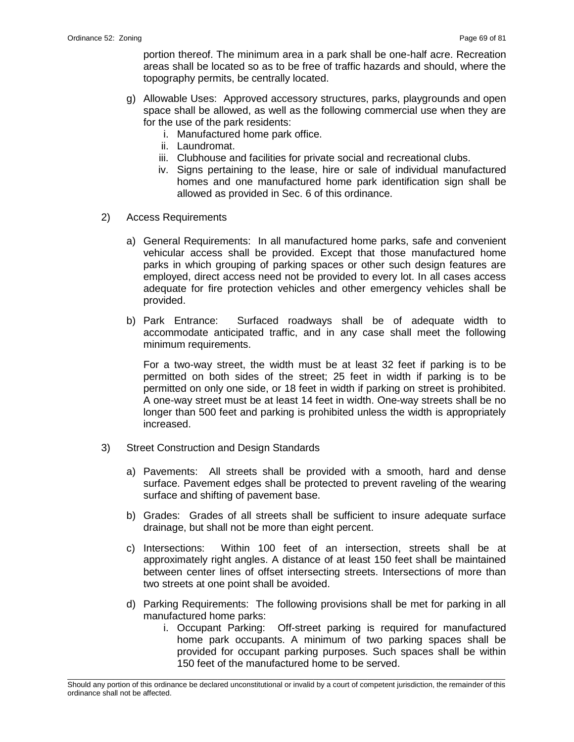portion thereof. The minimum area in a park shall be one-half acre. Recreation areas shall be located so as to be free of traffic hazards and should, where the topography permits, be centrally located.

- g) Allowable Uses: Approved accessory structures, parks, playgrounds and open space shall be allowed, as well as the following commercial use when they are for the use of the park residents:
	- i. Manufactured home park office.
	- ii. Laundromat.
	- iii. Clubhouse and facilities for private social and recreational clubs.
	- iv. Signs pertaining to the lease, hire or sale of individual manufactured homes and one manufactured home park identification sign shall be allowed as provided in Sec. 6 of this ordinance.
- 2) Access Requirements
	- a) General Requirements: In all manufactured home parks, safe and convenient vehicular access shall be provided. Except that those manufactured home parks in which grouping of parking spaces or other such design features are employed, direct access need not be provided to every lot. In all cases access adequate for fire protection vehicles and other emergency vehicles shall be provided.
	- b) Park Entrance: Surfaced roadways shall be of adequate width to accommodate anticipated traffic, and in any case shall meet the following minimum requirements.

For a two-way street, the width must be at least 32 feet if parking is to be permitted on both sides of the street; 25 feet in width if parking is to be permitted on only one side, or 18 feet in width if parking on street is prohibited. A one-way street must be at least 14 feet in width. One-way streets shall be no longer than 500 feet and parking is prohibited unless the width is appropriately increased.

- 3) Street Construction and Design Standards
	- a) Pavements: All streets shall be provided with a smooth, hard and dense surface. Pavement edges shall be protected to prevent raveling of the wearing surface and shifting of pavement base.
	- b) Grades: Grades of all streets shall be sufficient to insure adequate surface drainage, but shall not be more than eight percent.
	- c) Intersections: Within 100 feet of an intersection, streets shall be at approximately right angles. A distance of at least 150 feet shall be maintained between center lines of offset intersecting streets. Intersections of more than two streets at one point shall be avoided.
	- d) Parking Requirements: The following provisions shall be met for parking in all manufactured home parks:
		- i. Occupant Parking: Off-street parking is required for manufactured home park occupants. A minimum of two parking spaces shall be provided for occupant parking purposes. Such spaces shall be within 150 feet of the manufactured home to be served.

\_\_\_\_\_\_\_\_\_\_\_\_\_\_\_\_\_\_\_\_\_\_\_\_\_\_\_\_\_\_\_\_\_\_\_\_\_\_\_\_\_\_\_\_\_\_\_\_\_\_\_\_\_\_\_\_\_\_\_\_\_\_\_\_\_\_\_\_\_\_\_\_\_\_\_\_\_\_\_\_\_\_\_\_\_\_\_\_\_\_\_\_\_\_\_\_\_\_\_\_\_\_\_\_\_ Should any portion of this ordinance be declared unconstitutional or invalid by a court of competent jurisdiction, the remainder of this ordinance shall not be affected.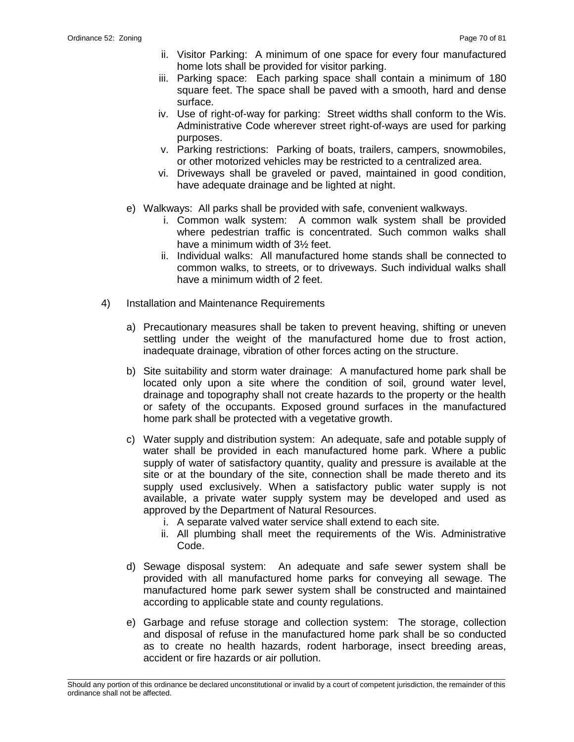- ii. Visitor Parking: A minimum of one space for every four manufactured home lots shall be provided for visitor parking.
- iii. Parking space: Each parking space shall contain a minimum of 180 square feet. The space shall be paved with a smooth, hard and dense surface.
- iv. Use of right-of-way for parking: Street widths shall conform to the Wis. Administrative Code wherever street right-of-ways are used for parking purposes.
- v. Parking restrictions: Parking of boats, trailers, campers, snowmobiles, or other motorized vehicles may be restricted to a centralized area.
- vi. Driveways shall be graveled or paved, maintained in good condition, have adequate drainage and be lighted at night.
- e) Walkways: All parks shall be provided with safe, convenient walkways.
	- i. Common walk system: A common walk system shall be provided where pedestrian traffic is concentrated. Such common walks shall have a minimum width of 3½ feet.
	- ii. Individual walks: All manufactured home stands shall be connected to common walks, to streets, or to driveways. Such individual walks shall have a minimum width of 2 feet.
- 4) Installation and Maintenance Requirements
	- a) Precautionary measures shall be taken to prevent heaving, shifting or uneven settling under the weight of the manufactured home due to frost action, inadequate drainage, vibration of other forces acting on the structure.
	- b) Site suitability and storm water drainage: A manufactured home park shall be located only upon a site where the condition of soil, ground water level, drainage and topography shall not create hazards to the property or the health or safety of the occupants. Exposed ground surfaces in the manufactured home park shall be protected with a vegetative growth.
	- c) Water supply and distribution system: An adequate, safe and potable supply of water shall be provided in each manufactured home park. Where a public supply of water of satisfactory quantity, quality and pressure is available at the site or at the boundary of the site, connection shall be made thereto and its supply used exclusively. When a satisfactory public water supply is not available, a private water supply system may be developed and used as approved by the Department of Natural Resources.
		- i. A separate valved water service shall extend to each site.
		- ii. All plumbing shall meet the requirements of the Wis. Administrative Code.
	- d) Sewage disposal system: An adequate and safe sewer system shall be provided with all manufactured home parks for conveying all sewage. The manufactured home park sewer system shall be constructed and maintained according to applicable state and county regulations.
	- e) Garbage and refuse storage and collection system: The storage, collection and disposal of refuse in the manufactured home park shall be so conducted as to create no health hazards, rodent harborage, insect breeding areas, accident or fire hazards or air pollution.

\_\_\_\_\_\_\_\_\_\_\_\_\_\_\_\_\_\_\_\_\_\_\_\_\_\_\_\_\_\_\_\_\_\_\_\_\_\_\_\_\_\_\_\_\_\_\_\_\_\_\_\_\_\_\_\_\_\_\_\_\_\_\_\_\_\_\_\_\_\_\_\_\_\_\_\_\_\_\_\_\_\_\_\_\_\_\_\_\_\_\_\_\_\_\_\_\_\_\_\_\_\_\_\_\_ Should any portion of this ordinance be declared unconstitutional or invalid by a court of competent jurisdiction, the remainder of this ordinance shall not be affected.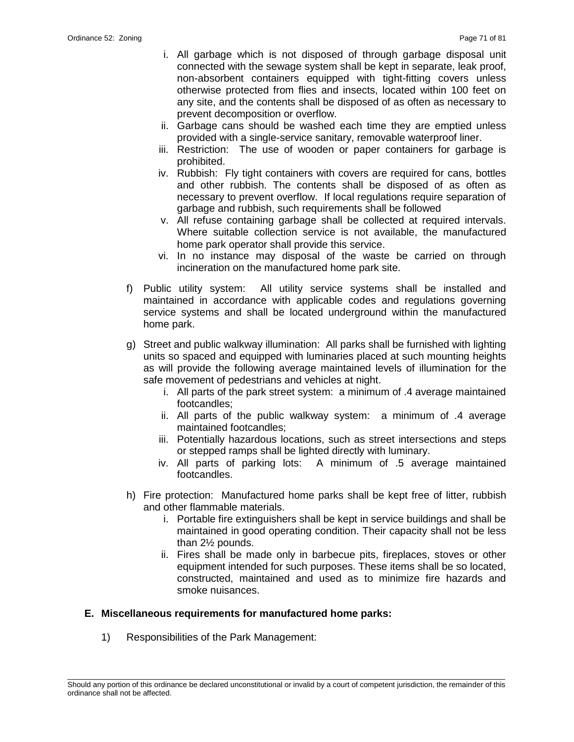- i. All garbage which is not disposed of through garbage disposal unit connected with the sewage system shall be kept in separate, leak proof, non-absorbent containers equipped with tight-fitting covers unless otherwise protected from flies and insects, located within 100 feet on any site, and the contents shall be disposed of as often as necessary to prevent decomposition or overflow.
- ii. Garbage cans should be washed each time they are emptied unless provided with a single-service sanitary, removable waterproof liner.
- iii. Restriction: The use of wooden or paper containers for garbage is prohibited.
- iv. Rubbish: Fly tight containers with covers are required for cans, bottles and other rubbish. The contents shall be disposed of as often as necessary to prevent overflow. If local regulations require separation of garbage and rubbish, such requirements shall be followed
- v. All refuse containing garbage shall be collected at required intervals. Where suitable collection service is not available, the manufactured home park operator shall provide this service.
- vi. In no instance may disposal of the waste be carried on through incineration on the manufactured home park site.
- f) Public utility system: All utility service systems shall be installed and maintained in accordance with applicable codes and regulations governing service systems and shall be located underground within the manufactured home park.
- g) Street and public walkway illumination: All parks shall be furnished with lighting units so spaced and equipped with luminaries placed at such mounting heights as will provide the following average maintained levels of illumination for the safe movement of pedestrians and vehicles at night.
	- i. All parts of the park street system: a minimum of .4 average maintained footcandles;
	- ii. All parts of the public walkway system: a minimum of .4 average maintained footcandles;
	- iii. Potentially hazardous locations, such as street intersections and steps or stepped ramps shall be lighted directly with luminary.
	- iv. All parts of parking lots: A minimum of .5 average maintained footcandles.
- h) Fire protection: Manufactured home parks shall be kept free of litter, rubbish and other flammable materials.
	- i. Portable fire extinguishers shall be kept in service buildings and shall be maintained in good operating condition. Their capacity shall not be less than 2½ pounds.
	- ii. Fires shall be made only in barbecue pits, fireplaces, stoves or other equipment intended for such purposes. These items shall be so located, constructed, maintained and used as to minimize fire hazards and smoke nuisances.

# **E. Miscellaneous requirements for manufactured home parks:**

1) Responsibilities of the Park Management: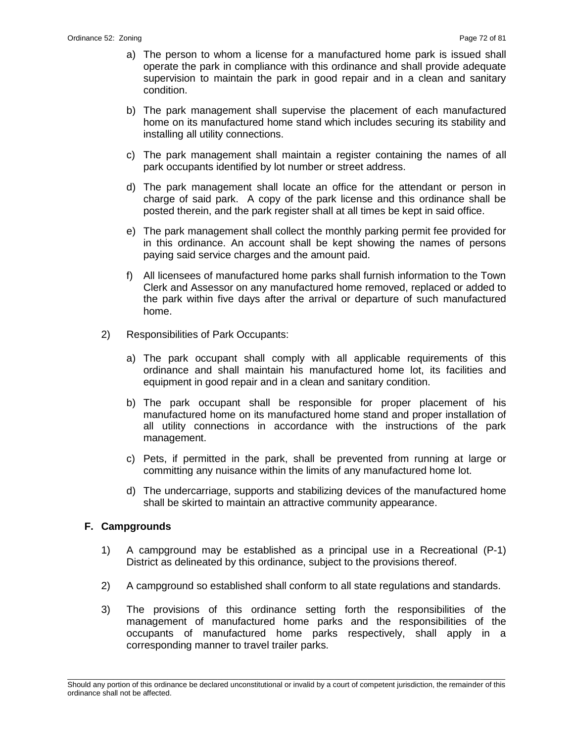- a) The person to whom a license for a manufactured home park is issued shall operate the park in compliance with this ordinance and shall provide adequate supervision to maintain the park in good repair and in a clean and sanitary condition.
- b) The park management shall supervise the placement of each manufactured home on its manufactured home stand which includes securing its stability and installing all utility connections.
- c) The park management shall maintain a register containing the names of all park occupants identified by lot number or street address.
- d) The park management shall locate an office for the attendant or person in charge of said park. A copy of the park license and this ordinance shall be posted therein, and the park register shall at all times be kept in said office.
- e) The park management shall collect the monthly parking permit fee provided for in this ordinance. An account shall be kept showing the names of persons paying said service charges and the amount paid.
- f) All licensees of manufactured home parks shall furnish information to the Town Clerk and Assessor on any manufactured home removed, replaced or added to the park within five days after the arrival or departure of such manufactured home.
- 2) Responsibilities of Park Occupants:
	- a) The park occupant shall comply with all applicable requirements of this ordinance and shall maintain his manufactured home lot, its facilities and equipment in good repair and in a clean and sanitary condition.
	- b) The park occupant shall be responsible for proper placement of his manufactured home on its manufactured home stand and proper installation of all utility connections in accordance with the instructions of the park management.
	- c) Pets, if permitted in the park, shall be prevented from running at large or committing any nuisance within the limits of any manufactured home lot.
	- d) The undercarriage, supports and stabilizing devices of the manufactured home shall be skirted to maintain an attractive community appearance.

#### **F. Campgrounds**

- 1) A campground may be established as a principal use in a Recreational (P-1) District as delineated by this ordinance, subject to the provisions thereof.
- 2) A campground so established shall conform to all state regulations and standards.
- 3) The provisions of this ordinance setting forth the responsibilities of the management of manufactured home parks and the responsibilities of the occupants of manufactured home parks respectively, shall apply in a corresponding manner to travel trailer parks.

\_\_\_\_\_\_\_\_\_\_\_\_\_\_\_\_\_\_\_\_\_\_\_\_\_\_\_\_\_\_\_\_\_\_\_\_\_\_\_\_\_\_\_\_\_\_\_\_\_\_\_\_\_\_\_\_\_\_\_\_\_\_\_\_\_\_\_\_\_\_\_\_\_\_\_\_\_\_\_\_\_\_\_\_\_\_\_\_\_\_\_\_\_\_\_\_\_\_\_\_\_\_\_\_\_ Should any portion of this ordinance be declared unconstitutional or invalid by a court of competent jurisdiction, the remainder of this ordinance shall not be affected.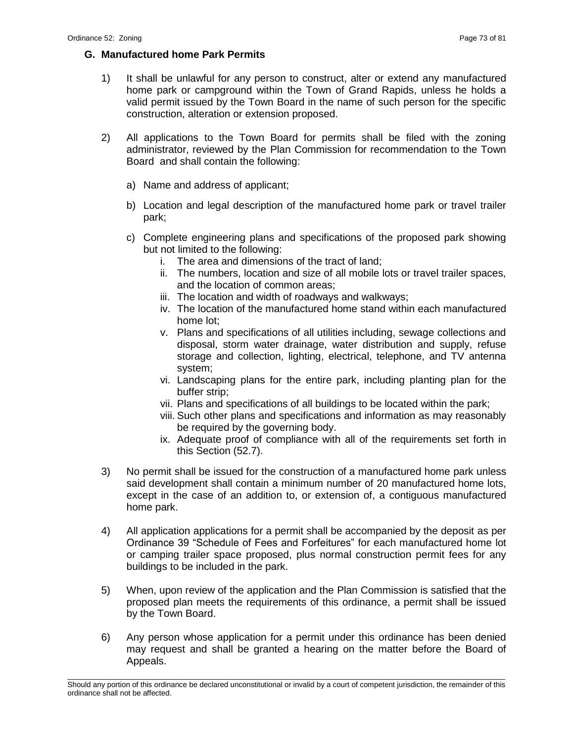# **G. Manufactured home Park Permits**

- 1) It shall be unlawful for any person to construct, alter or extend any manufactured home park or campground within the Town of Grand Rapids, unless he holds a valid permit issued by the Town Board in the name of such person for the specific construction, alteration or extension proposed.
- 2) All applications to the Town Board for permits shall be filed with the zoning administrator, reviewed by the Plan Commission for recommendation to the Town Board and shall contain the following:
	- a) Name and address of applicant;
	- b) Location and legal description of the manufactured home park or travel trailer park;
	- c) Complete engineering plans and specifications of the proposed park showing but not limited to the following:
		- i. The area and dimensions of the tract of land;
		- ii. The numbers, location and size of all mobile lots or travel trailer spaces, and the location of common areas;
		- iii. The location and width of roadways and walkways;
		- iv. The location of the manufactured home stand within each manufactured home lot;
		- v. Plans and specifications of all utilities including, sewage collections and disposal, storm water drainage, water distribution and supply, refuse storage and collection, lighting, electrical, telephone, and TV antenna system;
		- vi. Landscaping plans for the entire park, including planting plan for the buffer strip;
		- vii. Plans and specifications of all buildings to be located within the park;
		- viii. Such other plans and specifications and information as may reasonably be required by the governing body.
		- ix. Adequate proof of compliance with all of the requirements set forth in this Section (52.7).
- 3) No permit shall be issued for the construction of a manufactured home park unless said development shall contain a minimum number of 20 manufactured home lots, except in the case of an addition to, or extension of, a contiguous manufactured home park.
- 4) All application applications for a permit shall be accompanied by the deposit as per Ordinance 39 "Schedule of Fees and Forfeitures" for each manufactured home lot or camping trailer space proposed, plus normal construction permit fees for any buildings to be included in the park.
- 5) When, upon review of the application and the Plan Commission is satisfied that the proposed plan meets the requirements of this ordinance, a permit shall be issued by the Town Board.
- 6) Any person whose application for a permit under this ordinance has been denied may request and shall be granted a hearing on the matter before the Board of Appeals.

\_\_\_\_\_\_\_\_\_\_\_\_\_\_\_\_\_\_\_\_\_\_\_\_\_\_\_\_\_\_\_\_\_\_\_\_\_\_\_\_\_\_\_\_\_\_\_\_\_\_\_\_\_\_\_\_\_\_\_\_\_\_\_\_\_\_\_\_\_\_\_\_\_\_\_\_\_\_\_\_\_\_\_\_\_\_\_\_\_\_\_\_\_\_\_\_\_\_\_\_\_\_\_\_\_ Should any portion of this ordinance be declared unconstitutional or invalid by a court of competent jurisdiction, the remainder of this ordinance shall not be affected.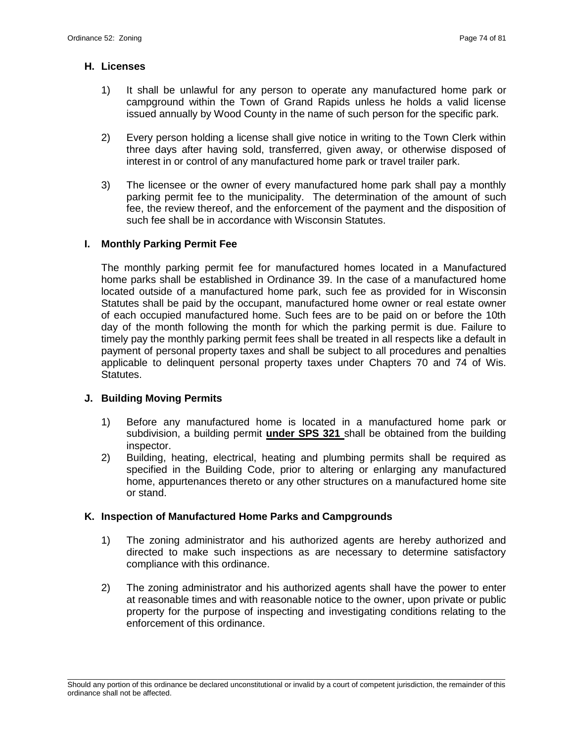### **H. Licenses**

- 1) It shall be unlawful for any person to operate any manufactured home park or campground within the Town of Grand Rapids unless he holds a valid license issued annually by Wood County in the name of such person for the specific park.
- 2) Every person holding a license shall give notice in writing to the Town Clerk within three days after having sold, transferred, given away, or otherwise disposed of interest in or control of any manufactured home park or travel trailer park.
- 3) The licensee or the owner of every manufactured home park shall pay a monthly parking permit fee to the municipality. The determination of the amount of such fee, the review thereof, and the enforcement of the payment and the disposition of such fee shall be in accordance with Wisconsin Statutes.

# **I. Monthly Parking Permit Fee**

The monthly parking permit fee for manufactured homes located in a Manufactured home parks shall be established in Ordinance 39. In the case of a manufactured home located outside of a manufactured home park, such fee as provided for in Wisconsin Statutes shall be paid by the occupant, manufactured home owner or real estate owner of each occupied manufactured home. Such fees are to be paid on or before the 10th day of the month following the month for which the parking permit is due. Failure to timely pay the monthly parking permit fees shall be treated in all respects like a default in payment of personal property taxes and shall be subject to all procedures and penalties applicable to delinquent personal property taxes under Chapters 70 and 74 of Wis. Statutes.

# **J. Building Moving Permits**

- 1) Before any manufactured home is located in a manufactured home park or subdivision, a building permit **under SPS 321** shall be obtained from the building inspector.
- 2) Building, heating, electrical, heating and plumbing permits shall be required as specified in the Building Code, prior to altering or enlarging any manufactured home, appurtenances thereto or any other structures on a manufactured home site or stand.

# **K. Inspection of Manufactured Home Parks and Campgrounds**

- 1) The zoning administrator and his authorized agents are hereby authorized and directed to make such inspections as are necessary to determine satisfactory compliance with this ordinance.
- 2) The zoning administrator and his authorized agents shall have the power to enter at reasonable times and with reasonable notice to the owner, upon private or public property for the purpose of inspecting and investigating conditions relating to the enforcement of this ordinance.

\_\_\_\_\_\_\_\_\_\_\_\_\_\_\_\_\_\_\_\_\_\_\_\_\_\_\_\_\_\_\_\_\_\_\_\_\_\_\_\_\_\_\_\_\_\_\_\_\_\_\_\_\_\_\_\_\_\_\_\_\_\_\_\_\_\_\_\_\_\_\_\_\_\_\_\_\_\_\_\_\_\_\_\_\_\_\_\_\_\_\_\_\_\_\_\_\_\_\_\_\_\_\_\_\_ Should any portion of this ordinance be declared unconstitutional or invalid by a court of competent jurisdiction, the remainder of this ordinance shall not be affected.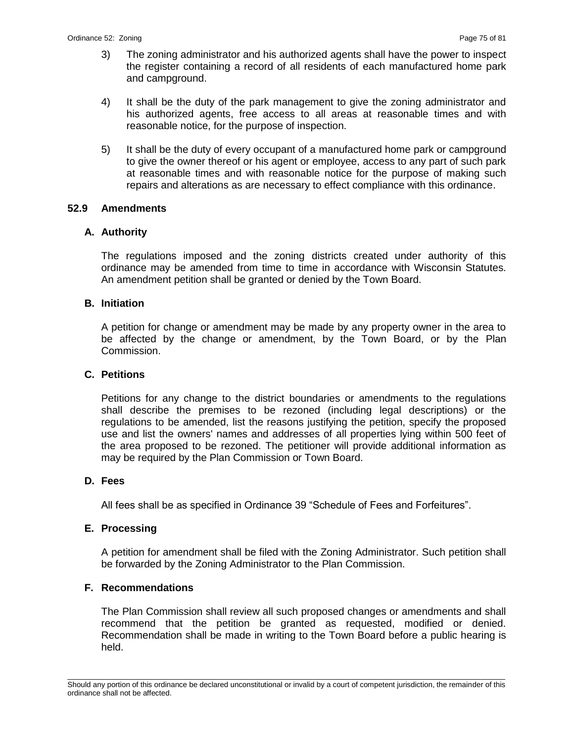- 3) The zoning administrator and his authorized agents shall have the power to inspect the register containing a record of all residents of each manufactured home park and campground.
- 4) It shall be the duty of the park management to give the zoning administrator and his authorized agents, free access to all areas at reasonable times and with reasonable notice, for the purpose of inspection.
- 5) It shall be the duty of every occupant of a manufactured home park or campground to give the owner thereof or his agent or employee, access to any part of such park at reasonable times and with reasonable notice for the purpose of making such repairs and alterations as are necessary to effect compliance with this ordinance.

# **52.9 Amendments**

# **A. Authority**

The regulations imposed and the zoning districts created under authority of this ordinance may be amended from time to time in accordance with Wisconsin Statutes. An amendment petition shall be granted or denied by the Town Board.

# **B. Initiation**

A petition for change or amendment may be made by any property owner in the area to be affected by the change or amendment, by the Town Board, or by the Plan Commission.

# **C. Petitions**

Petitions for any change to the district boundaries or amendments to the regulations shall describe the premises to be rezoned (including legal descriptions) or the regulations to be amended, list the reasons justifying the petition, specify the proposed use and list the owners' names and addresses of all properties lying within 500 feet of the area proposed to be rezoned. The petitioner will provide additional information as may be required by the Plan Commission or Town Board.

# **D. Fees**

All fees shall be as specified in Ordinance 39 "Schedule of Fees and Forfeitures".

# **E. Processing**

A petition for amendment shall be filed with the Zoning Administrator. Such petition shall be forwarded by the Zoning Administrator to the Plan Commission.

# **F. Recommendations**

The Plan Commission shall review all such proposed changes or amendments and shall recommend that the petition be granted as requested, modified or denied. Recommendation shall be made in writing to the Town Board before a public hearing is held.

\_\_\_\_\_\_\_\_\_\_\_\_\_\_\_\_\_\_\_\_\_\_\_\_\_\_\_\_\_\_\_\_\_\_\_\_\_\_\_\_\_\_\_\_\_\_\_\_\_\_\_\_\_\_\_\_\_\_\_\_\_\_\_\_\_\_\_\_\_\_\_\_\_\_\_\_\_\_\_\_\_\_\_\_\_\_\_\_\_\_\_\_\_\_\_\_\_\_\_\_\_\_\_\_\_ Should any portion of this ordinance be declared unconstitutional or invalid by a court of competent jurisdiction, the remainder of this ordinance shall not be affected.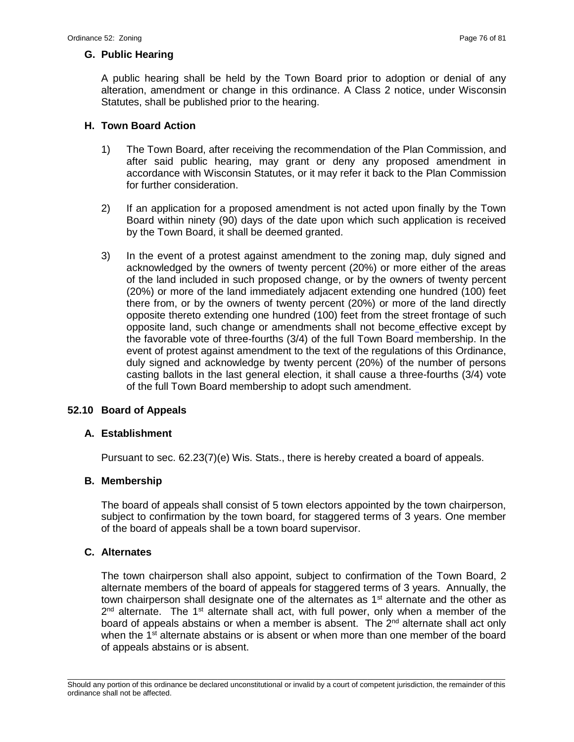# **G. Public Hearing**

A public hearing shall be held by the Town Board prior to adoption or denial of any alteration, amendment or change in this ordinance. A Class 2 notice, under Wisconsin Statutes, shall be published prior to the hearing.

# **H. Town Board Action**

- 1) The Town Board, after receiving the recommendation of the Plan Commission, and after said public hearing, may grant or deny any proposed amendment in accordance with Wisconsin Statutes, or it may refer it back to the Plan Commission for further consideration.
- 2) If an application for a proposed amendment is not acted upon finally by the Town Board within ninety (90) days of the date upon which such application is received by the Town Board, it shall be deemed granted.
- 3) In the event of a protest against amendment to the zoning map, duly signed and acknowledged by the owners of twenty percent (20%) or more either of the areas of the land included in such proposed change, or by the owners of twenty percent (20%) or more of the land immediately adjacent extending one hundred (100) feet there from, or by the owners of twenty percent (20%) or more of the land directly opposite thereto extending one hundred (100) feet from the street frontage of such opposite land, such change or amendments shall not become effective except by the favorable vote of three-fourths (3/4) of the full Town Board membership. In the event of protest against amendment to the text of the regulations of this Ordinance, duly signed and acknowledge by twenty percent (20%) of the number of persons casting ballots in the last general election, it shall cause a three-fourths (3/4) vote of the full Town Board membership to adopt such amendment.

# **52.10 Board of Appeals**

# **A. Establishment**

Pursuant to sec. 62.23(7)(e) Wis. Stats., there is hereby created a board of appeals.

# **B. Membership**

The board of appeals shall consist of 5 town electors appointed by the town chairperson, subject to confirmation by the town board, for staggered terms of 3 years. One member of the board of appeals shall be a town board supervisor.

# **C. Alternates**

The town chairperson shall also appoint, subject to confirmation of the Town Board, 2 alternate members of the board of appeals for staggered terms of 3 years. Annually, the town chairperson shall designate one of the alternates as 1<sup>st</sup> alternate and the other as  $2^{nd}$  alternate. The 1<sup>st</sup> alternate shall act, with full power, only when a member of the board of appeals abstains or when a member is absent. The 2<sup>nd</sup> alternate shall act only when the 1<sup>st</sup> alternate abstains or is absent or when more than one member of the board of appeals abstains or is absent.

\_\_\_\_\_\_\_\_\_\_\_\_\_\_\_\_\_\_\_\_\_\_\_\_\_\_\_\_\_\_\_\_\_\_\_\_\_\_\_\_\_\_\_\_\_\_\_\_\_\_\_\_\_\_\_\_\_\_\_\_\_\_\_\_\_\_\_\_\_\_\_\_\_\_\_\_\_\_\_\_\_\_\_\_\_\_\_\_\_\_\_\_\_\_\_\_\_\_\_\_\_\_\_\_\_ Should any portion of this ordinance be declared unconstitutional or invalid by a court of competent jurisdiction, the remainder of this ordinance shall not be affected.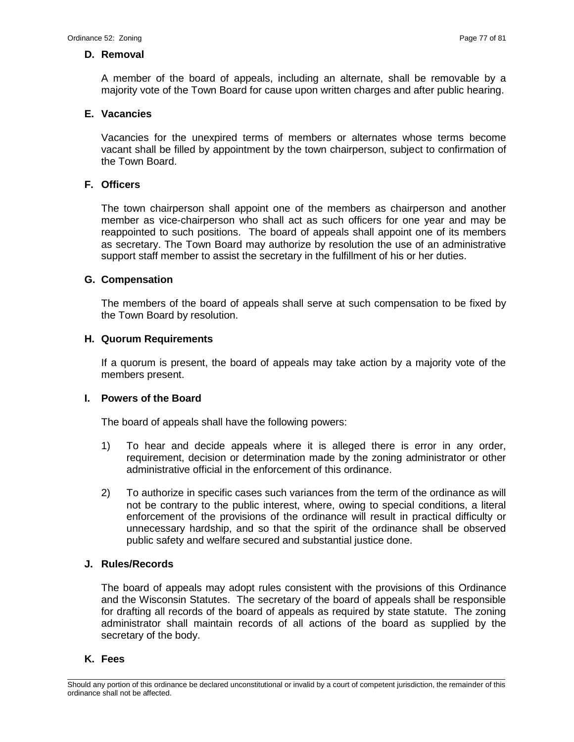### **D. Removal**

A member of the board of appeals, including an alternate, shall be removable by a majority vote of the Town Board for cause upon written charges and after public hearing.

# **E. Vacancies**

Vacancies for the unexpired terms of members or alternates whose terms become vacant shall be filled by appointment by the town chairperson, subject to confirmation of the Town Board.

# **F. Officers**

The town chairperson shall appoint one of the members as chairperson and another member as vice-chairperson who shall act as such officers for one year and may be reappointed to such positions. The board of appeals shall appoint one of its members as secretary. The Town Board may authorize by resolution the use of an administrative support staff member to assist the secretary in the fulfillment of his or her duties.

### **G. Compensation**

The members of the board of appeals shall serve at such compensation to be fixed by the Town Board by resolution.

### **H. Quorum Requirements**

If a quorum is present, the board of appeals may take action by a majority vote of the members present.

#### **I. Powers of the Board**

The board of appeals shall have the following powers:

- 1) To hear and decide appeals where it is alleged there is error in any order, requirement, decision or determination made by the zoning administrator or other administrative official in the enforcement of this ordinance.
- 2) To authorize in specific cases such variances from the term of the ordinance as will not be contrary to the public interest, where, owing to special conditions, a literal enforcement of the provisions of the ordinance will result in practical difficulty or unnecessary hardship, and so that the spirit of the ordinance shall be observed public safety and welfare secured and substantial justice done.

# **J. Rules/Records**

The board of appeals may adopt rules consistent with the provisions of this Ordinance and the Wisconsin Statutes. The secretary of the board of appeals shall be responsible for drafting all records of the board of appeals as required by state statute. The zoning administrator shall maintain records of all actions of the board as supplied by the secretary of the body.

#### **K. Fees**

\_\_\_\_\_\_\_\_\_\_\_\_\_\_\_\_\_\_\_\_\_\_\_\_\_\_\_\_\_\_\_\_\_\_\_\_\_\_\_\_\_\_\_\_\_\_\_\_\_\_\_\_\_\_\_\_\_\_\_\_\_\_\_\_\_\_\_\_\_\_\_\_\_\_\_\_\_\_\_\_\_\_\_\_\_\_\_\_\_\_\_\_\_\_\_\_\_\_\_\_\_\_\_\_\_ Should any portion of this ordinance be declared unconstitutional or invalid by a court of competent jurisdiction, the remainder of this ordinance shall not be affected.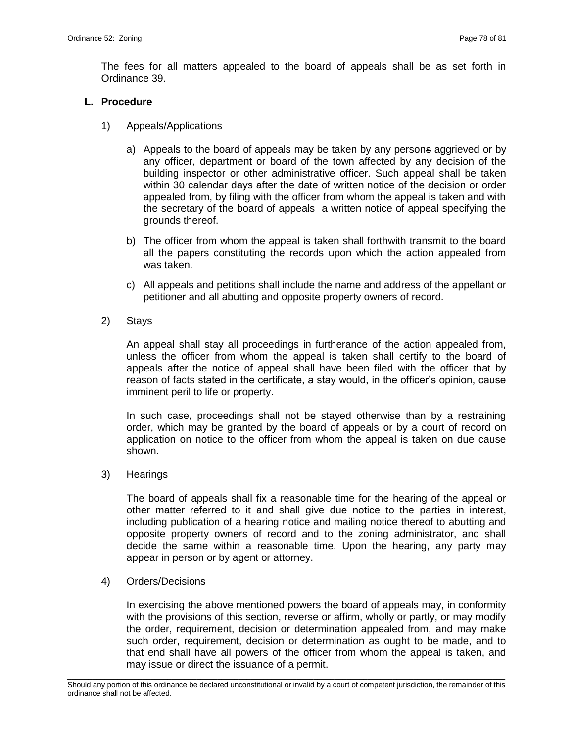The fees for all matters appealed to the board of appeals shall be as set forth in Ordinance 39.

# **L. Procedure**

- 1) Appeals/Applications
	- a) Appeals to the board of appeals may be taken by any persons aggrieved or by any officer, department or board of the town affected by any decision of the building inspector or other administrative officer. Such appeal shall be taken within 30 calendar days after the date of written notice of the decision or order appealed from, by filing with the officer from whom the appeal is taken and with the secretary of the board of appeals a written notice of appeal specifying the grounds thereof.
	- b) The officer from whom the appeal is taken shall forthwith transmit to the board all the papers constituting the records upon which the action appealed from was taken.
	- c) All appeals and petitions shall include the name and address of the appellant or petitioner and all abutting and opposite property owners of record.
- 2) Stays

An appeal shall stay all proceedings in furtherance of the action appealed from, unless the officer from whom the appeal is taken shall certify to the board of appeals after the notice of appeal shall have been filed with the officer that by reason of facts stated in the certificate, a stay would, in the officer's opinion, cause imminent peril to life or property.

In such case, proceedings shall not be stayed otherwise than by a restraining order, which may be granted by the board of appeals or by a court of record on application on notice to the officer from whom the appeal is taken on due cause shown.

3) Hearings

The board of appeals shall fix a reasonable time for the hearing of the appeal or other matter referred to it and shall give due notice to the parties in interest, including publication of a hearing notice and mailing notice thereof to abutting and opposite property owners of record and to the zoning administrator, and shall decide the same within a reasonable time. Upon the hearing, any party may appear in person or by agent or attorney.

4) Orders/Decisions

In exercising the above mentioned powers the board of appeals may, in conformity with the provisions of this section, reverse or affirm, wholly or partly, or may modify the order, requirement, decision or determination appealed from, and may make such order, requirement, decision or determination as ought to be made, and to that end shall have all powers of the officer from whom the appeal is taken, and may issue or direct the issuance of a permit.

\_\_\_\_\_\_\_\_\_\_\_\_\_\_\_\_\_\_\_\_\_\_\_\_\_\_\_\_\_\_\_\_\_\_\_\_\_\_\_\_\_\_\_\_\_\_\_\_\_\_\_\_\_\_\_\_\_\_\_\_\_\_\_\_\_\_\_\_\_\_\_\_\_\_\_\_\_\_\_\_\_\_\_\_\_\_\_\_\_\_\_\_\_\_\_\_\_\_\_\_\_\_\_\_\_ Should any portion of this ordinance be declared unconstitutional or invalid by a court of competent jurisdiction, the remainder of this ordinance shall not be affected.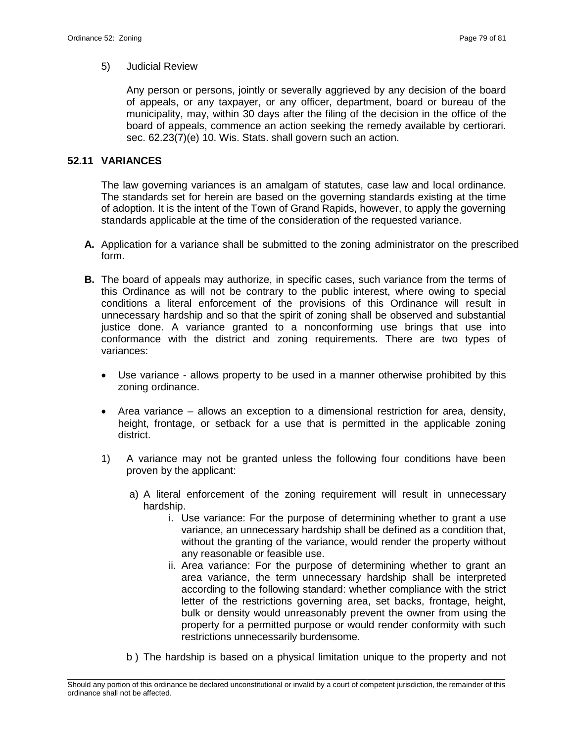### 5) Judicial Review

Any person or persons, jointly or severally aggrieved by any decision of the board of appeals, or any taxpayer, or any officer, department, board or bureau of the municipality, may, within 30 days after the filing of the decision in the office of the board of appeals, commence an action seeking the remedy available by certiorari. sec. 62.23(7)(e) 10. Wis. Stats. shall govern such an action.

# **52.11 VARIANCES**

The law governing variances is an amalgam of statutes, case law and local ordinance. The standards set for herein are based on the governing standards existing at the time of adoption. It is the intent of the Town of Grand Rapids, however, to apply the governing standards applicable at the time of the consideration of the requested variance.

- **A.** Application for a variance shall be submitted to the zoning administrator on the prescribed form.
- **B.** The board of appeals may authorize, in specific cases, such variance from the terms of this Ordinance as will not be contrary to the public interest, where owing to special conditions a literal enforcement of the provisions of this Ordinance will result in unnecessary hardship and so that the spirit of zoning shall be observed and substantial justice done. A variance granted to a nonconforming use brings that use into conformance with the district and zoning requirements. There are two types of variances:
	- Use variance allows property to be used in a manner otherwise prohibited by this zoning ordinance.
	- Area variance allows an exception to a dimensional restriction for area, density, height, frontage, or setback for a use that is permitted in the applicable zoning district.
	- 1) A variance may not be granted unless the following four conditions have been proven by the applicant:
		- a) A literal enforcement of the zoning requirement will result in unnecessary hardship.
			- i. Use variance: For the purpose of determining whether to grant a use variance, an unnecessary hardship shall be defined as a condition that, without the granting of the variance, would render the property without any reasonable or feasible use.
			- ii. Area variance: For the purpose of determining whether to grant an area variance, the term unnecessary hardship shall be interpreted according to the following standard: whether compliance with the strict letter of the restrictions governing area, set backs, frontage, height, bulk or density would unreasonably prevent the owner from using the property for a permitted purpose or would render conformity with such restrictions unnecessarily burdensome.
		- b ) The hardship is based on a physical limitation unique to the property and not

\_\_\_\_\_\_\_\_\_\_\_\_\_\_\_\_\_\_\_\_\_\_\_\_\_\_\_\_\_\_\_\_\_\_\_\_\_\_\_\_\_\_\_\_\_\_\_\_\_\_\_\_\_\_\_\_\_\_\_\_\_\_\_\_\_\_\_\_\_\_\_\_\_\_\_\_\_\_\_\_\_\_\_\_\_\_\_\_\_\_\_\_\_\_\_\_\_\_\_\_\_\_\_\_\_ Should any portion of this ordinance be declared unconstitutional or invalid by a court of competent jurisdiction, the remainder of this ordinance shall not be affected.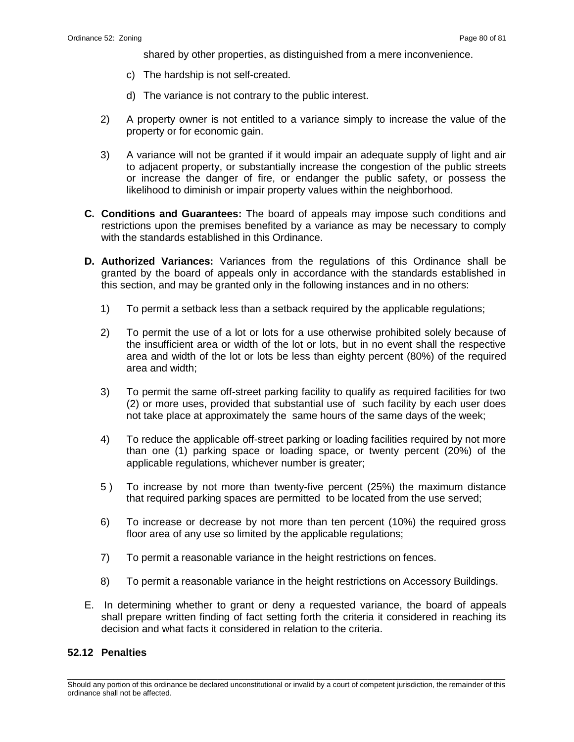shared by other properties, as distinguished from a mere inconvenience.

- c) The hardship is not self-created.
- d) The variance is not contrary to the public interest.
- 2) A property owner is not entitled to a variance simply to increase the value of the property or for economic gain.
- 3) A variance will not be granted if it would impair an adequate supply of light and air to adjacent property, or substantially increase the congestion of the public streets or increase the danger of fire, or endanger the public safety, or possess the likelihood to diminish or impair property values within the neighborhood.
- **C. Conditions and Guarantees:** The board of appeals may impose such conditions and restrictions upon the premises benefited by a variance as may be necessary to comply with the standards established in this Ordinance.
- **D. Authorized Variances:** Variances from the regulations of this Ordinance shall be granted by the board of appeals only in accordance with the standards established in this section, and may be granted only in the following instances and in no others:
	- 1) To permit a setback less than a setback required by the applicable regulations;
	- 2) To permit the use of a lot or lots for a use otherwise prohibited solely because of the insufficient area or width of the lot or lots, but in no event shall the respective area and width of the lot or lots be less than eighty percent (80%) of the required area and width;
	- 3) To permit the same off-street parking facility to qualify as required facilities for two (2) or more uses, provided that substantial use of such facility by each user does not take place at approximately the same hours of the same days of the week;
	- 4) To reduce the applicable off-street parking or loading facilities required by not more than one (1) parking space or loading space, or twenty percent (20%) of the applicable regulations, whichever number is greater;
	- 5 ) To increase by not more than twenty-five percent (25%) the maximum distance that required parking spaces are permitted to be located from the use served;
	- 6) To increase or decrease by not more than ten percent (10%) the required gross floor area of any use so limited by the applicable regulations;
	- 7) To permit a reasonable variance in the height restrictions on fences.
	- 8) To permit a reasonable variance in the height restrictions on Accessory Buildings.
- E. In determining whether to grant or deny a requested variance, the board of appeals shall prepare written finding of fact setting forth the criteria it considered in reaching its decision and what facts it considered in relation to the criteria.

### **52.12 Penalties**

\_\_\_\_\_\_\_\_\_\_\_\_\_\_\_\_\_\_\_\_\_\_\_\_\_\_\_\_\_\_\_\_\_\_\_\_\_\_\_\_\_\_\_\_\_\_\_\_\_\_\_\_\_\_\_\_\_\_\_\_\_\_\_\_\_\_\_\_\_\_\_\_\_\_\_\_\_\_\_\_\_\_\_\_\_\_\_\_\_\_\_\_\_\_\_\_\_\_\_\_\_\_\_\_\_ Should any portion of this ordinance be declared unconstitutional or invalid by a court of competent jurisdiction, the remainder of this ordinance shall not be affected.